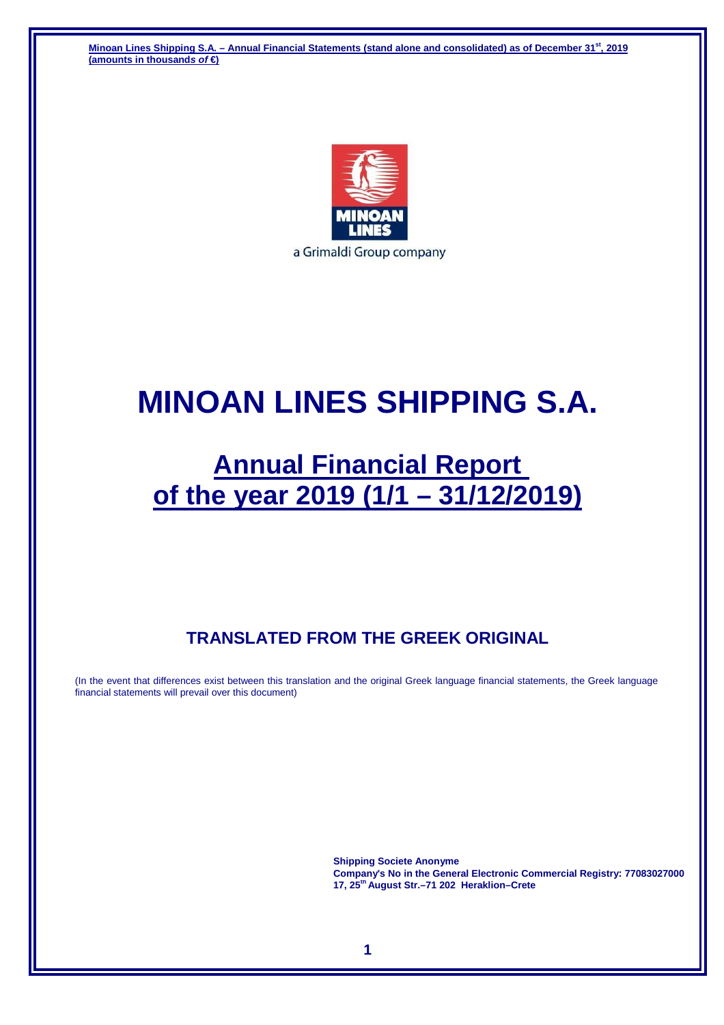**Minoan Lines Shipping S.A. – Annual Financial Statements (stand alone and consolidated) as of December 31st, 2019 (amounts in thousands of €)** 



# **MINOAN LINES SHIPPING S.A.**

# **Annual Financial Report of the year 2019 (1/1 – 31/12/2019)**

# **TRANSLATED FROM THE GREEK ORIGINAL**

(In the event that differences exist between this translation and the original Greek language financial statements, the Greek language financial statements will prevail over this document)

> **Shipping Societe Anonyme Company's No in the General Electronic Commercial Registry: 77083027000 17, 25th August Str.–71 202 Heraklion–Crete**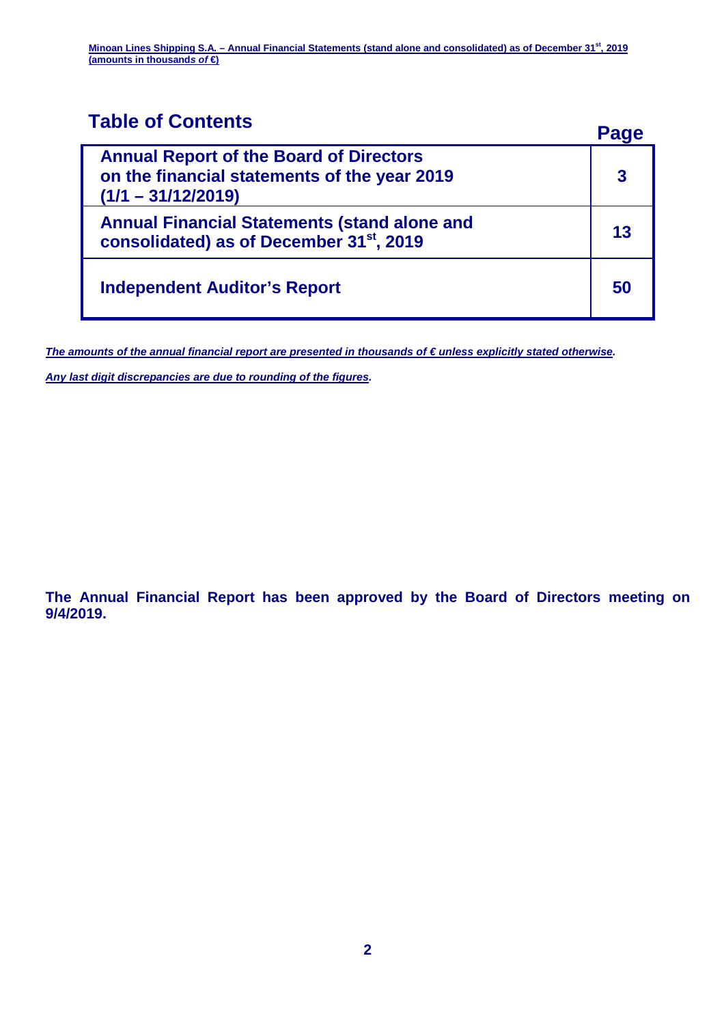# **Table of Contents Page**

| <b>Annual Report of the Board of Directors</b><br>on the financial statements of the year 2019<br>$(1/1 - 31/12/2019)$ |    |
|------------------------------------------------------------------------------------------------------------------------|----|
| <b>Annual Financial Statements (stand alone and</b><br>consolidated) as of December 31 <sup>st</sup> , 2019            | 13 |
| <b>Independent Auditor's Report</b>                                                                                    | 50 |

The amounts of the annual financial report are presented in thousands of € unless explicitly stated otherwise.

**Any last digit discrepancies are due to rounding of the figures.** 

**The Annual Financial Report has been approved by the Board of Directors meeting on 9/4/2019.**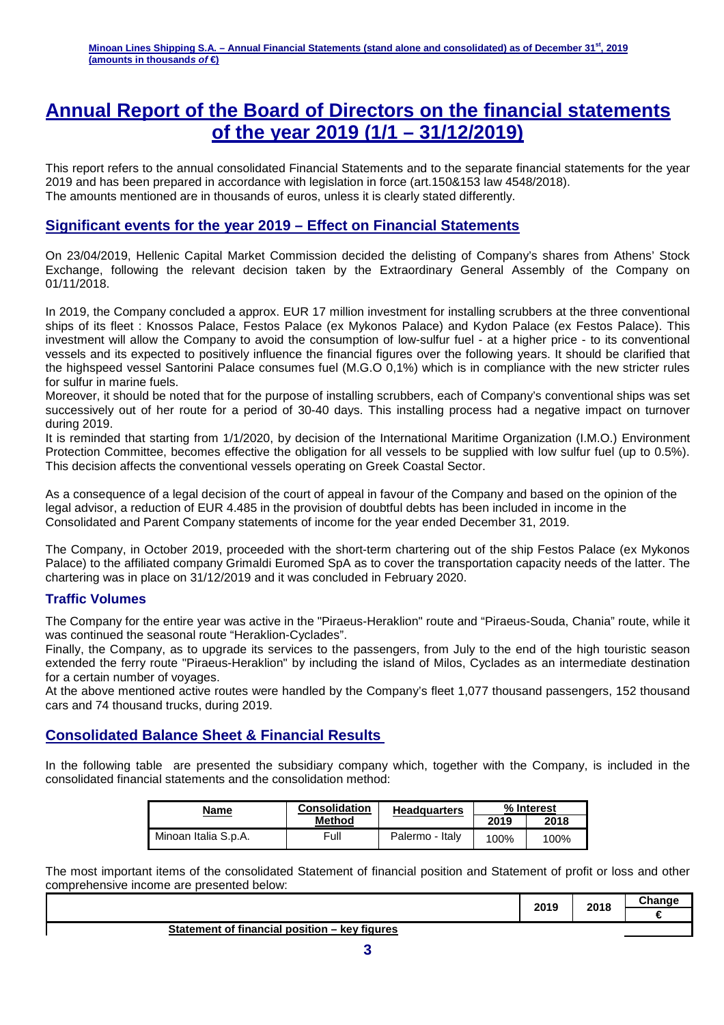# **Annual Report of the Board of Directors on the financial statements of the year 2019 (1/1 – 31/12/2019)**

This report refers to the annual consolidated Financial Statements and to the separate financial statements for the year 2019 and has been prepared in accordance with legislation in force (art.150&153 law 4548/2018). The amounts mentioned are in thousands of euros, unless it is clearly stated differently.

### **Significant events for the year 2019 – Effect on Financial Statements**

On 23/04/2019, Hellenic Capital Market Commission decided the delisting of Company's shares from Athens' Stock Exchange, following the relevant decision taken by the Extraordinary General Assembly of the Company on 01/11/2018.

In 2019, the Company concluded a approx. EUR 17 million investment for installing scrubbers at the three conventional ships of its fleet : Knossos Palace, Festos Palace (ex Mykonos Palace) and Kydon Palace (ex Festos Palace). This investment will allow the Company to avoid the consumption of low-sulfur fuel - at a higher price - to its conventional vessels and its expected to positively influence the financial figures over the following years. It should be clarified that the highspeed vessel Santorini Palace consumes fuel (M.G.O 0,1%) which is in compliance with the new stricter rules for sulfur in marine fuels.

Moreover, it should be noted that for the purpose of installing scrubbers, each of Company's conventional ships was set successively out of her route for a period of 30-40 days. This installing process had a negative impact on turnover during 2019.

It is reminded that starting from 1/1/2020, by decision of the International Maritime Organization (I.M.O.) Environment Protection Committee, becomes effective the obligation for all vessels to be supplied with low sulfur fuel (up to 0.5%). This decision affects the conventional vessels operating on Greek Coastal Sector.

As a consequence of a legal decision of the court of appeal in favour of the Company and based on the opinion of the legal advisor, a reduction of EUR 4.485 in the provision of doubtful debts has been included in income in the Consolidated and Parent Company statements of income for the year ended December 31, 2019.

The Company, in October 2019, proceeded with the short-term chartering out of the ship Festos Palace (ex Mykonos Palace) to the affiliated company Grimaldi Euromed SpA as to cover the transportation capacity needs of the latter. The chartering was in place on 31/12/2019 and it was concluded in February 2020.

#### **Traffic Volumes**

The Company for the entire year was active in the "Piraeus-Heraklion" route and "Piraeus-Souda, Chania" route, while it was continued the seasonal route "Heraklion-Cyclades".

Finally, the Company, as to upgrade its services to the passengers, from July to the end of the high touristic season extended the ferry route "Piraeus-Heraklion" by including the island of Milos, Cyclades as an intermediate destination for a certain number of voyages.

At the above mentioned active routes were handled by the Company's fleet 1,077 thousand passengers, 152 thousand cars and 74 thousand trucks, during 2019.

#### **Consolidated Balance Sheet & Financial Results**

In the following table are presented the subsidiary company which, together with the Company, is included in the consolidated financial statements and the consolidation method:

| Name                 | <b>Consolidation</b> | <b>Headquarters</b> | % Interest |      |
|----------------------|----------------------|---------------------|------------|------|
|                      | Method               |                     | 2019       | 2018 |
| Minoan Italia S.p.A. | Full                 | Palermo - Italy     | 100%       | 100% |

The most important items of the consolidated Statement of financial position and Statement of profit or loss and other comprehensive income are presented below:

|                                               | 2010<br>ZU I J | 2018 | <b>Change</b><br>,,,, |
|-----------------------------------------------|----------------|------|-----------------------|
|                                               |                |      |                       |
| Statement of financial position – key figures |                |      |                       |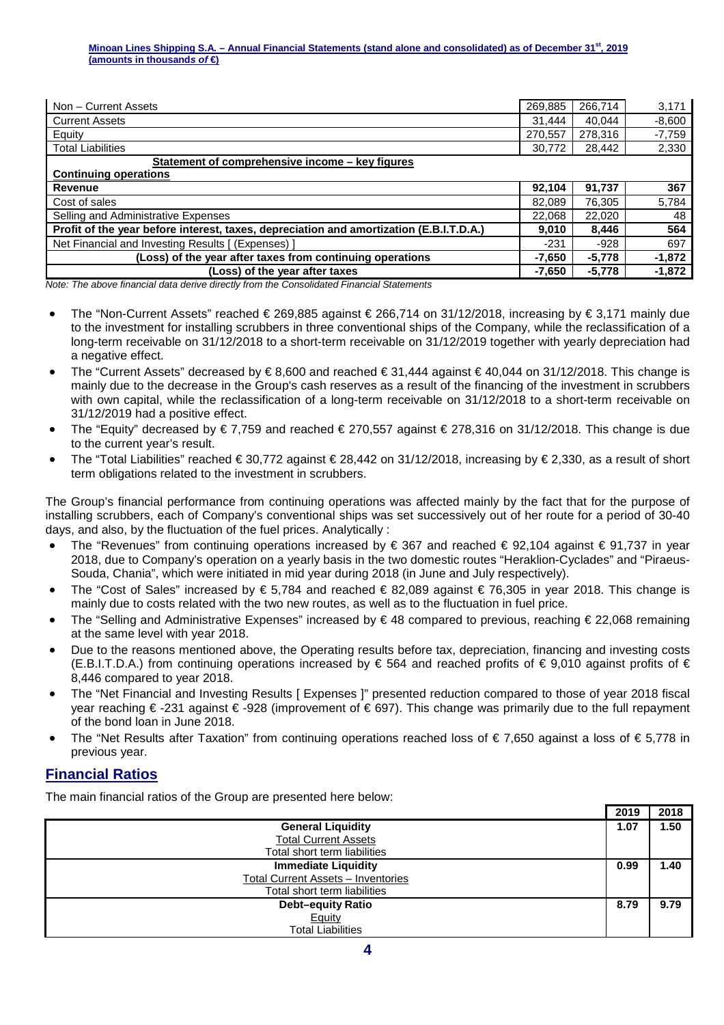| Non - Current Assets                                                                    | 269,885  | 266,714  | 3,171    |
|-----------------------------------------------------------------------------------------|----------|----------|----------|
| <b>Current Assets</b>                                                                   | 31.444   | 40.044   | $-8,600$ |
| Equity                                                                                  | 270,557  | 278,316  | $-7,759$ |
| <b>Total Liabilities</b>                                                                | 30,772   | 28,442   | 2,330    |
| Statement of comprehensive income – key figures                                         |          |          |          |
| <b>Continuing operations</b>                                                            |          |          |          |
| Revenue                                                                                 | 92,104   | 91,737   | 367      |
| Cost of sales                                                                           | 82,089   | 76,305   | 5,784    |
| Selling and Administrative Expenses                                                     | 22.068   | 22,020   | 48       |
| Profit of the year before interest, taxes, depreciation and amortization (E.B.I.T.D.A.) | 9.010    | 8,446    | 564      |
| Net Financial and Investing Results [ (Expenses) ]                                      | $-231$   | $-928$   | 697      |
| (Loss) of the year after taxes from continuing operations                               | $-7,650$ | $-5,778$ | $-1,872$ |
| (Loss) of the year after taxes                                                          | $-7,650$ | $-5,778$ | $-1,872$ |

Note: The above financial data derive directly from the Consolidated Financial Statements

- The "Non-Current Assets" reached € 269,885 against € 266,714 on 31/12/2018, increasing by € 3,171 mainly due to the investment for installing scrubbers in three conventional ships of the Company, while the reclassification of a long-term receivable on 31/12/2018 to a short-term receivable on 31/12/2019 together with yearly depreciation had a negative effect.
- The "Current Assets" decreased by  $\epsilon$  8,600 and reached  $\epsilon$  31,444 against  $\epsilon$  40,044 on 31/12/2018. This change is mainly due to the decrease in the Group's cash reserves as a result of the financing of the investment in scrubbers with own capital, while the reclassification of a long-term receivable on 31/12/2018 to a short-term receivable on 31/12/2019 had a positive effect.
- The "Equity" decreased by  $\epsilon$  7,759 and reached  $\epsilon$  270,557 against  $\epsilon$  278,316 on 31/12/2018. This change is due to the current year's result.
- The "Total Liabilities" reached € 30,772 against €28,442 on 31/12/2018, increasing by € 2,330, as a result of short term obligations related to the investment in scrubbers.

The Group's financial performance from continuing operations was affected mainly by the fact that for the purpose of installing scrubbers, each of Company's conventional ships was set successively out of her route for a period of 30-40 days, and also, by the fluctuation of the fuel prices. Analytically :

- The "Revenues" from continuing operations increased by  $\epsilon$  367 and reached  $\epsilon$  92,104 against  $\epsilon$  91,737 in year 2018, due to Company's operation on a yearly basis in the two domestic routes "Heraklion-Cyclades" and "Piraeus-Souda, Chania", which were initiated in mid year during 2018 (in June and July respectively).
- The "Cost of Sales" increased by  $\epsilon$  5,784 and reached  $\epsilon$  82,089 against  $\epsilon$  76,305 in year 2018. This change is mainly due to costs related with the two new routes, as well as to the fluctuation in fuel price.
- The "Selling and Administrative Expenses" increased by  $\epsilon$  48 compared to previous, reaching  $\epsilon$  22,068 remaining at the same level with year 2018.
- Due to the reasons mentioned above, the Operating results before tax, depreciation, financing and investing costs (E.B.I.T.D.A.) from continuing operations increased by  $\epsilon$  564 and reached profits of  $\epsilon$  9,010 against pofits of  $\epsilon$ 8,446 compared to year 2018.
- The "Net Financial and Investing Results [ Expenses ]" presented reduction compared to those of year 2018 fiscal year reaching € -231 against € -928 (improvement of € 697). This change was primarily due to the full repayment of the bond loan in June 2018.
- The "Net Results after Taxation" from continuing operations reached loss of € 7,650 against a loss of € 5,778 in previous year.

### **Financial Ratios**

The main financial ratios of the Group are presented here below:

|                                    | 2019 | 2018 |
|------------------------------------|------|------|
| <b>General Liquidity</b>           | 1.07 | 1.50 |
| <b>Total Current Assets</b>        |      |      |
| Total short term liabilities       |      |      |
| <b>Immediate Liquidity</b>         | 0.99 | 1.40 |
| Total Current Assets - Inventories |      |      |
| Total short term liabilities       |      |      |
| <b>Debt-equity Ratio</b>           | 8.79 | 9.79 |
| Equity                             |      |      |
| <b>Total Liabilities</b>           |      |      |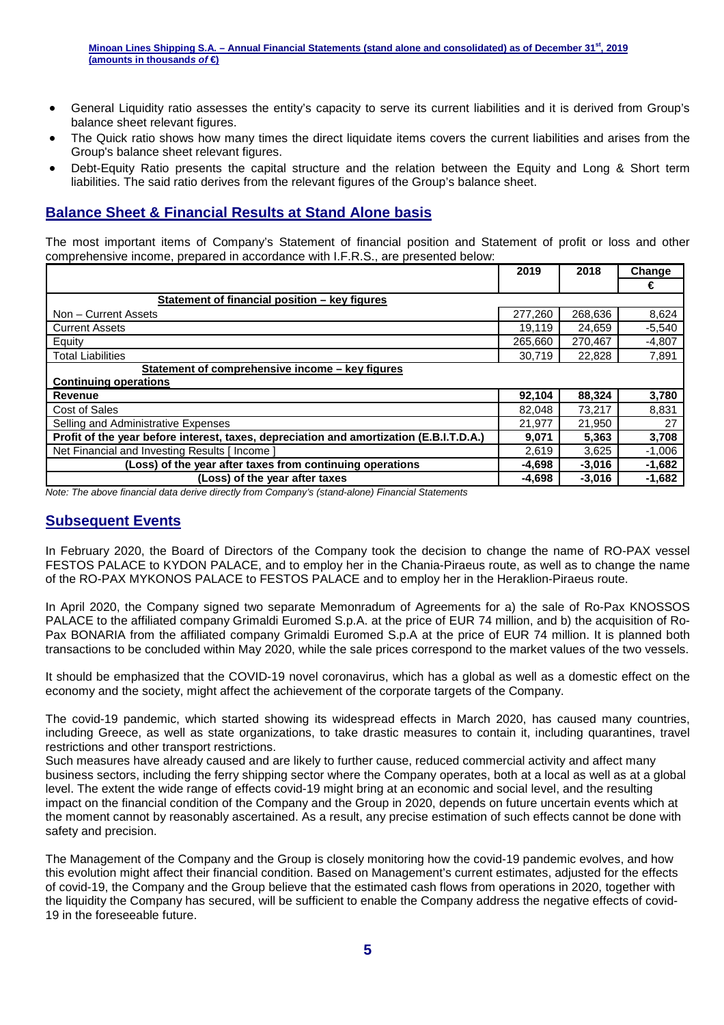- General Liquidity ratio assesses the entity's capacity to serve its current liabilities and it is derived from Group's balance sheet relevant figures.
- The Quick ratio shows how many times the direct liquidate items covers the current liabilities and arises from the Group's balance sheet relevant figures.
- Debt-Equity Ratio presents the capital structure and the relation between the Equity and Long & Short term liabilities. The said ratio derives from the relevant figures of the Group's balance sheet.

# **Balance Sheet & Financial Results at Stand Alone basis**

The most important items of Company's Statement of financial position and Statement of profit or loss and other comprehensive income, prepared in accordance with I.F.R.S., are presented below:

|                                                                                         | 2019     | 2018     | Change   |
|-----------------------------------------------------------------------------------------|----------|----------|----------|
|                                                                                         |          |          | €        |
| Statement of financial position – key figures                                           |          |          |          |
| Non - Current Assets                                                                    | 277,260  | 268,636  | 8,624    |
| <b>Current Assets</b>                                                                   | 19.119   | 24.659   | $-5,540$ |
| Equity                                                                                  | 265,660  | 270,467  | $-4,807$ |
| <b>Total Liabilities</b>                                                                | 30,719   | 22,828   | 7,891    |
| Statement of comprehensive income – key figures                                         |          |          |          |
| <b>Continuing operations</b>                                                            |          |          |          |
| <b>Revenue</b>                                                                          | 92,104   | 88,324   | 3,780    |
| Cost of Sales                                                                           | 82,048   | 73,217   | 8,831    |
| Selling and Administrative Expenses                                                     | 21.977   | 21.950   | 27       |
| Profit of the year before interest, taxes, depreciation and amortization (E.B.I.T.D.A.) | 9,071    | 5,363    | 3,708    |
| Net Financial and Investing Results [ Income ]                                          | 2,619    | 3,625    | $-1,006$ |
| (Loss) of the year after taxes from continuing operations                               | $-4,698$ | $-3,016$ | $-1,682$ |
| (Loss) of the year after taxes                                                          | -4,698   | $-3,016$ | $-1,682$ |

Note: The above financial data derive directly from Company's (stand-alone) Financial Statements

#### **Subsequent Events**

In February 2020, the Board of Directors of the Company took the decision to change the name of RO-PAX vessel FESTOS PALACE to KYDON PALACE, and to employ her in the Chania-Piraeus route, as well as to change the name of the RO-PAX MYKONOS PALACE to FESTOS PALACE and to employ her in the Heraklion-Piraeus route.

In April 2020, the Company signed two separate Memonradum of Agreements for a) the sale of Ro-Pax KNOSSOS PALACE to the affiliated company Grimaldi Euromed S.p.A. at the price of EUR 74 million, and b) the acquisition of Ro-Pax BONARIA from the affiliated company Grimaldi Euromed S.p.A at the price of EUR 74 million. It is planned both transactions to be concluded within May 2020, while the sale prices correspond to the market values of the two vessels.

It should be emphasized that the COVID-19 novel coronavirus, which has a global as well as a domestic effect on the economy and the society, might affect the achievement of the corporate targets of the Company.

The covid-19 pandemic, which started showing its widespread effects in March 2020, has caused many countries, including Greece, as well as state organizations, to take drastic measures to contain it, including quarantines, travel restrictions and other transport restrictions.

Such measures have already caused and are likely to further cause, reduced commercial activity and affect many business sectors, including the ferry shipping sector where the Company operates, both at a local as well as at a global level. The extent the wide range of effects covid-19 might bring at an economic and social level, and the resulting impact on the financial condition of the Company and the Group in 2020, depends on future uncertain events which at the moment cannot by reasonably ascertained. As a result, any precise estimation of such effects cannot be done with safety and precision.

The Management of the Company and the Group is closely monitoring how the covid-19 pandemic evolves, and how this evolution might affect their financial condition. Based on Management's current estimates, adjusted for the effects of covid-19, the Company and the Group believe that the estimated cash flows from operations in 2020, together with the liquidity the Company has secured, will be sufficient to enable the Company address the negative effects of covid-19 in the foreseeable future.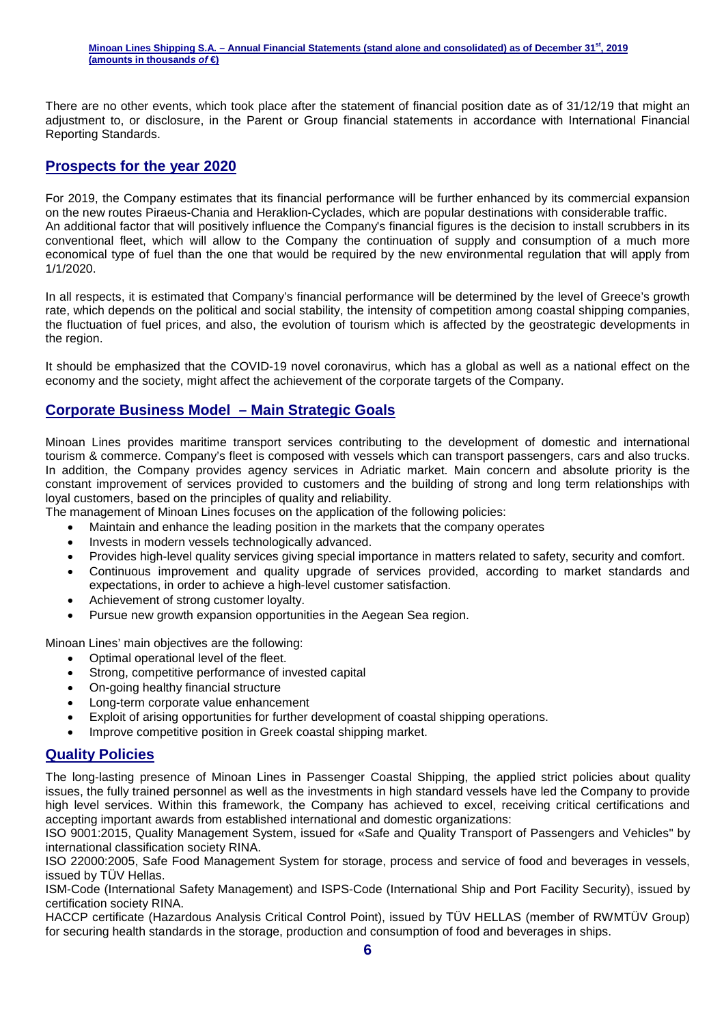#### **Minoan Lines Shipping S.A. – Annual Financial Statements (stand alone and consolidated) as of December 31st, 2019 (amounts in thousands of €)**

There are no other events, which took place after the statement of financial position date as of 31/12/19 that might an adjustment to, or disclosure, in the Parent or Group financial statements in accordance with International Financial Reporting Standards.

#### **Prospects for the year 2020**

For 2019, the Company estimates that its financial performance will be further enhanced by its commercial expansion on the new routes Piraeus-Chania and Heraklion-Cyclades, which are popular destinations with considerable traffic. An additional factor that will positively influence the Company's financial figures is the decision to install scrubbers in its conventional fleet, which will allow to the Company the continuation of supply and consumption of a much more economical type of fuel than the one that would be required by the new environmental regulation that will apply from 1/1/2020.

In all respects, it is estimated that Company's financial performance will be determined by the level of Greece's growth rate, which depends on the political and social stability, the intensity of competition among coastal shipping companies, the fluctuation of fuel prices, and also, the evolution of tourism which is affected by the geostrategic developments in the region.

It should be emphasized that the COVID-19 novel coronavirus, which has a global as well as a national effect on the economy and the society, might affect the achievement of the corporate targets of the Company.

#### **Corporate Business Model – Main Strategic Goals**

Minoan Lines provides maritime transport services contributing to the development of domestic and international tourism & commerce. Company's fleet is composed with vessels which can transport passengers, cars and also trucks. In addition, the Company provides agency services in Adriatic market. Main concern and absolute priority is the constant improvement of services provided to customers and the building of strong and long term relationships with loyal customers, based on the principles of quality and reliability.

The management of Minoan Lines focuses on the application of the following policies:

- Maintain and enhance the leading position in the markets that the company operates
- Invests in modern vessels technologically advanced.
- Provides high-level quality services giving special importance in matters related to safety, security and comfort.
- Continuous improvement and quality upgrade of services provided, according to market standards and expectations, in order to achieve a high-level customer satisfaction.
- Achievement of strong customer loyalty.
- Pursue new growth expansion opportunities in the Aegean Sea region.

Minoan Lines' main objectives are the following:

- Optimal operational level of the fleet.
- Strong, competitive performance of invested capital
- On-going healthy financial structure
- Long-term corporate value enhancement
- Exploit of arising opportunities for further development of coastal shipping operations.
- Improve competitive position in Greek coastal shipping market.

#### **Quality Policies**

The long-lasting presence of Minoan Lines in Passenger Coastal Shipping, the applied strict policies about quality issues, the fully trained personnel as well as the investments in high standard vessels have led the Company to provide high level services. Within this framework, the Company has achieved to excel, receiving critical certifications and accepting important awards from established international and domestic organizations:

ISO 9001:2015, Quality Management System, issued for «Safe and Quality Transport of Passengers and Vehicles" by international classification society RINA.

ISO 22000:2005, Safe Food Management System for storage, process and service of food and beverages in vessels, issued by TÜV Hellas.

ISM-Code (International Safety Management) and ISPS-Code (International Ship and Port Facility Security), issued by certification society RINA.

HACCP certificate (Hazardous Analysis Critical Control Point), issued by ΤÜV HELLAS (member of RWMTÜV Group) for securing health standards in the storage, production and consumption of food and beverages in ships.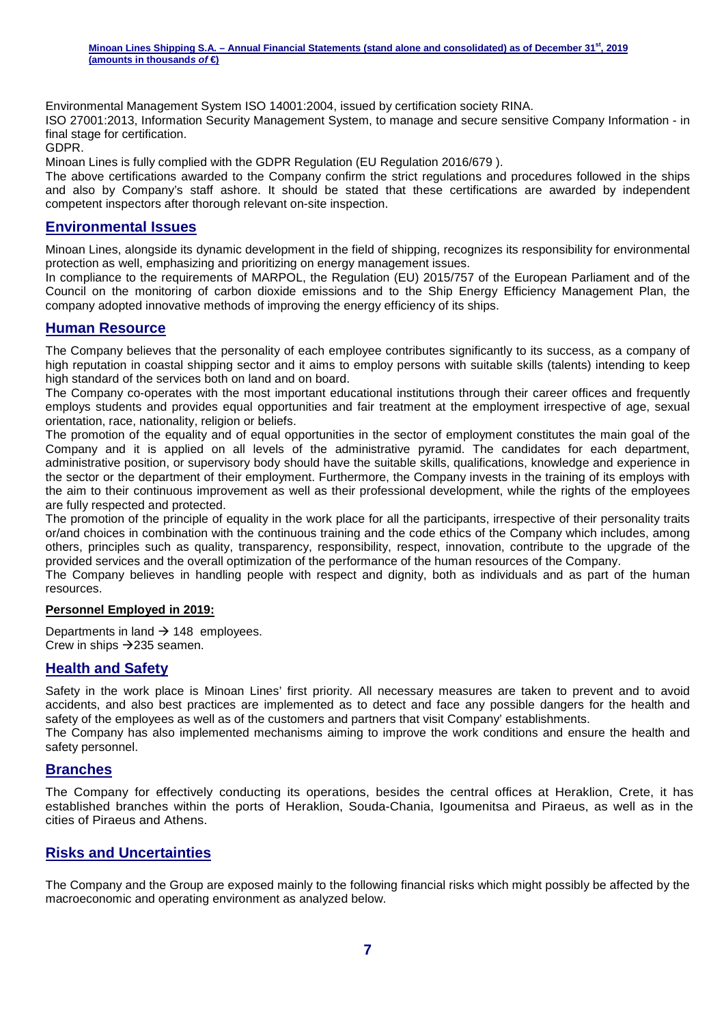**Minoan Lines Shipping S.A. – Annual Financial Statements (stand alone and consolidated) as of December 31st, 2019 (amounts in thousands of €)** 

Environmental Management System ISO 14001:2004, issued by certification society RINA.

ISO 27001:2013, Information Security Management System, to manage and secure sensitive Company Information - in final stage for certification.

GDPR.

Minoan Lines is fully complied with the GDPR Regulation (EU Regulation 2016/679 ).

The above certifications awarded to the Company confirm the strict regulations and procedures followed in the ships and also by Company's staff ashore. It should be stated that these certifications are awarded by independent competent inspectors after thorough relevant on-site inspection.

#### **Environmental Issues**

Minoan Lines, alongside its dynamic development in the field of shipping, recognizes its responsibility for environmental protection as well, emphasizing and prioritizing on energy management issues.

In compliance to the requirements of MARPOL, the Regulation (EU) 2015/757 of the European Parliament and of the Council on the monitoring of carbon dioxide emissions and to the Ship Energy Efficiency Management Plan, the company adopted innovative methods of improving the energy efficiency of its ships.

#### **Human Resource**

The Company believes that the personality of each employee contributes significantly to its success, as a company of high reputation in coastal shipping sector and it aims to employ persons with suitable skills (talents) intending to keep high standard of the services both on land and on board.

The Company co-operates with the most important educational institutions through their career offices and frequently employs students and provides equal opportunities and fair treatment at the employment irrespective of age, sexual orientation, race, nationality, religion or beliefs.

The promotion of the equality and of equal opportunities in the sector of employment constitutes the main goal of the Company and it is applied on all levels of the administrative pyramid. The candidates for each department, administrative position, or supervisory body should have the suitable skills, qualifications, knowledge and experience in the sector or the department of their employment. Furthermore, the Company invests in the training of its employs with the aim to their continuous improvement as well as their professional development, while the rights of the employees are fully respected and protected.

The promotion of the principle of equality in the work place for all the participants, irrespective of their personality traits or/and choices in combination with the continuous training and the code ethics of the Company which includes, among others, principles such as quality, transparency, responsibility, respect, innovation, contribute to the upgrade of the provided services and the overall optimization of the performance of the human resources of the Company.

The Company believes in handling people with respect and dignity, both as individuals and as part of the human resources.

#### **Personnel Employed in 2019:**

Departments in land  $\rightarrow$  148 employees. Crew in ships  $\rightarrow$  235 seamen.

#### **Health and Safety**

Safety in the work place is Minoan Lines' first priority. All necessary measures are taken to prevent and to avoid accidents, and also best practices are implemented as to detect and face any possible dangers for the health and safety of the employees as well as of the customers and partners that visit Company' establishments.

The Company has also implemented mechanisms aiming to improve the work conditions and ensure the health and safety personnel.

#### **Branches**

The Company for effectively conducting its operations, besides the central offices at Heraklion, Crete, it has established branches within the ports of Heraklion, Souda-Chania, Igoumenitsa and Piraeus, as well as in the cities of Piraeus and Athens.

#### **Risks and Uncertainties**

The Company and the Group are exposed mainly to the following financial risks which might possibly be affected by the macroeconomic and operating environment as analyzed below.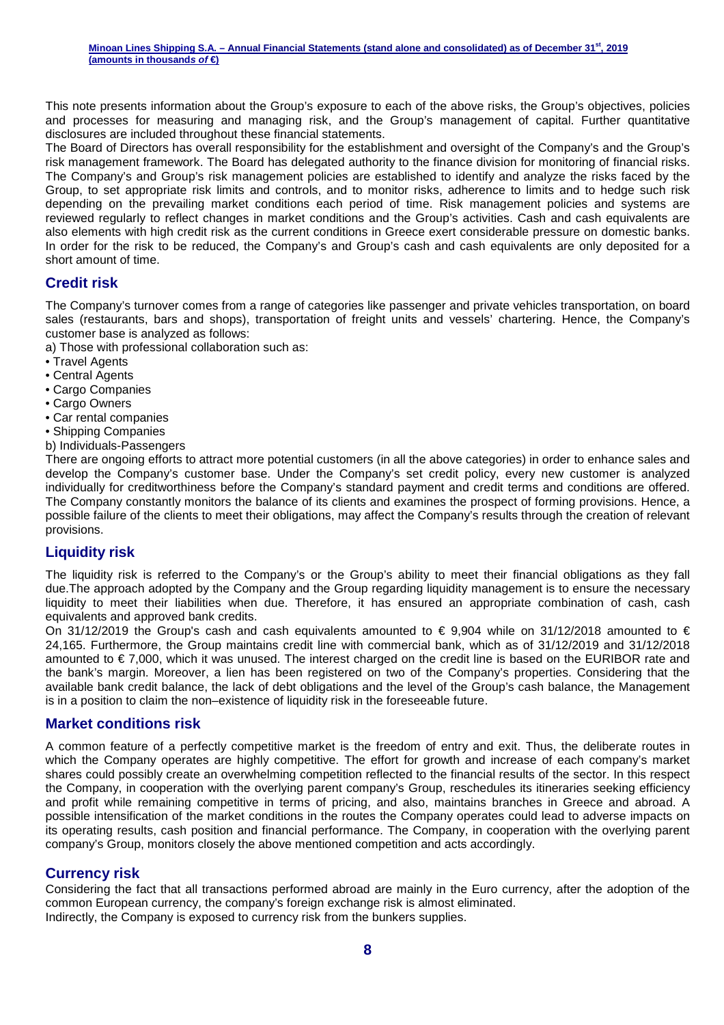This note presents information about the Group's exposure to each of the above risks, the Group's objectives, policies and processes for measuring and managing risk, and the Group's management of capital. Further quantitative disclosures are included throughout these financial statements.

The Board of Directors has overall responsibility for the establishment and oversight of the Company's and the Group's risk management framework. The Board has delegated authority to the finance division for monitoring of financial risks. The Company's and Group's risk management policies are established to identify and analyze the risks faced by the Group, to set appropriate risk limits and controls, and to monitor risks, adherence to limits and to hedge such risk depending on the prevailing market conditions each period of time. Risk management policies and systems are reviewed regularly to reflect changes in market conditions and the Group's activities. Cash and cash equivalents are also elements with high credit risk as the current conditions in Greece exert considerable pressure on domestic banks. In order for the risk to be reduced, the Company's and Group's cash and cash equivalents are only deposited for a short amount of time.

### **Credit risk**

The Company's turnover comes from a range of categories like passenger and private vehicles transportation, on board sales (restaurants, bars and shops), transportation of freight units and vessels' chartering. Hence, the Company's customer base is analyzed as follows:

a) Those with professional collaboration such as:

- Travel Agents
- Central Agents
- Cargo Companies
- Cargo Owners
- Car rental companies
- Shipping Companies
- b) Individuals-Passengers

There are ongoing efforts to attract more potential customers (in all the above categories) in order to enhance sales and develop the Company's customer base. Under the Company's set credit policy, every new customer is analyzed individually for creditworthiness before the Company's standard payment and credit terms and conditions are offered. The Company constantly monitors the balance of its clients and examines the prospect of forming provisions. Hence, a possible failure of the clients to meet their obligations, may affect the Company's results through the creation of relevant provisions.

#### **Liquidity risk**

The liquidity risk is referred to the Company's or the Group's ability to meet their financial obligations as they fall due.The approach adopted by the Company and the Group regarding liquidity management is to ensure the necessary liquidity to meet their liabilities when due. Therefore, it has ensured an appropriate combination of cash, cash equivalents and approved bank credits.

On 31/12/2019 the Group's cash and cash equivalents amounted to  $\epsilon$  9,904 while on 31/12/2018 amounted to  $\epsilon$ 24,165. Furthermore, the Group maintains credit line with commercial bank, which as of 31/12/2019 and 31/12/2018 amounted to € 7,000, which it was unused. The interest charged on the credit line is based on the EURIBOR rate and the bank's margin. Moreover, a lien has been registered on two of the Company's properties. Considering that the available bank credit balance, the lack of debt obligations and the level of the Group's cash balance, the Management is in a position to claim the non–existence of liquidity risk in the foreseeable future.

#### **Market conditions risk**

A common feature of a perfectly competitive market is the freedom of entry and exit. Thus, the deliberate routes in which the Company operates are highly competitive. The effort for growth and increase of each company's market shares could possibly create an overwhelming competition reflected to the financial results of the sector. In this respect the Company, in cooperation with the overlying parent company's Group, reschedules its itineraries seeking efficiency and profit while remaining competitive in terms of pricing, and also, maintains branches in Greece and abroad. A possible intensification of the market conditions in the routes the Company operates could lead to adverse impacts on its operating results, cash position and financial performance. The Company, in cooperation with the overlying parent company's Group, monitors closely the above mentioned competition and acts accordingly.

#### **Currency risk**

Considering the fact that all transactions performed abroad are mainly in the Euro currency, after the adoption of the common European currency, the company's foreign exchange risk is almost eliminated. Indirectly, the Company is exposed to currency risk from the bunkers supplies.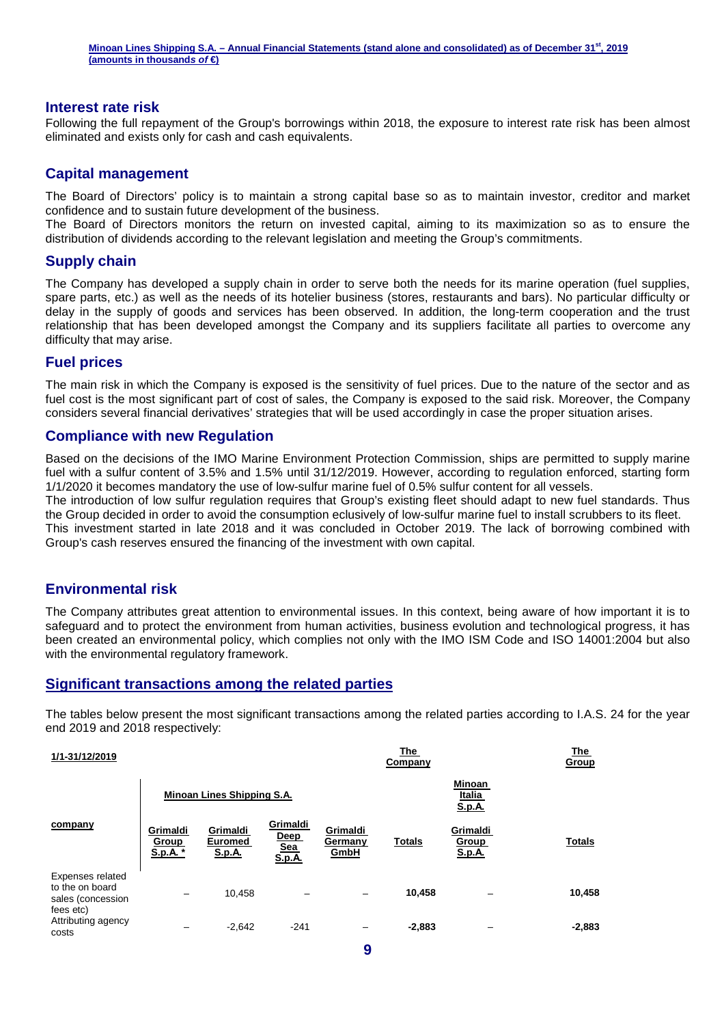#### **Interest rate risk**

Following the full repayment of the Group's borrowings within 2018, the exposure to interest rate risk has been almost eliminated and exists only for cash and cash equivalents.

#### **Capital management**

The Board of Directors' policy is to maintain a strong capital base so as to maintain investor, creditor and market confidence and to sustain future development of the business.

The Board of Directors monitors the return on invested capital, aiming to its maximization so as to ensure the distribution of dividends according to the relevant legislation and meeting the Group's commitments.

#### **Supply chain**

The Company has developed a supply chain in order to serve both the needs for its marine operation (fuel supplies, spare parts, etc.) as well as the needs of its hotelier business (stores, restaurants and bars). No particular difficulty or delay in the supply of goods and services has been observed. In addition, the long-term cooperation and the trust relationship that has been developed amongst the Company and its suppliers facilitate all parties to overcome any difficulty that may arise.

#### **Fuel prices**

The main risk in which the Company is exposed is the sensitivity of fuel prices. Due to the nature of the sector and as fuel cost is the most significant part of cost of sales, the Company is exposed to the said risk. Moreover, the Company considers several financial derivatives' strategies that will be used accordingly in case the proper situation arises.

#### **Compliance with new Regulation**

Based on the decisions of the IMO Marine Environment Protection Commission, ships are permitted to supply marine fuel with a sulfur content of 3.5% and 1.5% until 31/12/2019. However, according to regulation enforced, starting form 1/1/2020 it becomes mandatory the use of low-sulfur marine fuel of 0.5% sulfur content for all vessels.

The introduction of low sulfur regulation requires that Group's existing fleet should adapt to new fuel standards. Thus the Group decided in order to avoid the consumption eclusively of low-sulfur marine fuel to install scrubbers to its fleet. This investment started in late 2018 and it was concluded in October 2019. The lack of borrowing combined with Group's cash reserves ensured the financing of the investment with own capital.

#### **Environmental risk**

The Company attributes great attention to environmental issues. In this context, being aware of how important it is to safeguard and to protect the environment from human activities, business evolution and technological progress, it has been created an environmental policy, which complies not only with the IMO ISM Code and ISO 14001:2004 but also with the environmental regulatory framework.

#### **Significant transactions among the related parties**

The tables below present the most significant transactions among the related parties according to I.A.S. 24 for the year end 2019 and 2018 respectively:

| 1/1-31/12/2019                                                               |                               |                                             |                                          |                             | The<br>Company |                                           | The<br>Group  |
|------------------------------------------------------------------------------|-------------------------------|---------------------------------------------|------------------------------------------|-----------------------------|----------------|-------------------------------------------|---------------|
|                                                                              |                               | Minoan Lines Shipping S.A.                  |                                          |                             |                | Minoan<br>Italia<br><u>S.p.A.</u>         |               |
| company                                                                      | Grimaldi<br>Group<br>S.p.A. * | Grimaldi<br><b>Euromed</b><br><b>S.p.A.</b> | Grimaldi<br>Deep<br><b>Sea</b><br>S.p.A. | Grimaldi<br>Germany<br>GmbH | <b>Totals</b>  | Grimaldi<br><b>Group</b><br><u>S.p.A.</u> | <b>Totals</b> |
| <b>Expenses related</b><br>to the on board<br>sales (concession<br>fees etc) | -                             | 10,458                                      |                                          |                             | 10,458         |                                           | 10,458        |
| Attributing agency<br>costs                                                  |                               | $-2.642$                                    | $-241$                                   |                             | $-2,883$       | -                                         | $-2,883$      |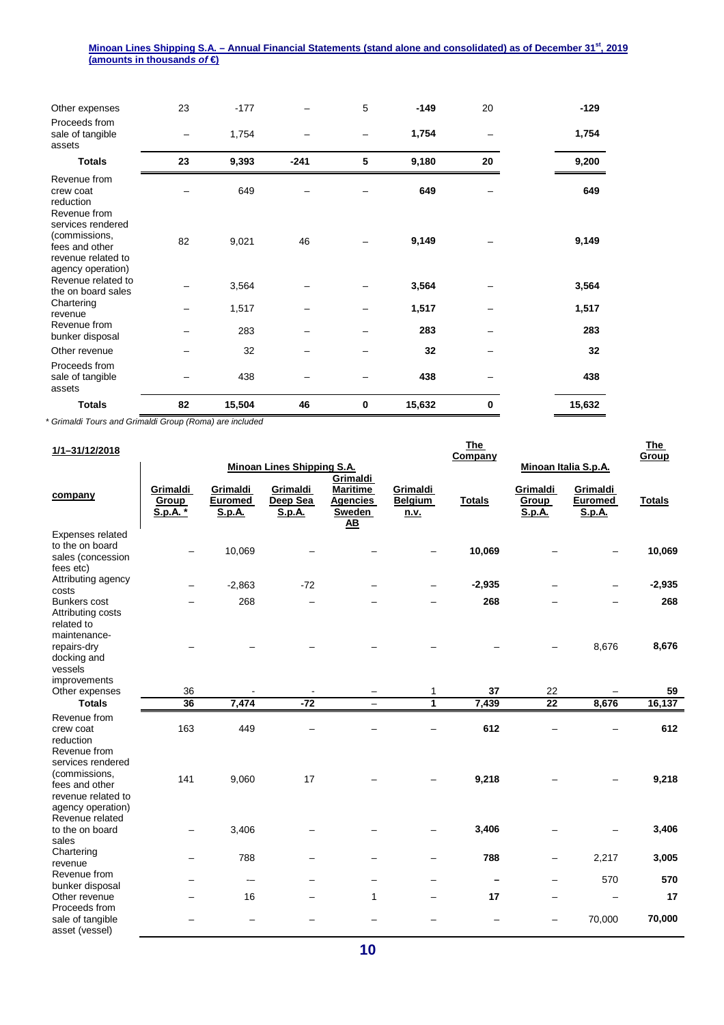| Other expenses                                                                                  | 23 | $-177$ |        | 5        | $-149$ | 20 | $-129$ |
|-------------------------------------------------------------------------------------------------|----|--------|--------|----------|--------|----|--------|
| Proceeds from<br>sale of tangible<br>assets                                                     |    | 1,754  |        |          | 1,754  |    | 1,754  |
| <b>Totals</b>                                                                                   | 23 | 9,393  | $-241$ | 5        | 9,180  | 20 | 9,200  |
| Revenue from<br>crew coat<br>reduction<br>Revenue from                                          |    | 649    |        |          | 649    |    | 649    |
| services rendered<br>(commissions,<br>fees and other<br>revenue related to<br>agency operation) | 82 | 9,021  | 46     |          | 9,149  |    | 9,149  |
| Revenue related to<br>the on board sales                                                        |    | 3,564  |        |          | 3,564  |    | 3,564  |
| Chartering<br>revenue                                                                           |    | 1,517  |        |          | 1,517  |    | 1,517  |
| Revenue from<br>bunker disposal                                                                 |    | 283    |        |          | 283    |    | 283    |
| Other revenue                                                                                   |    | 32     |        |          | 32     |    | 32     |
| Proceeds from<br>sale of tangible<br>assets                                                     |    | 438    |        |          | 438    |    | 438    |
| <b>Totals</b>                                                                                   | 82 | 15,504 | 46     | $\bf{0}$ | 15,632 | 0  | 15,632 |

\* Grimaldi Tours and Grimaldi Group (Roma) are included

| 1/1-31/12/2018                                                                                  |                                                           |                                             |                                       |                                                                                     |                                           | <b>The</b><br>Company |                                    |                                             | <b>The</b><br>Group |
|-------------------------------------------------------------------------------------------------|-----------------------------------------------------------|---------------------------------------------|---------------------------------------|-------------------------------------------------------------------------------------|-------------------------------------------|-----------------------|------------------------------------|---------------------------------------------|---------------------|
|                                                                                                 | <b>Minoan Lines Shipping S.A.</b><br>Minoan Italia S.p.A. |                                             |                                       |                                                                                     |                                           |                       |                                    |                                             |                     |
| company                                                                                         | Grimaldi<br>Group<br>S.p.A. *                             | Grimaldi<br><b>Euromed</b><br><u>S.p.A.</u> | Grimaldi<br>Deep Sea<br><b>S.p.A.</b> | Grimaldi<br><b>Maritime</b><br><b>Agencies</b><br><b>Sweden</b><br>$\underline{AB}$ | Grimaldi<br><b>Belgium</b><br><u>n.v.</u> | <b>Totals</b>         | Grimaldi<br>Group<br><b>S.p.A.</b> | Grimaldi<br><b>Euromed</b><br><b>S.p.A.</b> | <b>Totals</b>       |
| Expenses related<br>to the on board<br>sales (concession<br>fees etc)                           |                                                           | 10,069                                      |                                       |                                                                                     |                                           | 10,069                |                                    |                                             | 10,069              |
| Attributing agency                                                                              |                                                           | $-2,863$                                    | $-72$                                 |                                                                                     |                                           | $-2,935$              |                                    |                                             | $-2,935$            |
| costs<br><b>Bunkers cost</b><br>Attributing costs<br>related to<br>maintenance-                 |                                                           | 268                                         |                                       |                                                                                     |                                           | 268                   |                                    |                                             | 268                 |
| repairs-dry<br>docking and<br>vessels                                                           |                                                           |                                             |                                       |                                                                                     |                                           |                       |                                    | 8,676                                       | 8,676               |
| improvements<br>Other expenses                                                                  | 36                                                        |                                             |                                       |                                                                                     | 1                                         | 37                    | 22                                 |                                             | 59                  |
| <b>Totals</b>                                                                                   | $\overline{36}$                                           | 7,474                                       | $-72$                                 | -                                                                                   | 1                                         | 7,439                 | $\overline{22}$                    | 8,676                                       | 16,137              |
| Revenue from<br>crew coat<br>reduction<br>Revenue from                                          | 163                                                       | 449                                         |                                       |                                                                                     |                                           | 612                   |                                    |                                             | 612                 |
| services rendered<br>(commissions,<br>fees and other<br>revenue related to<br>agency operation) | 141                                                       | 9,060                                       | 17                                    |                                                                                     |                                           | 9,218                 |                                    |                                             | 9,218               |
| Revenue related<br>to the on board<br>sales                                                     |                                                           | 3,406                                       |                                       |                                                                                     |                                           | 3,406                 |                                    |                                             | 3,406               |
| Chartering<br>revenue                                                                           | -                                                         | 788                                         |                                       |                                                                                     |                                           | 788                   | -                                  | 2,217                                       | 3,005               |
| Revenue from<br>bunker disposal                                                                 |                                                           | $\qquad \qquad \cdots$                      |                                       |                                                                                     | -                                         |                       | -                                  | 570                                         | 570                 |
| Other revenue<br>Proceeds from                                                                  |                                                           | 16                                          |                                       | 1                                                                                   |                                           | 17                    | -                                  |                                             | 17                  |
| sale of tangible<br>asset (vessel)                                                              |                                                           |                                             |                                       |                                                                                     |                                           |                       | —                                  | 70,000                                      | 70,000              |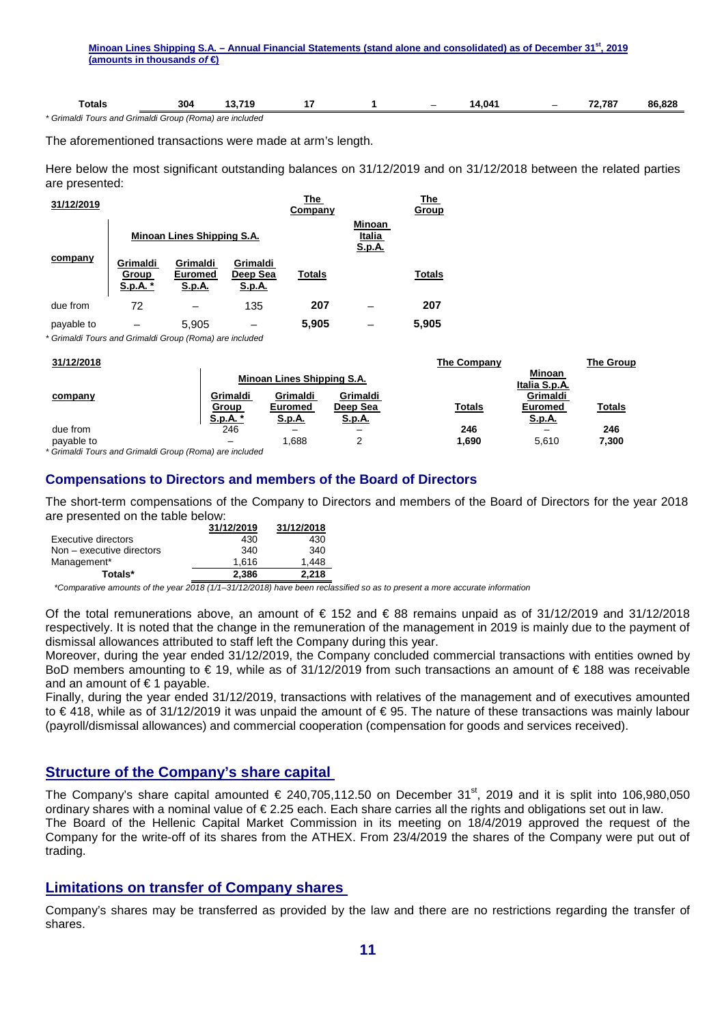| Minoan Lines Shipping S.A. – Annual Financial Statements (stand alone and consolidated) as of December 31 <sup>st</sup> , 2019 |  |
|--------------------------------------------------------------------------------------------------------------------------------|--|
| (amounts in thousands of $\in$ )                                                                                               |  |
|                                                                                                                                |  |
|                                                                                                                                |  |
|                                                                                                                                |  |

| otals:                | 304                         | −7∧.<br>       |  | $\overline{\phantom{a}}$ | 4.04 | $\overline{\phantom{a}}$ | 70 707 | פרם אנ<br>RF |
|-----------------------|-----------------------------|----------------|--|--------------------------|------|--------------------------|--------|--------------|
| Grimaldı<br>Tours and | (Roma)<br>Grimaldi<br>Group | ) are included |  |                          |      |                          |        |              |

The aforementioned transactions were made at arm's length.

Here below the most significant outstanding balances on 31/12/2019 and on 31/12/2018 between the related parties are presented:

| 31/12/2019 |                               |                                      |                                       | The<br>Company |                                   | The<br>Group  |
|------------|-------------------------------|--------------------------------------|---------------------------------------|----------------|-----------------------------------|---------------|
|            |                               | Minoan Lines Shipping S.A.           |                                       |                | Minoan<br>Italia<br><u>S.p.A.</u> |               |
| company    | Grimaldi<br>Group<br>S.p.A. * | Grimaldi<br>Euromed<br><u>S.p.A.</u> | Grimaldi<br>Deep Sea<br><u>S.p.A.</u> | <b>Totals</b>  |                                   | <b>Totals</b> |
| due from   | 72                            |                                      | 135                                   | 207            |                                   | 207           |
| payable to |                               | 5.905                                |                                       | 5,905          |                                   | 5,905         |

\* Grimaldi Tours and Grimaldi Group (Roma) are included

| 31/12/2018 |          |                            |               | The Company   |                         | The Group     |
|------------|----------|----------------------------|---------------|---------------|-------------------------|---------------|
|            |          | Minoan Lines Shipping S.A. |               |               | Minoan<br>Italia S.p.A. |               |
| company    | Grimaldi | <b>Grimaldi</b>            | Grimaldi      |               | Grimaldi                |               |
|            | Group    | Euromed                    | Deep Sea      | <b>Totals</b> | <b>Euromed</b>          | <b>Totals</b> |
|            | S.p.A. * | S.p.A.                     | <u>S.p.A.</u> |               | <u>S.p.A.</u>           |               |
| due from   | 246      |                            | -             | 246           |                         | 246           |
| payable to | -        | .688                       |               | 1,690         | 5.610                   | 7,300         |

\* Grimaldi Tours and Grimaldi Group (Roma) are included

#### **Compensations to Directors and members of the Board of Directors**

The short-term compensations of the Company to Directors and members of the Board of Directors for the year 2018 are presented on the table below:

|                           | 31/12/2019 | 31/12/2018 |
|---------------------------|------------|------------|
| Executive directors       | 430        | 430        |
| Non - executive directors | 340        | 340        |
| Management*               | 1.616      | 1.448      |
| Totals*                   | 2,386      | 2.218      |

\*Comparative amounts of the year 2018 (1/1–31/12/2018) have been reclassified so as to present a more accurate information

Of the total remunerations above, an amount of  $\epsilon$  152 and  $\epsilon$  88 remains unpaid as of 31/12/2019 and 31/12/2018 respectively. It is noted that the change in the remuneration of the management in 2019 is mainly due to the payment of dismissal allowances attributed to staff left the Company during this year.

Moreover, during the year ended 31/12/2019, the Company concluded commercial transactions with entities owned by BoD members amounting to € 19, while as of 31/12/2019 from such transactions an amount of € 188 was receivable and an amount of  $\epsilon$  1 payable.

Finally, during the year ended 31/12/2019, transactions with relatives of the management and of executives amounted to € 418, while as of 31/12/2019 it was unpaid the amount of € 95. The nature of these transactions was mainly labour (payroll/dismissal allowances) and commercial cooperation (compensation for goods and services received).

#### **Structure of the Company's share capital**

The Company's share capital amounted  $\epsilon$  240,705,112.50 on December 31<sup>st</sup>, 2019 and it is split into 106,980,050 ordinary shares with a nominal value of € 2.25 each. Each share carries all the rights and obligations set out in law. The Board of the Hellenic Capital Market Commission in its meeting on 18/4/2019 approved the request of the Company for the write-off of its shares from the ATHEX. From 23/4/2019 the shares of the Company were put out of trading.

#### **Limitations on transfer of Company shares**

Company's shares may be transferred as provided by the law and there are no restrictions regarding the transfer of shares.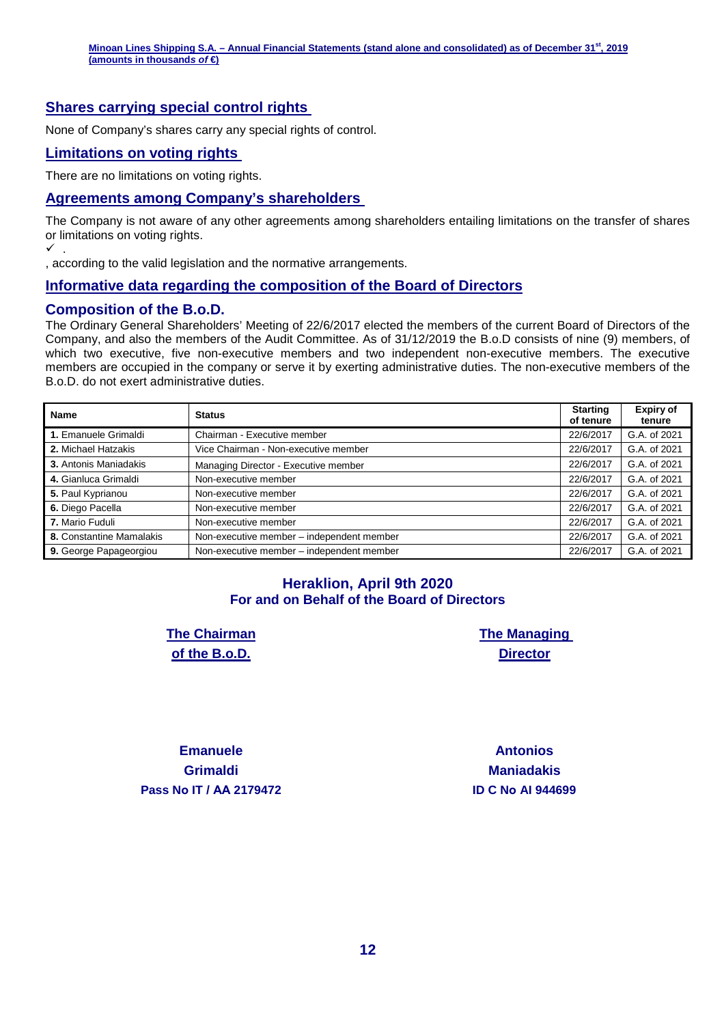#### **Shares carrying special control rights**

None of Company's shares carry any special rights of control.

#### **Limitations on voting rights**

There are no limitations on voting rights.

#### **Agreements among Company's shareholders**

The Company is not aware of any other agreements among shareholders entailing limitations on the transfer of shares or limitations on voting rights.  $\checkmark$  .

, according to the valid legislation and the normative arrangements.

#### **Informative data regarding the composition of the Board of Directors**

#### **Composition of the B.o.D.**

The Ordinary General Shareholders' Meeting of 22/6/2017 elected the members of the current Board of Directors of the Company, and also the members of the Audit Committee. As of 31/12/2019 the B.o.D consists of nine (9) members, of which two executive, five non-executive members and two independent non-executive members. The executive members are occupied in the company or serve it by exerting administrative duties. The non-executive members of the B.o.D. do not exert administrative duties.

| <b>Name</b>              | <b>Status</b>                             | <b>Starting</b><br>of tenure | <b>Expiry of</b><br>tenure |
|--------------------------|-------------------------------------------|------------------------------|----------------------------|
| 1. Emanuele Grimaldi     | Chairman - Executive member               | 22/6/2017                    | G.A. of 2021               |
| 2. Michael Hatzakis      | Vice Chairman - Non-executive member      | 22/6/2017                    | G.A. of 2021               |
| 3. Antonis Maniadakis    | Managing Director - Executive member      | 22/6/2017                    | G.A. of 2021               |
| 4. Gianluca Grimaldi     | Non-executive member                      | 22/6/2017                    | G.A. of 2021               |
| 5. Paul Kyprianou        | Non-executive member                      | 22/6/2017                    | G.A. of 2021               |
| 6. Diego Pacella         | Non-executive member                      | 22/6/2017                    | G.A. of 2021               |
| 7. Mario Fuduli          | Non-executive member                      | 22/6/2017                    | G.A. of 2021               |
| 8. Constantine Mamalakis | Non-executive member - independent member | 22/6/2017                    | G.A. of 2021               |
| 9. George Papageorgiou   | Non-executive member - independent member | 22/6/2017                    | G.A. of 2021               |

#### **Heraklion, April 9th 2020 For and on Behalf of the Board of Directors**

**The Chairman of the B.o.D.** 

**The Managing Director** 

**Emanuele Grimaldi Pass Nο IT / ΑΑ 2179472 ID C Nο AI 944699** 

**Antonios Maniadakis**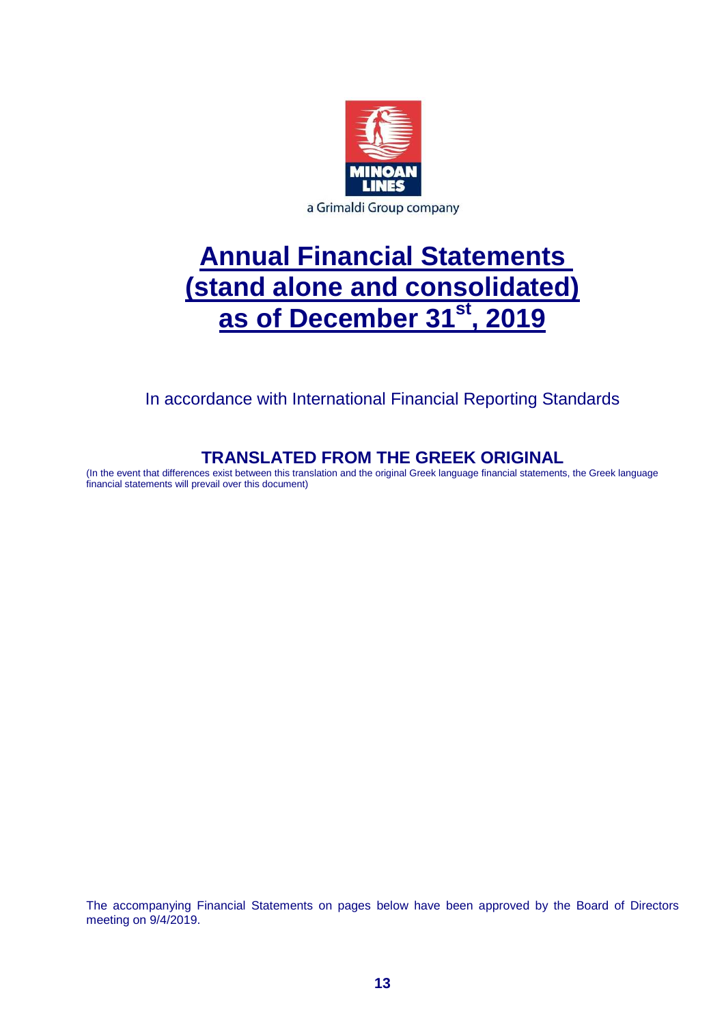

# **Annual Financial Statements (stand alone and consolidated) as of December 31st, 2019**

In accordance with International Financial Reporting Standards

# **TRANSLATED FROM THE GREEK ORIGINAL**

(In the event that differences exist between this translation and the original Greek language financial statements, the Greek language financial statements will prevail over this document)

The accompanying Financial Statements on pages below have been approved by the Board of Directors meeting on 9/4/2019.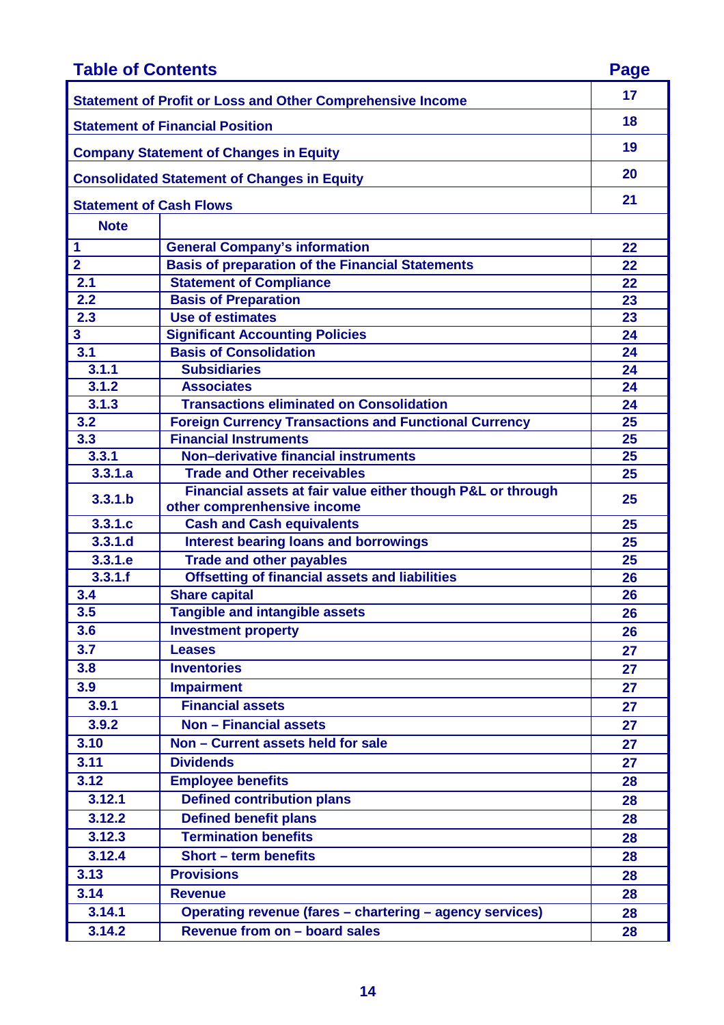| <b>Table of Contents</b>       |                                                                                            | <b>Page</b> |
|--------------------------------|--------------------------------------------------------------------------------------------|-------------|
|                                | <b>Statement of Profit or Loss and Other Comprehensive Income</b>                          | 17          |
|                                | <b>Statement of Financial Position</b>                                                     | 18          |
|                                | <b>Company Statement of Changes in Equity</b>                                              | 19          |
|                                | <b>Consolidated Statement of Changes in Equity</b>                                         | 20          |
| <b>Statement of Cash Flows</b> |                                                                                            | 21          |
| <b>Note</b>                    |                                                                                            |             |
| 1                              | <b>General Company's information</b>                                                       | 22          |
| $\overline{2}$                 | <b>Basis of preparation of the Financial Statements</b>                                    | 22          |
| 2.1                            | <b>Statement of Compliance</b>                                                             | 22          |
| 2.2                            | <b>Basis of Preparation</b>                                                                | 23          |
| 2.3                            | Use of estimates                                                                           | 23          |
| 3                              | <b>Significant Accounting Policies</b>                                                     | 24          |
| 3.1                            | <b>Basis of Consolidation</b>                                                              | 24          |
| 3.1.1                          | <b>Subsidiaries</b>                                                                        | 24          |
| 3.1.2                          | <b>Associates</b>                                                                          | 24          |
| 3.1.3                          | <b>Transactions eliminated on Consolidation</b>                                            | 24          |
| 3.2                            | <b>Foreign Currency Transactions and Functional Currency</b>                               | 25          |
| 3.3                            | <b>Financial Instruments</b>                                                               | 25          |
| 3.3.1                          | Non-derivative financial instruments                                                       | 25          |
| 3.3.1.a                        | <b>Trade and Other receivables</b>                                                         | 25          |
| 3.3.1.b                        | Financial assets at fair value either though P&L or through<br>other comprenhensive income | 25          |
| 3.3.1.c                        | <b>Cash and Cash equivalents</b>                                                           | 25          |
| 3.3.1.d                        | <b>Interest bearing loans and borrowings</b>                                               | 25          |
| 3.3.1.e                        | <b>Trade and other payables</b>                                                            | 25          |
| 3.3.1.f                        | <b>Offsetting of financial assets and liabilities</b>                                      | 26          |
| 3.4                            | <b>Share capital</b>                                                                       | 26          |
| 3.5                            | <b>Tangible and intangible assets</b>                                                      | 26          |
| 3.6                            | <b>Investment property</b>                                                                 | 26          |
| 3.7                            | <b>Leases</b>                                                                              | 27          |
| 3.8                            | <b>Inventories</b>                                                                         | 27          |
| 3.9                            | <b>Impairment</b>                                                                          | 27          |
| 3.9.1                          | <b>Financial assets</b>                                                                    | 27          |
| 3.9.2                          | <b>Non - Financial assets</b>                                                              | 27          |
| 3.10                           | Non - Current assets held for sale                                                         | 27          |
| 3.11                           | <b>Dividends</b>                                                                           | 27          |
| 3.12                           | <b>Employee benefits</b>                                                                   | 28          |
| 3.12.1                         | <b>Defined contribution plans</b>                                                          | 28          |
| 3.12.2                         | <b>Defined benefit plans</b>                                                               |             |
| 3.12.3                         | <b>Termination benefits</b>                                                                | 28          |
| 3.12.4                         | <b>Short - term benefits</b>                                                               | 28          |
|                                |                                                                                            | 28          |
| 3.13                           | <b>Provisions</b>                                                                          | 28          |
| 3.14                           | <b>Revenue</b>                                                                             | 28          |
| 3.14.1                         | Operating revenue (fares - chartering - agency services)                                   | 28          |
| 3.14.2                         | Revenue from on - board sales                                                              | 28          |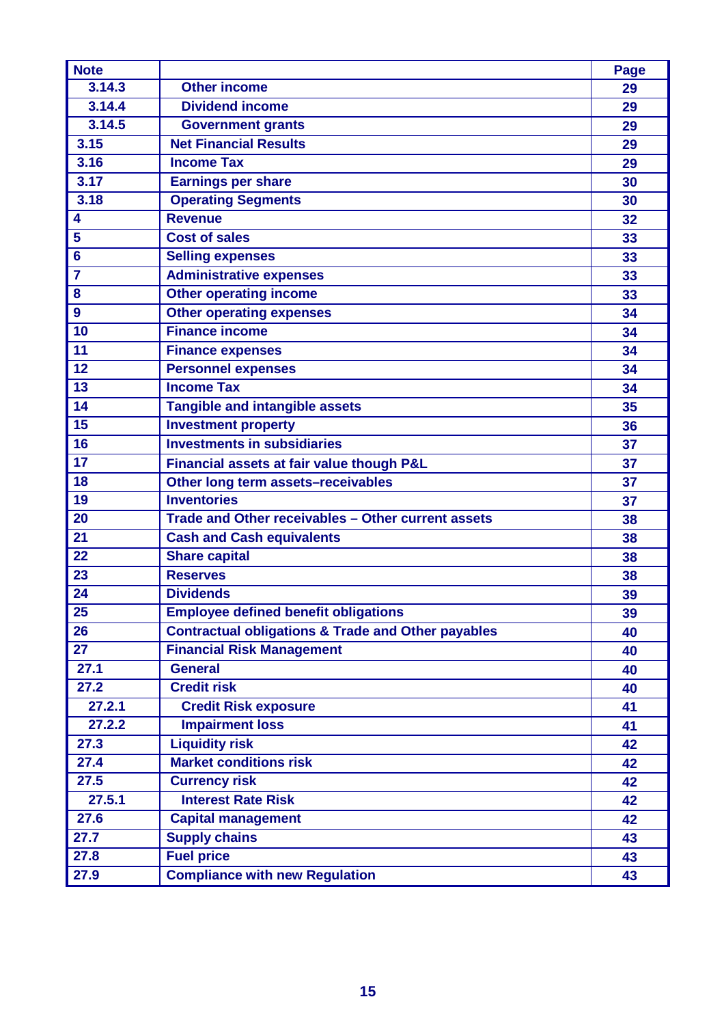| <b>Note</b>             |                                                               | <b>Page</b> |
|-------------------------|---------------------------------------------------------------|-------------|
| 3.14.3                  | <b>Other income</b>                                           | 29          |
| 3.14.4                  | <b>Dividend income</b>                                        | 29          |
| 3.14.5                  | <b>Government grants</b>                                      | 29          |
| 3.15                    | <b>Net Financial Results</b>                                  | 29          |
| 3.16                    | <b>Income Tax</b>                                             | 29          |
| 3.17                    | <b>Earnings per share</b>                                     | 30          |
| 3.18                    | <b>Operating Segments</b>                                     | 30          |
| $\overline{\mathbf{4}}$ | <b>Revenue</b>                                                | 32          |
| 5                       | <b>Cost of sales</b>                                          | 33          |
| $6\phantom{1}6$         | <b>Selling expenses</b>                                       | 33          |
| $\overline{7}$          | <b>Administrative expenses</b>                                | 33          |
| 8                       | <b>Other operating income</b>                                 | 33          |
| 9                       | <b>Other operating expenses</b>                               | 34          |
| 10                      | <b>Finance income</b>                                         | 34          |
| 11                      | <b>Finance expenses</b>                                       | 34          |
| 12                      | <b>Personnel expenses</b>                                     | 34          |
| 13                      | <b>Income Tax</b>                                             | 34          |
| 14                      | <b>Tangible and intangible assets</b>                         | 35          |
| 15                      | <b>Investment property</b>                                    | 36          |
| 16                      | <b>Investments in subsidiaries</b>                            | 37          |
| 17                      | Financial assets at fair value though P&L                     | 37          |
| 18                      | Other long term assets-receivables                            | 37          |
| 19                      | <b>Inventories</b>                                            | 37          |
| 20                      | Trade and Other receivables - Other current assets            | 38          |
| 21                      | <b>Cash and Cash equivalents</b>                              | 38          |
| 22                      | <b>Share capital</b>                                          | 38          |
| 23                      | <b>Reserves</b>                                               | 38          |
| 24                      | <b>Dividends</b>                                              | 39          |
| 25                      | <b>Employee defined benefit obligations</b>                   | 39          |
| 26                      | <b>Contractual obligations &amp; Trade and Other payables</b> | 40          |
| 27                      | <b>Financial Risk Management</b>                              | 40          |
| 27.1                    | <b>General</b>                                                | 40          |
| 27.2                    | <b>Credit risk</b>                                            | 40          |
| 27.2.1                  | <b>Credit Risk exposure</b>                                   | 41          |
| 27.2.2                  | <b>Impairment loss</b>                                        | 41          |
| 27.3                    | <b>Liquidity risk</b>                                         | 42          |
| 27.4                    | <b>Market conditions risk</b>                                 | 42          |
| 27.5                    | <b>Currency risk</b>                                          | 42          |
| 27.5.1                  | <b>Interest Rate Risk</b>                                     | 42          |
| 27.6                    | <b>Capital management</b>                                     | 42          |
| 27.7                    | <b>Supply chains</b>                                          | 43          |
| 27.8                    | <b>Fuel price</b>                                             | 43          |
| 27.9                    | <b>Compliance with new Regulation</b>                         | 43          |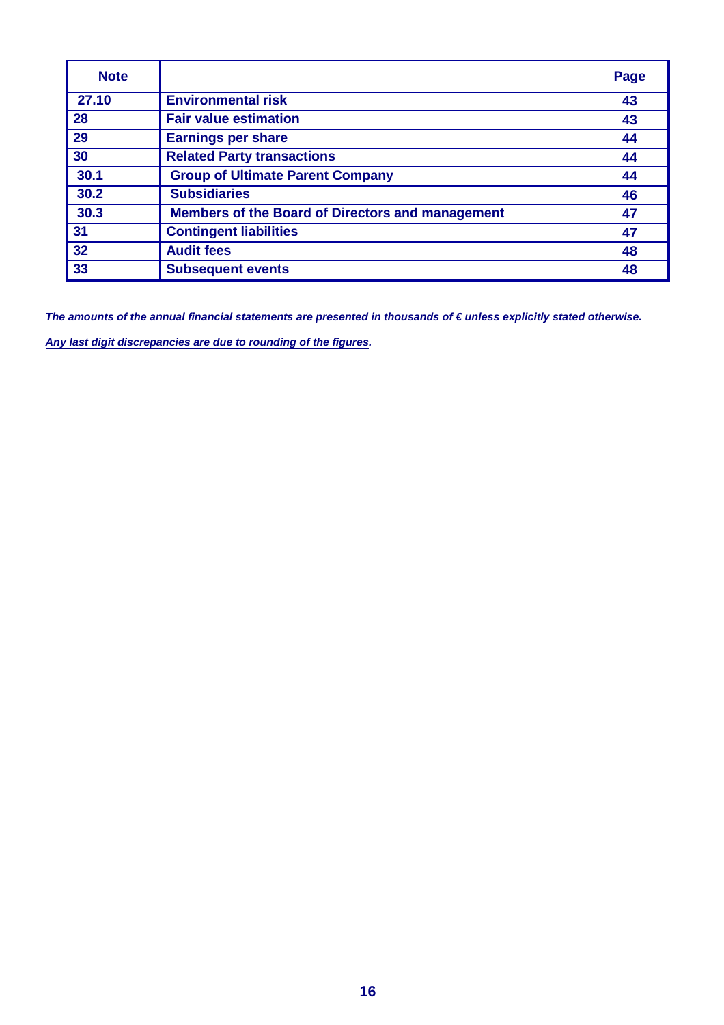| <b>Note</b> |                                                         | Page |
|-------------|---------------------------------------------------------|------|
| 27.10       | <b>Environmental risk</b>                               | 43   |
| 28          | <b>Fair value estimation</b>                            | 43   |
| 29          | <b>Earnings per share</b>                               | 44   |
| 30          | <b>Related Party transactions</b>                       | 44   |
| 30.1        | <b>Group of Ultimate Parent Company</b>                 | 44   |
| 30.2        | <b>Subsidiaries</b>                                     | 46   |
| 30.3        | <b>Members of the Board of Directors and management</b> | 47   |
| 31          | <b>Contingent liabilities</b>                           | 47   |
| 32          | <b>Audit fees</b>                                       | 48   |
| 33          | <b>Subsequent events</b>                                | 48   |

The amounts of the annual financial statements are presented in thousands of € unless explicitly stated otherwise. **Any last digit discrepancies are due to rounding of the figures.**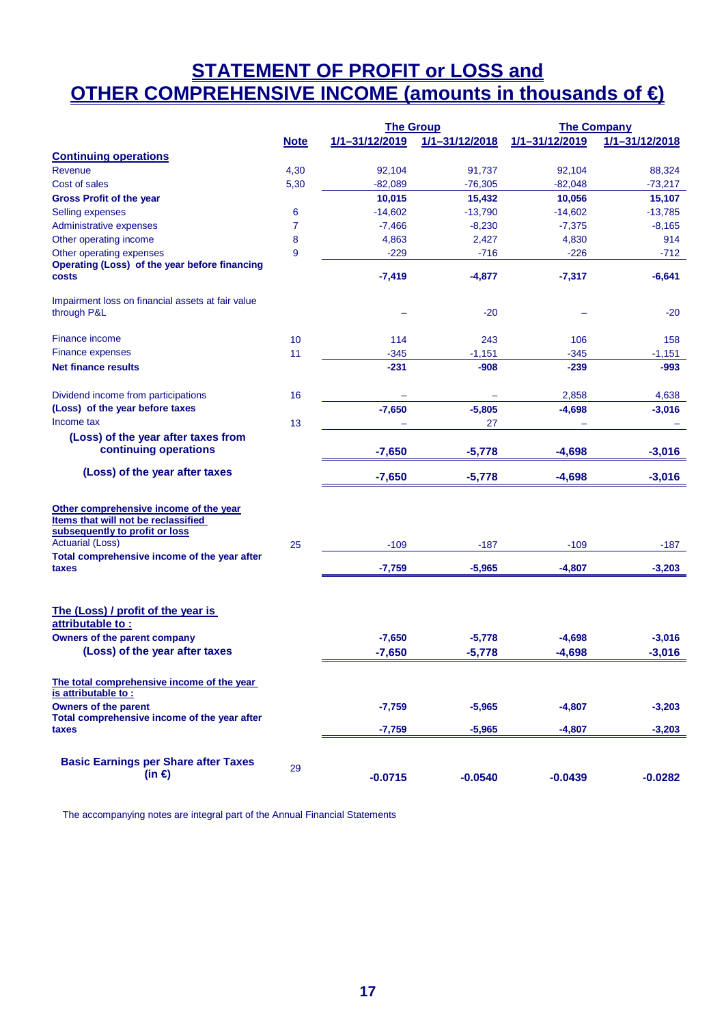# **STATEMENT OF PROFIT or LOSS and OTHER COMPREHENSIVE INCOME (amounts in thousands of €)**

|                                                                                                                                                                                            |                | <b>The Group</b> |                | <b>The Company</b> |                |  |
|--------------------------------------------------------------------------------------------------------------------------------------------------------------------------------------------|----------------|------------------|----------------|--------------------|----------------|--|
|                                                                                                                                                                                            | <b>Note</b>    | 1/1-31/12/2019   | 1/1-31/12/2018 | 1/1-31/12/2019     | 1/1-31/12/2018 |  |
| <b>Continuing operations</b>                                                                                                                                                               |                |                  |                |                    |                |  |
| Revenue                                                                                                                                                                                    | 4,30           | 92,104           | 91,737         | 92,104             | 88,324         |  |
| Cost of sales                                                                                                                                                                              | 5,30           | $-82,089$        | $-76,305$      | $-82,048$          | $-73,217$      |  |
| <b>Gross Profit of the year</b>                                                                                                                                                            |                | 10,015           | 15,432         | 10,056             | 15,107         |  |
| Selling expenses                                                                                                                                                                           | 6              | $-14,602$        | $-13,790$      | $-14,602$          | $-13,785$      |  |
| Administrative expenses                                                                                                                                                                    | $\overline{7}$ | $-7,466$         | $-8,230$       | $-7,375$           | $-8,165$       |  |
| Other operating income                                                                                                                                                                     | 8              | 4,863            | 2,427          | 4,830              | 914            |  |
| Other operating expenses                                                                                                                                                                   | 9              | $-229$           | $-716$         | $-226$             | $-712$         |  |
| Operating (Loss) of the year before financing                                                                                                                                              |                |                  |                |                    |                |  |
| costs                                                                                                                                                                                      |                | $-7,419$         | $-4,877$       | $-7,317$           | $-6,641$       |  |
| Impairment loss on financial assets at fair value<br>through P&L                                                                                                                           |                |                  | $-20$          |                    | $-20$          |  |
| Finance income                                                                                                                                                                             | 10             | 114              | 243            | 106                | 158            |  |
| <b>Finance expenses</b>                                                                                                                                                                    | 11             | $-345$           | $-1,151$       | $-345$             | $-1,151$       |  |
| <b>Net finance results</b>                                                                                                                                                                 |                | $-231$           | $-908$         | $-239$             | -993           |  |
| Dividend income from participations                                                                                                                                                        | 16             |                  |                | 2,858              | 4,638          |  |
| (Loss) of the year before taxes                                                                                                                                                            |                | $-7,650$         | $-5,805$       | $-4,698$           | $-3,016$       |  |
| Income tax                                                                                                                                                                                 | 13             |                  | 27             |                    |                |  |
| (Loss) of the year after taxes from                                                                                                                                                        |                |                  |                |                    |                |  |
| continuing operations                                                                                                                                                                      |                | $-7,650$         | $-5,778$       | $-4,698$           | $-3,016$       |  |
| (Loss) of the year after taxes                                                                                                                                                             |                | $-7,650$         | $-5,778$       | $-4,698$           | $-3,016$       |  |
| Other comprehensive income of the year<br>Items that will not be reclassified<br>subsequently to profit or loss<br><b>Actuarial (Loss)</b><br>Total comprehensive income of the year after | 25             | $-109$           | $-187$         | $-109$             | -187           |  |
| taxes                                                                                                                                                                                      |                | $-7,759$         | $-5,965$       | $-4,807$           | $-3,203$       |  |
| The (Loss) / profit of the year is<br>attributable to:                                                                                                                                     |                |                  |                |                    |                |  |
| Owners of the parent company                                                                                                                                                               |                | $-7,650$         | $-5,778$       | $-4,698$           | $-3,016$       |  |
| (Loss) of the year after taxes                                                                                                                                                             |                | $-7,650$         | $-5,778$       | $-4,698$           | $-3,016$       |  |
| The total comprehensive income of the year<br>is attributable to:                                                                                                                          |                |                  |                |                    |                |  |
| <b>Owners of the parent</b>                                                                                                                                                                |                | $-7,759$         | $-5,965$       | $-4,807$           | $-3,203$       |  |
| Total comprehensive income of the year after<br>taxes                                                                                                                                      |                | $-7,759$         | $-5,965$       | $-4,807$           | $-3,203$       |  |
|                                                                                                                                                                                            |                |                  |                |                    |                |  |
| <b>Basic Earnings per Share after Taxes</b><br>(in $\epsilon$ )                                                                                                                            | 29             | $-0.0715$        | $-0.0540$      | $-0.0439$          | $-0.0282$      |  |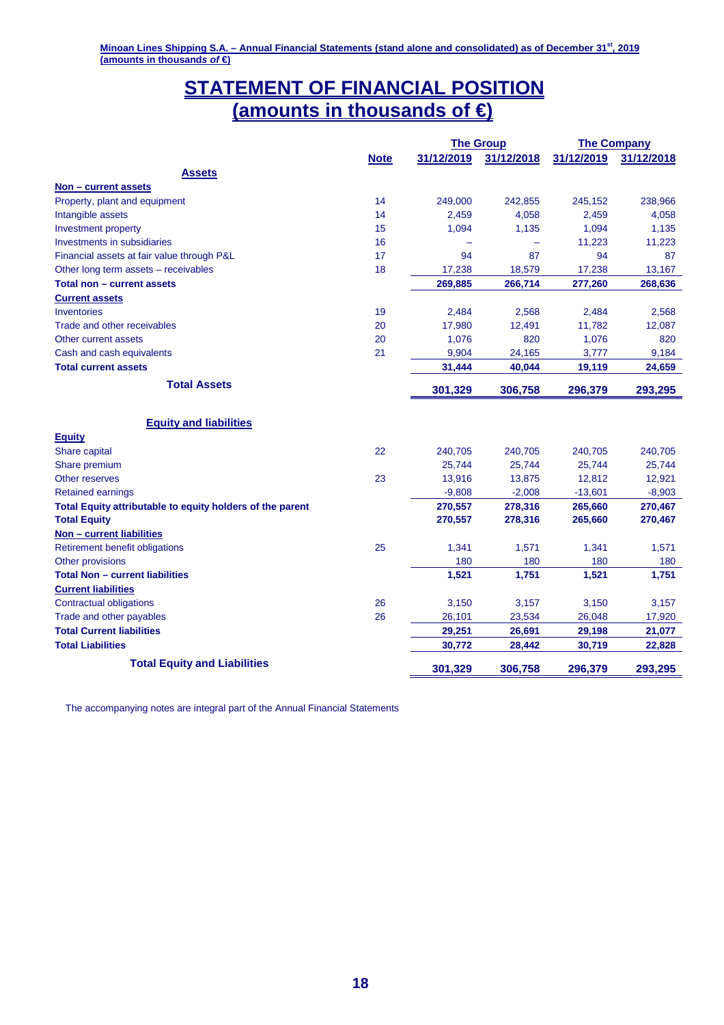# **STATEMENT OF FINANCIAL POSITION (amounts in thousands of €)**

|                                                           |             | <b>The Group</b> |            |            | <b>The Company</b> |
|-----------------------------------------------------------|-------------|------------------|------------|------------|--------------------|
|                                                           | <b>Note</b> | 31/12/2019       | 31/12/2018 | 31/12/2019 | 31/12/2018         |
| <b>Assets</b>                                             |             |                  |            |            |                    |
| Non - current assets                                      |             |                  |            |            |                    |
| Property, plant and equipment                             | 14          | 249,000          | 242,855    | 245,152    | 238,966            |
| Intangible assets                                         | 14          | 2,459            | 4,058      | 2,459      | 4,058              |
| Investment property                                       | 15          | 1,094            | 1,135      | 1,094      | 1,135              |
| Investments in subsidiaries                               | 16          | ۳                |            | 11,223     | 11,223             |
| Financial assets at fair value through P&L                | 17          | 94               | 87         | 94         | 87                 |
| Other long term assets - receivables                      | 18          | 17,238           | 18,579     | 17,238     | 13,167             |
| Total non - current assets                                |             | 269,885          | 266,714    | 277,260    | 268,636            |
| <b>Current assets</b>                                     |             |                  |            |            |                    |
| <b>Inventories</b>                                        | 19          | 2,484            | 2,568      | 2,484      | 2,568              |
| Trade and other receivables                               | 20          | 17,980           | 12,491     | 11,782     | 12,087             |
| Other current assets                                      | 20          | 1,076            | 820        | 1,076      | 820                |
| Cash and cash equivalents                                 | 21          | 9,904            | 24,165     | 3,777      | 9,184              |
| <b>Total current assets</b>                               |             | 31,444           | 40,044     | 19,119     | 24,659             |
| <b>Total Assets</b>                                       |             |                  |            |            |                    |
|                                                           |             | 301,329          | 306,758    | 296,379    | 293,295            |
|                                                           |             |                  |            |            |                    |
| <b>Equity and liabilities</b>                             |             |                  |            |            |                    |
| <b>Equity</b>                                             |             |                  |            |            |                    |
| Share capital                                             | 22          | 240,705          | 240,705    | 240,705    | 240,705            |
| Share premium                                             |             | 25,744           | 25,744     | 25,744     | 25,744             |
| <b>Other reserves</b>                                     | 23          | 13,916           | 13,875     | 12,812     | 12,921             |
| <b>Retained earnings</b>                                  |             | $-9,808$         | $-2,008$   | $-13,601$  | $-8,903$           |
| Total Equity attributable to equity holders of the parent |             | 270,557          | 278,316    | 265,660    | 270,467            |
| <b>Total Equity</b>                                       |             | 270,557          | 278,316    | 265,660    | 270,467            |
| Non - current liabilities                                 |             |                  |            |            |                    |
| Retirement benefit obligations                            | 25          | 1,341            | 1,571      | 1,341      | 1,571              |
| Other provisions                                          |             | 180              | 180        | 180        | 180                |
| <b>Total Non - current liabilities</b>                    |             | 1,521            | 1,751      | 1,521      | 1,751              |
| <b>Current liabilities</b>                                |             |                  |            |            |                    |
| <b>Contractual obligations</b>                            | 26          | 3,150            | 3,157      | 3,150      | 3,157              |
| Trade and other payables                                  | 26          | 26,101           | 23,534     | 26,048     | 17,920             |
| <b>Total Current liabilities</b>                          |             | 29,251           | 26,691     | 29,198     | 21,077             |
| <b>Total Liabilities</b>                                  |             | 30,772           | 28,442     | 30,719     | 22,828             |
| <b>Total Equity and Liabilities</b>                       |             |                  |            |            |                    |
|                                                           |             | 301,329          | 306,758    | 296,379    | 293,295            |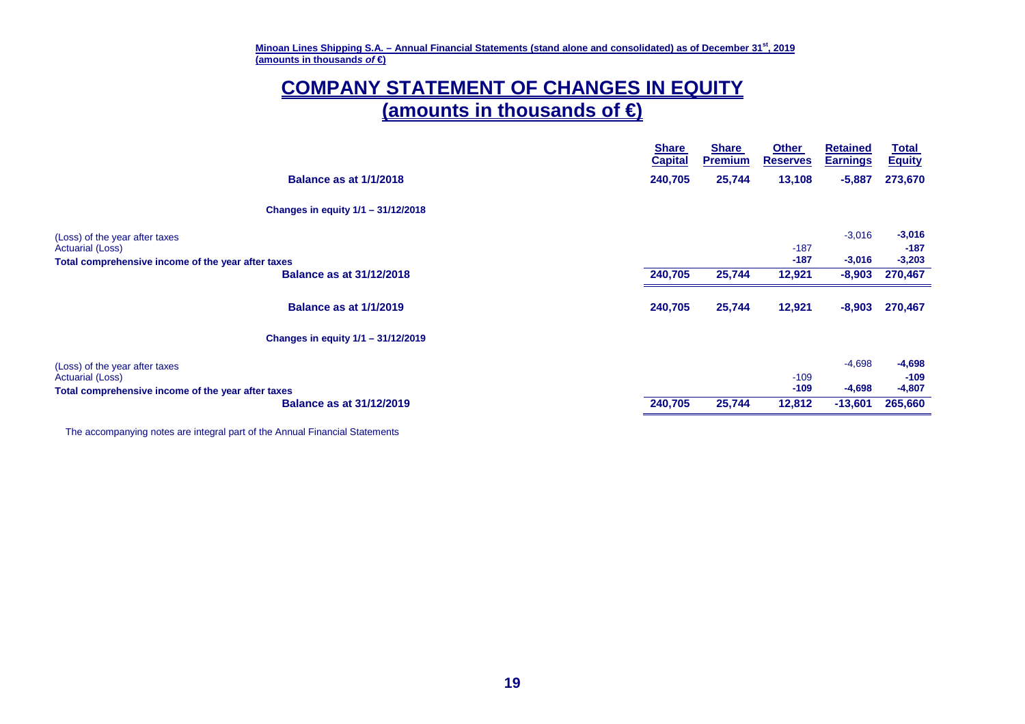**Minoan Lines Shipping S.A. – Annual Financial Statements (stand alone and consolidated) as of December 31st, <sup>2019</sup> (amounts in thousands of €)** 

# **COMPANY STATEMENT OF CHANGES IN EQUITY (amounts in thousands of €)**

|                                                                                                                                                                                                 | <b>Share</b><br><b>Capital</b> | <b>Share</b><br><b>Premium</b> | <b>Other</b><br><b>Reserves</b> | <b>Retained</b><br><b>Earnings</b> | <b>Total</b><br><b>Equity</b> |
|-------------------------------------------------------------------------------------------------------------------------------------------------------------------------------------------------|--------------------------------|--------------------------------|---------------------------------|------------------------------------|-------------------------------|
| <b>Balance as at 1/1/2018</b>                                                                                                                                                                   | 240,705                        | 25,744                         | 13,108                          | $-5,887$                           | 273,670                       |
| Changes in equity $1/1 - 31/12/2018$                                                                                                                                                            |                                |                                |                                 |                                    |                               |
| (Loss) of the year after taxes<br>Actuarial (Loss)                                                                                                                                              |                                |                                | $-187$                          | $-3,016$                           | $-3,016$<br>$-187$            |
| Total comprehensive income of the year after taxes                                                                                                                                              |                                |                                | $-187$                          | $-3,016$                           | $-3,203$                      |
| <b>Balance as at 31/12/2018</b><br><b>Balance as at 1/1/2019</b><br>Changes in equity 1/1 - 31/12/2019<br>Total comprehensive income of the year after taxes<br><b>Balance as at 31/12/2019</b> | 240,705                        | 25,744                         | 12,921                          | $-8,903$                           | 270,467                       |
|                                                                                                                                                                                                 | 240,705                        | 25,744                         | 12,921                          | $-8,903$                           | 270,467                       |
|                                                                                                                                                                                                 |                                |                                |                                 |                                    |                               |
| (Loss) of the year after taxes                                                                                                                                                                  |                                |                                |                                 | $-4,698$                           | $-4,698$                      |
| Actuarial (Loss)                                                                                                                                                                                |                                |                                | $-109$                          |                                    | $-109$                        |
|                                                                                                                                                                                                 |                                |                                | $-109$                          | $-4,698$                           | $-4,807$                      |
|                                                                                                                                                                                                 | 240,705                        | 25,744                         | 12,812                          | $-13,601$                          | 265,660                       |
|                                                                                                                                                                                                 |                                |                                |                                 |                                    |                               |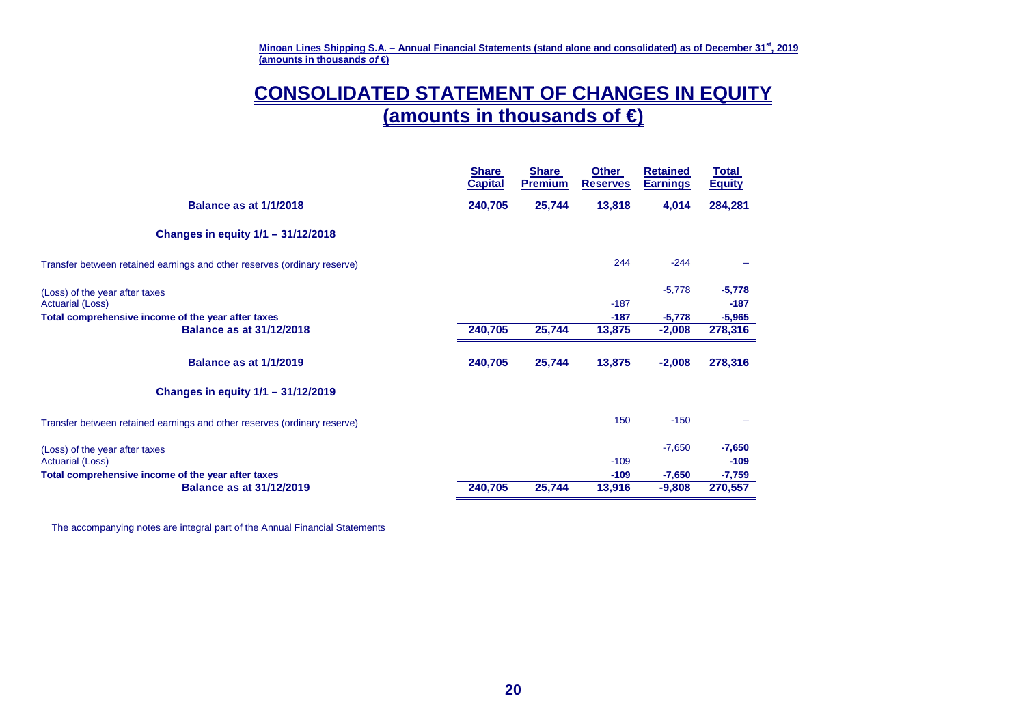**Minoan Lines Shipping S.A. – Annual Financial Statements (stand alone and consolidated) as of December 31st, <sup>2019</sup> (amounts in thousands of €)** 

# **CONSOLIDATED STATEMENT OF CHANGES IN EQUITY (amounts in thousands of €)**

|                                                                          | <b>Share</b><br><b>Capital</b> | <b>Share</b><br><b>Premium</b> | <b>Other</b><br><b>Reserves</b> | <b>Retained</b><br><b>Earnings</b> | Total<br><b>Equity</b> |
|--------------------------------------------------------------------------|--------------------------------|--------------------------------|---------------------------------|------------------------------------|------------------------|
| <b>Balance as at 1/1/2018</b>                                            | 240,705                        | 25,744                         | 13,818                          | 4,014                              | 284,281                |
| Changes in equity 1/1 - 31/12/2018                                       |                                |                                |                                 |                                    |                        |
| Transfer between retained earnings and other reserves (ordinary reserve) |                                |                                | 244                             | $-244$                             |                        |
| (Loss) of the year after taxes                                           |                                |                                |                                 | $-5,778$                           | $-5,778$               |
| <b>Actuarial (Loss)</b>                                                  |                                |                                | $-187$                          |                                    | $-187$                 |
| Total comprehensive income of the year after taxes                       |                                |                                | $-187$                          | $-5,778$                           | $-5,965$               |
| <b>Balance as at 31/12/2018</b>                                          | 240,705                        | 25,744                         | 13,875                          | $-2,008$                           | 278,316                |
| <b>Balance as at 1/1/2019</b>                                            | 240,705                        | 25,744                         | 13,875                          | $-2,008$                           | 278,316                |
| Changes in equity 1/1 - 31/12/2019                                       |                                |                                |                                 |                                    |                        |
| Transfer between retained earnings and other reserves (ordinary reserve) |                                |                                | 150                             | $-150$                             |                        |
| (Loss) of the year after taxes                                           |                                |                                |                                 | $-7,650$                           | $-7,650$               |
| <b>Actuarial (Loss)</b>                                                  |                                |                                | $-109$                          |                                    | $-109$                 |
| Total comprehensive income of the year after taxes                       |                                |                                | $-109$                          | $-7,650$                           | $-7,759$               |
| <b>Balance as at 31/12/2019</b>                                          | 240,705                        | 25,744                         | 13,916                          | $-9,808$                           | 270,557                |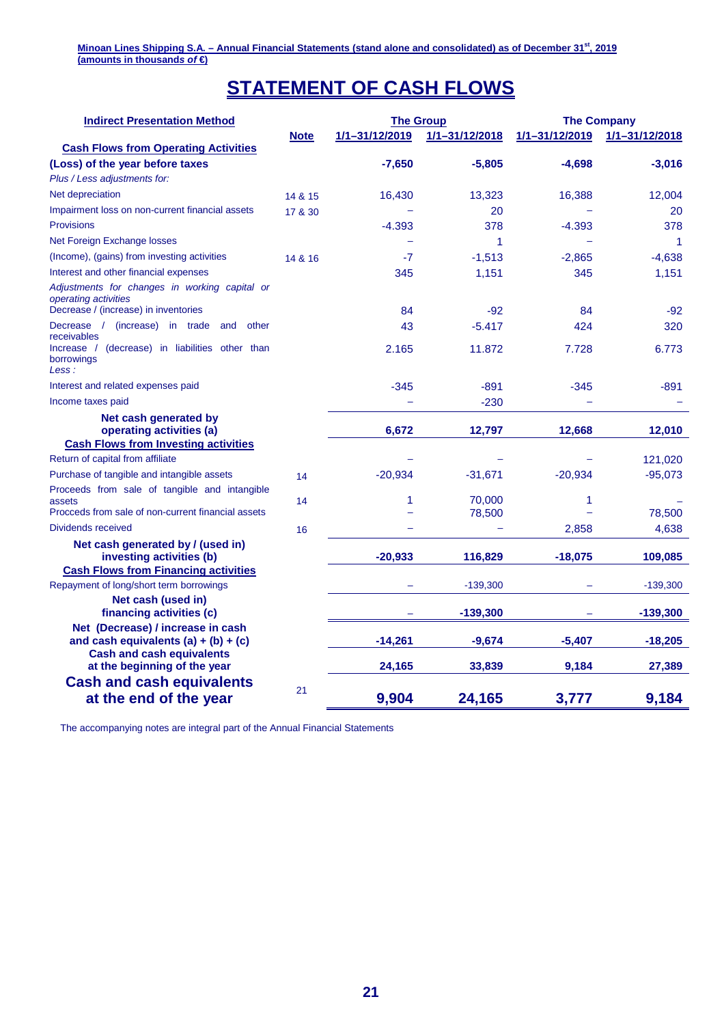# **STATEMENT OF CASH FLOWS**

| <b>Indirect Presentation Method</b>                                                              |             | <b>The Group</b> |                | <b>The Company</b> |                      |  |
|--------------------------------------------------------------------------------------------------|-------------|------------------|----------------|--------------------|----------------------|--|
|                                                                                                  | <b>Note</b> | 1/1-31/12/2019   | 1/1-31/12/2018 | 1/1-31/12/2019     | 1/1-31/12/2018       |  |
| <b>Cash Flows from Operating Activities</b>                                                      |             |                  |                |                    |                      |  |
| (Loss) of the year before taxes                                                                  |             | $-7,650$         | $-5,805$       | $-4,698$           | $-3,016$             |  |
| Plus / Less adjustments for:                                                                     |             |                  |                |                    |                      |  |
| Net depreciation                                                                                 | 14 & 15     | 16,430           | 13,323         | 16,388             | 12,004               |  |
| Impairment loss on non-current financial assets                                                  | 17 & 30     |                  | 20             |                    | 20                   |  |
| <b>Provisions</b>                                                                                |             | $-4.393$         | 378            | $-4.393$           | 378                  |  |
| Net Foreign Exchange losses                                                                      |             | -                | 1              |                    | $\blacktriangleleft$ |  |
| (Income), (gains) from investing activities                                                      | 14 & 16     | -7               | $-1,513$       | $-2,865$           | $-4,638$             |  |
| Interest and other financial expenses                                                            |             | 345              | 1,151          | 345                | 1,151                |  |
| Adjustments for changes in working capital or<br>operating activities                            |             |                  |                |                    |                      |  |
| Decrease / (increase) in inventories                                                             |             | 84               | $-92$          | 84                 | $-92$                |  |
| Decrease / (increase) in trade<br>other<br>and<br>receivables                                    |             | 43               | $-5.417$       | 424                | 320                  |  |
| (decrease) in liabilities other than<br>Increase /<br>borrowings<br>Less:                        |             | 2.165            | 11.872         | 7.728              | 6.773                |  |
| Interest and related expenses paid                                                               |             | $-345$           | $-891$         | $-345$             | $-891$               |  |
| Income taxes paid                                                                                |             |                  | $-230$         |                    |                      |  |
| Net cash generated by<br>operating activities (a)<br><b>Cash Flows from Investing activities</b> |             | 6,672            | 12,797         | 12,668             | 12,010               |  |
| Return of capital from affiliate                                                                 |             |                  |                |                    | 121,020              |  |
| Purchase of tangible and intangible assets                                                       | 14          | $-20,934$        | $-31,671$      | $-20,934$          | $-95,073$            |  |
| Proceeds from sale of tangible and intangible                                                    |             |                  |                |                    |                      |  |
| assets                                                                                           | 14          | 1                | 70,000         | 1                  |                      |  |
| Procceds from sale of non-current financial assets                                               |             |                  | 78,500         |                    | 78,500               |  |
| Dividends received                                                                               | 16          |                  |                | 2,858              | 4,638                |  |
| Net cash generated by / (used in)<br>investing activities (b)                                    |             | $-20,933$        | 116,829        | $-18,075$          | 109,085              |  |
| <b>Cash Flows from Financing activities</b>                                                      |             |                  |                |                    |                      |  |
| Repayment of long/short term borrowings                                                          |             |                  | $-139,300$     |                    | $-139,300$           |  |
| Net cash (used in)<br>financing activities (c)                                                   |             |                  | $-139,300$     |                    | $-139,300$           |  |
| Net (Decrease) / increase in cash<br>and cash equivalents $(a) + (b) + (c)$                      |             | $-14,261$        | $-9,674$       | $-5,407$           | $-18,205$            |  |
| <b>Cash and cash equivalents</b><br>at the beginning of the year                                 |             | 24,165           | 33,839         | 9,184              | 27,389               |  |
| <b>Cash and cash equivalents</b><br>at the end of the year                                       | 21          | 9,904            | 24,165         | 3,777              | 9,184                |  |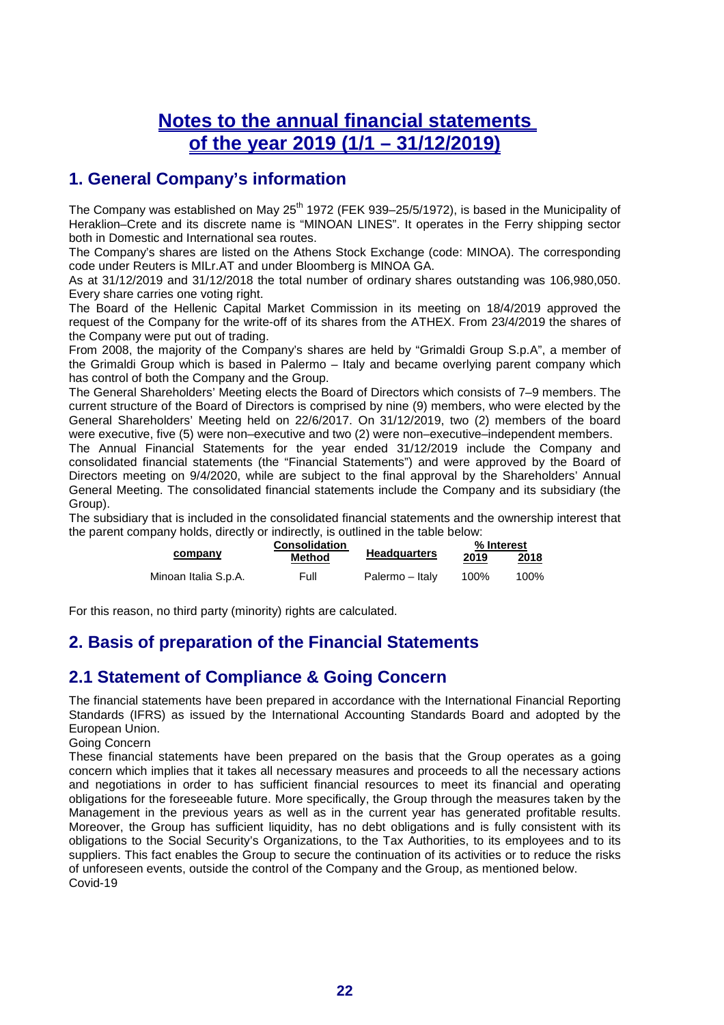# **Notes to the annual financial statements of the year 2019 (1/1 – 31/12/2019)**

# **1. General Company's information**

The Company was established on May 25<sup>th</sup> 1972 (FEK 939–25/5/1972), is based in the Municipality of Heraklion–Crete and its discrete name is "MINOAN LINES". It operates in the Ferry shipping sector both in Domestic and International sea routes.

The Company's shares are listed on the Athens Stock Exchange (code: MINOA). The corresponding code under Reuters is MILr.AT and under Bloomberg is MINOA GA.

As at 31/12/2019 and 31/12/2018 the total number of ordinary shares outstanding was 106,980,050. Every share carries one voting right.

The Board of the Hellenic Capital Market Commission in its meeting on 18/4/2019 approved the request of the Company for the write-off of its shares from the ATHEX. From 23/4/2019 the shares of the Company were put out of trading.

From 2008, the majority of the Company's shares are held by "Grimaldi Group S.p.A", a member of the Grimaldi Group which is based in Palermo – Italy and became overlying parent company which has control of both the Company and the Group.

The General Shareholders' Meeting elects the Board of Directors which consists of 7–9 members. The current structure of the Board of Directors is comprised by nine (9) members, who were elected by the General Shareholders' Meeting held on 22/6/2017. On 31/12/2019, two (2) members of the board were executive, five (5) were non–executive and two (2) were non–executive–independent members.

The Annual Financial Statements for the year ended 31/12/2019 include the Company and consolidated financial statements (the "Financial Statements") and were approved by the Board of Directors meeting on 9/4/2020, while are subject to the final approval by the Shareholders' Annual General Meeting. The consolidated financial statements include the Company and its subsidiary (the Group).

The subsidiary that is included in the consolidated financial statements and the ownership interest that the parent company holds, directly or indirectly, is outlined in the table below:

|                      | <b>Consolidation</b> |                     | % Interest |      |  |
|----------------------|----------------------|---------------------|------------|------|--|
| company              | Method               | <b>Headquarters</b> | 2019       | 2018 |  |
| Minoan Italia S.p.A. | Full                 | Palermo – Italv     | 100%       | 100% |  |

For this reason, no third party (minority) rights are calculated.

# **2. Basis of preparation of the Financial Statements**

# **2.1 Statement of Compliance & Going Concern**

The financial statements have been prepared in accordance with the International Financial Reporting Standards (IFRS) as issued by the International Accounting Standards Board and adopted by the European Union.

Going Concern

These financial statements have been prepared on the basis that the Group operates as a going concern which implies that it takes all necessary measures and proceeds to all the necessary actions and negotiations in order to has sufficient financial resources to meet its financial and operating obligations for the foreseeable future. More specifically, the Group through the measures taken by the Management in the previous years as well as in the current year has generated profitable results. Moreover, the Group has sufficient liquidity, has no debt obligations and is fully consistent with its obligations to the Social Security's Organizations, to the Tax Authorities, to its employees and to its suppliers. This fact enables the Group to secure the continuation of its activities or to reduce the risks of unforeseen events, outside the control of the Company and the Group, as mentioned below. Covid-19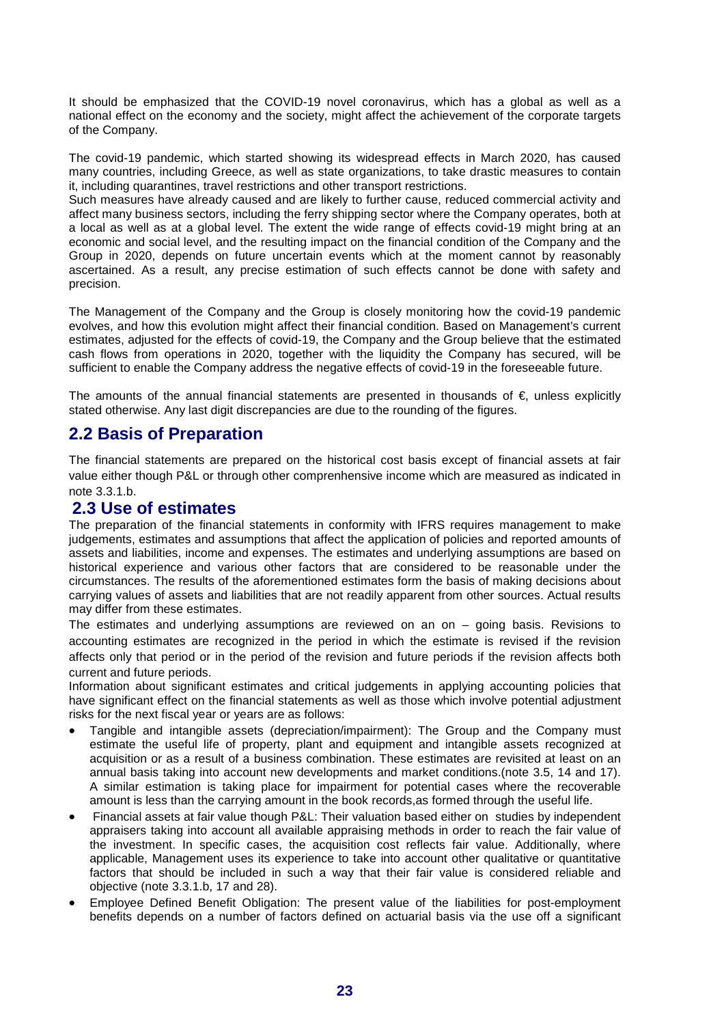It should be emphasized that the COVID-19 novel coronavirus, which has a global as well as a national effect on the economy and the society, might affect the achievement of the corporate targets of the Company.

The covid-19 pandemic, which started showing its widespread effects in March 2020, has caused many countries, including Greece, as well as state organizations, to take drastic measures to contain it, including quarantines, travel restrictions and other transport restrictions.

Such measures have already caused and are likely to further cause, reduced commercial activity and affect many business sectors, including the ferry shipping sector where the Company operates, both at a local as well as at a global level. The extent the wide range of effects covid-19 might bring at an economic and social level, and the resulting impact on the financial condition of the Company and the Group in 2020, depends on future uncertain events which at the moment cannot by reasonably ascertained. As a result, any precise estimation of such effects cannot be done with safety and precision.

The Management of the Company and the Group is closely monitoring how the covid-19 pandemic evolves, and how this evolution might affect their financial condition. Based on Management's current estimates, adjusted for the effects of covid-19, the Company and the Group believe that the estimated cash flows from operations in 2020, together with the liquidity the Company has secured, will be sufficient to enable the Company address the negative effects of covid-19 in the foreseeable future.

The amounts of the annual financial statements are presented in thousands of  $\epsilon$ , unless explicitly stated otherwise. Any last digit discrepancies are due to the rounding of the figures.

# **2.2 Basis of Preparation**

The financial statements are prepared on the historical cost basis except of financial assets at fair value either though P&L or through other comprenhensive income which are measured as indicated in note 3.3.1.b.

#### **2.3 Use of estimates**

The preparation of the financial statements in conformity with IFRS requires management to make judgements, estimates and assumptions that affect the application of policies and reported amounts of assets and liabilities, income and expenses. The estimates and underlying assumptions are based on historical experience and various other factors that are considered to be reasonable under the circumstances. The results of the aforementioned estimates form the basis of making decisions about carrying values of assets and liabilities that are not readily apparent from other sources. Actual results may differ from these estimates.

The estimates and underlying assumptions are reviewed on an on – going basis. Revisions to accounting estimates are recognized in the period in which the estimate is revised if the revision affects only that period or in the period of the revision and future periods if the revision affects both current and future periods.

Information about significant estimates and critical judgements in applying accounting policies that have significant effect on the financial statements as well as those which involve potential adjustment risks for the next fiscal year or years are as follows:

- Tangible and intangible assets (depreciation/impairment): The Group and the Company must estimate the useful life of property, plant and equipment and intangible assets recognized at acquisition or as a result of a business combination. These estimates are revisited at least on an annual basis taking into account new developments and market conditions.(note 3.5, 14 and 17). A similar estimation is taking place for impairment for potential cases where the recoverable amount is less than the carrying amount in the book records,as formed through the useful life.
- Financial assets at fair value though P&L: Their valuation based either on studies by independent appraisers taking into account all available appraising methods in order to reach the fair value of the investment. In specific cases, the acquisition cost reflects fair value. Additionally, where applicable, Management uses its experience to take into account other qualitative or quantitative factors that should be included in such a way that their fair value is considered reliable and objective (note 3.3.1.b, 17 and 28).
- Employee Defined Benefit Obligation: The present value of the liabilities for post-employment benefits depends on a number of factors defined on actuarial basis via the use off a significant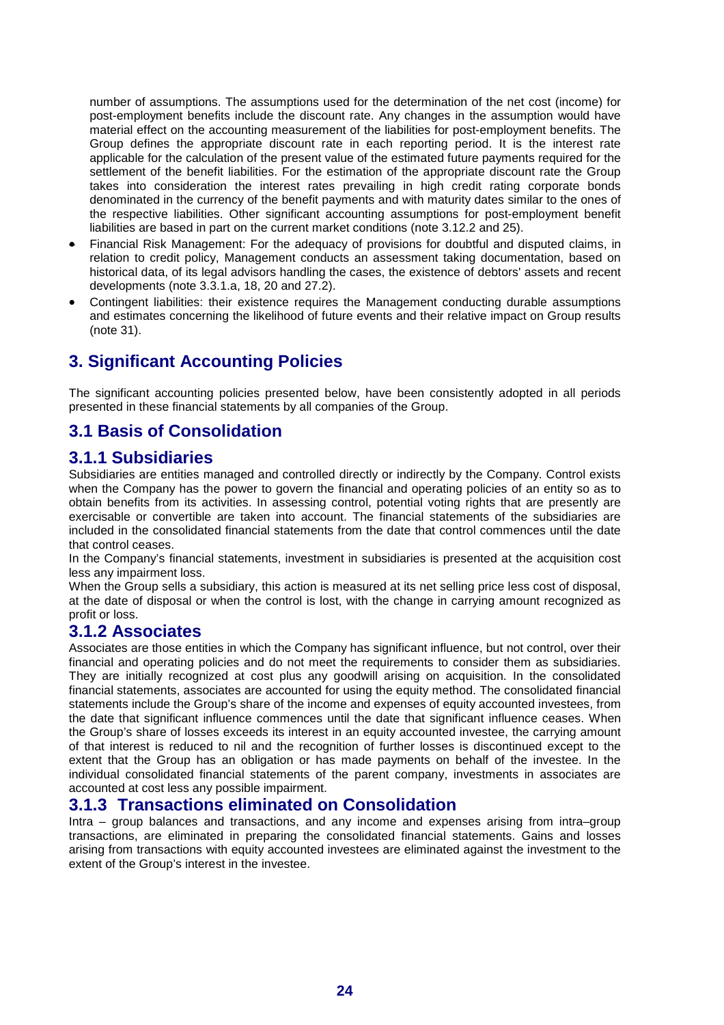number of assumptions. The assumptions used for the determination of the net cost (income) for post-employment benefits include the discount rate. Any changes in the assumption would have material effect on the accounting measurement of the liabilities for post-employment benefits. The Group defines the appropriate discount rate in each reporting period. It is the interest rate applicable for the calculation of the present value of the estimated future payments required for the settlement of the benefit liabilities. For the estimation of the appropriate discount rate the Group takes into consideration the interest rates prevailing in high credit rating corporate bonds denominated in the currency of the benefit payments and with maturity dates similar to the ones of the respective liabilities. Other significant accounting assumptions for post-employment benefit liabilities are based in part on the current market conditions (note 3.12.2 and 25).

- Financial Risk Management: For the adequacy of provisions for doubtful and disputed claims, in relation to credit policy, Management conducts an assessment taking documentation, based on historical data, of its legal advisors handling the cases, the existence of debtors' assets and recent developments (note 3.3.1.a, 18, 20 and 27.2).
- Contingent liabilities: their existence requires the Management conducting durable assumptions and estimates concerning the likelihood of future events and their relative impact on Group results (note 31).

# **3. Significant Accounting Policies**

The significant accounting policies presented below, have been consistently adopted in all periods presented in these financial statements by all companies of the Group.

# **3.1 Basis of Consolidation**

### **3.1.1 Subsidiaries**

Subsidiaries are entities managed and controlled directly or indirectly by the Company. Control exists when the Company has the power to govern the financial and operating policies of an entity so as to obtain benefits from its activities. In assessing control, potential voting rights that are presently are exercisable or convertible are taken into account. The financial statements of the subsidiaries are included in the consolidated financial statements from the date that control commences until the date that control ceases.

In the Company's financial statements, investment in subsidiaries is presented at the acquisition cost less any impairment loss.

When the Group sells a subsidiary, this action is measured at its net selling price less cost of disposal, at the date of disposal or when the control is lost, with the change in carrying amount recognized as profit or loss.

#### **3.1.2 Associates**

Associates are those entities in which the Company has significant influence, but not control, over their financial and operating policies and do not meet the requirements to consider them as subsidiaries. They are initially recognized at cost plus any goodwill arising on acquisition. In the consolidated financial statements, associates are accounted for using the equity method. The consolidated financial statements include the Group's share of the income and expenses of equity accounted investees, from the date that significant influence commences until the date that significant influence ceases. When the Group's share of losses exceeds its interest in an equity accounted investee, the carrying amount of that interest is reduced to nil and the recognition of further losses is discontinued except to the extent that the Group has an obligation or has made payments on behalf of the investee. In the individual consolidated financial statements of the parent company, investments in associates are accounted at cost less any possible impairment.

#### **3.1.3 Transactions eliminated on Consolidation**

Intra – group balances and transactions, and any income and expenses arising from intra–group transactions, are eliminated in preparing the consolidated financial statements. Gains and losses arising from transactions with equity accounted investees are eliminated against the investment to the extent of the Group's interest in the investee.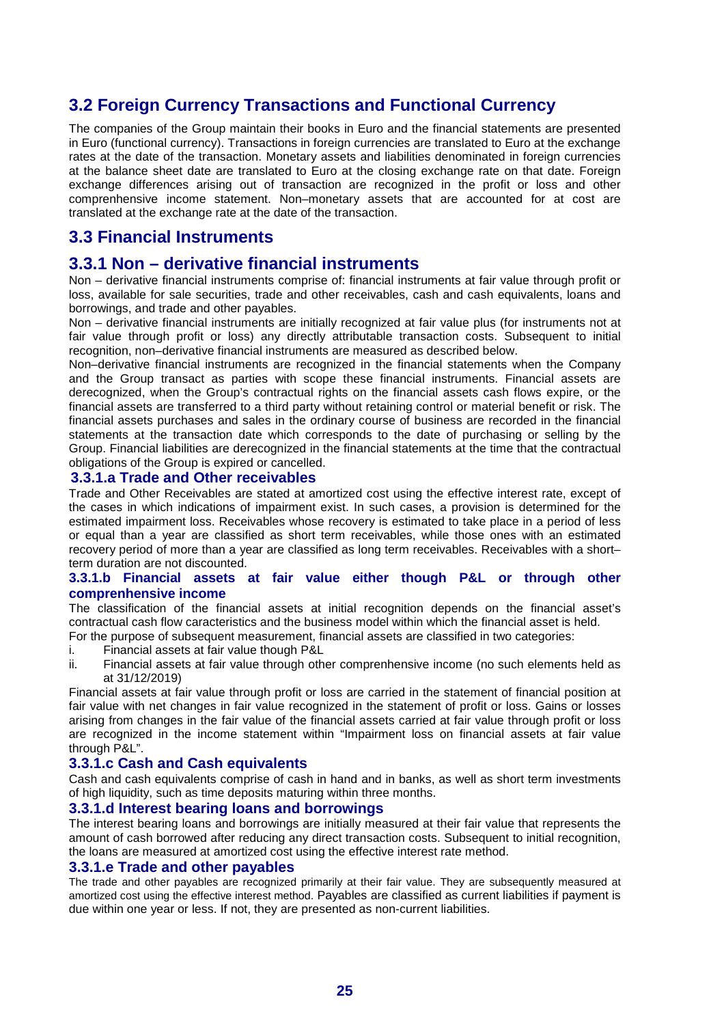# **3.2 Foreign Currency Transactions and Functional Currency**

The companies of the Group maintain their books in Euro and the financial statements are presented in Euro (functional currency). Transactions in foreign currencies are translated to Euro at the exchange rates at the date of the transaction. Monetary assets and liabilities denominated in foreign currencies at the balance sheet date are translated to Euro at the closing exchange rate on that date. Foreign exchange differences arising out of transaction are recognized in the profit or loss and other comprenhensive income statement. Non–monetary assets that are accounted for at cost are translated at the exchange rate at the date of the transaction.

# **3.3 Financial Instruments**

### **3.3.1 Non – derivative financial instruments**

Non – derivative financial instruments comprise of: financial instruments at fair value through profit or loss, available for sale securities, trade and other receivables, cash and cash equivalents, loans and borrowings, and trade and other payables.

Non – derivative financial instruments are initially recognized at fair value plus (for instruments not at fair value through profit or loss) any directly attributable transaction costs. Subsequent to initial recognition, non–derivative financial instruments are measured as described below.

Non–derivative financial instruments are recognized in the financial statements when the Company and the Group transact as parties with scope these financial instruments. Financial assets are derecognized, when the Group's contractual rights on the financial assets cash flows expire, or the financial assets are transferred to a third party without retaining control or material benefit or risk. The financial assets purchases and sales in the ordinary course of business are recorded in the financial statements at the transaction date which corresponds to the date of purchasing or selling by the Group. Financial liabilities are derecognized in the financial statements at the time that the contractual obligations of the Group is expired or cancelled.

#### **3.3.1.a Trade and Other receivables**

Trade and Other Receivables are stated at amortized cost using the effective interest rate, except of the cases in which indications of impairment exist. In such cases, a provision is determined for the estimated impairment loss. Receivables whose recovery is estimated to take place in a period of less or equal than a year are classified as short term receivables, while those ones with an estimated recovery period of more than a year are classified as long term receivables. Receivables with a short– term duration are not discounted.

#### **3.3.1.b Financial assets at fair value either though P&L or through other comprenhensive income**

The classification of the financial assets at initial recognition depends on the financial asset's contractual cash flow caracteristics and the business model within which the financial asset is held. For the purpose of subsequent measurement, financial assets are classified in two categories:

- i. Financial assets at fair value though P&L
- ii. Financial assets at fair value through other comprenhensive income (no such elements held as at 31/12/2019)

Financial assets at fair value through profit or loss are carried in the statement of financial position at fair value with net changes in fair value recognized in the statement of profit or loss. Gains or losses arising from changes in the fair value of the financial assets carried at fair value through profit or loss are recognized in the income statement within "Impairment loss on financial assets at fair value through P&L".

#### **3.3.1.c Cash and Cash equivalents**

Cash and cash equivalents comprise of cash in hand and in banks, as well as short term investments of high liquidity, such as time deposits maturing within three months.

#### **3.3.1.d Interest bearing loans and borrowings**

The interest bearing loans and borrowings are initially measured at their fair value that represents the amount of cash borrowed after reducing any direct transaction costs. Subsequent to initial recognition, the loans are measured at amortized cost using the effective interest rate method.

#### **3.3.1.e Trade and other payables**

The trade and other payables are recognized primarily at their fair value. They are subsequently measured at amortized cost using the effective interest method. Payables are classified as current liabilities if payment is due within one year or less. If not, they are presented as non-current liabilities.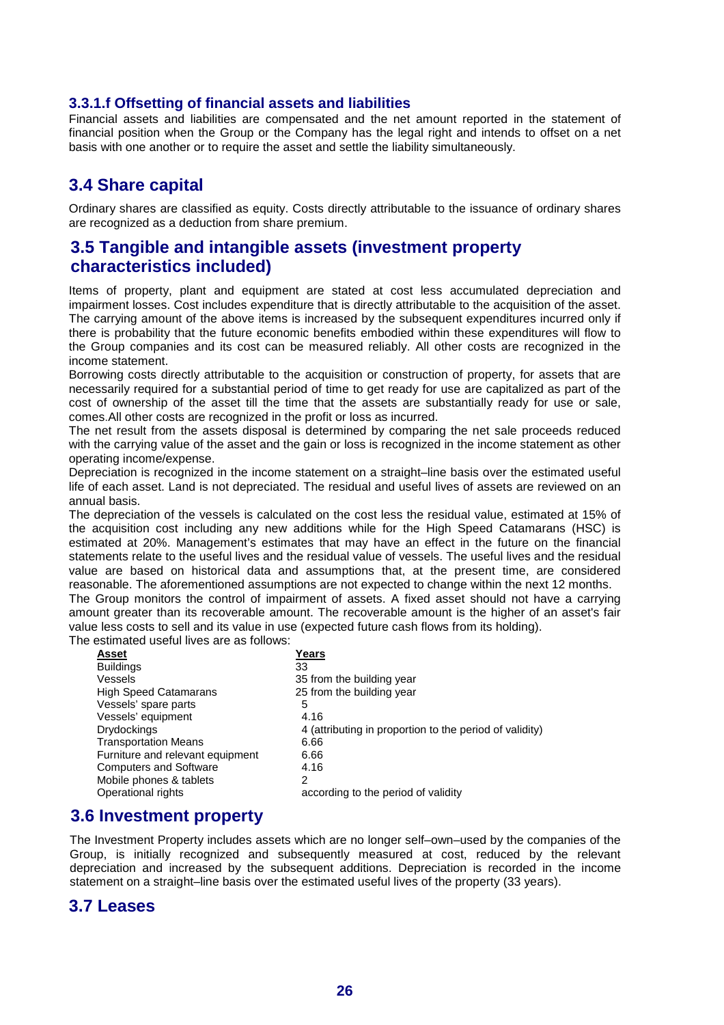#### **3.3.1.f Offsetting of financial assets and liabilities**

Financial assets and liabilities are compensated and the net amount reported in the statement of financial position when the Group or the Company has the legal right and intends to offset on a net basis with one another or to require the asset and settle the liability simultaneously.

# **3.4 Share capital**

Ordinary shares are classified as equity. Costs directly attributable to the issuance of ordinary shares are recognized as a deduction from share premium.

# **3.5 Tangible and intangible assets (investment property characteristics included)**

Items of property, plant and equipment are stated at cost less accumulated depreciation and impairment losses. Cost includes expenditure that is directly attributable to the acquisition of the asset. The carrying amount of the above items is increased by the subsequent expenditures incurred only if there is probability that the future economic benefits embodied within these expenditures will flow to the Group companies and its cost can be measured reliably. All other costs are recognized in the income statement.

Borrowing costs directly attributable to the acquisition or construction of property, for assets that are necessarily required for a substantial period of time to get ready for use are capitalized as part of the cost of ownership of the asset till the time that the assets are substantially ready for use or sale, comes.All other costs are recognized in the profit or loss as incurred.

The net result from the assets disposal is determined by comparing the net sale proceeds reduced with the carrying value of the asset and the gain or loss is recognized in the income statement as other operating income/expense.

Depreciation is recognized in the income statement on a straight–line basis over the estimated useful life of each asset. Land is not depreciated. The residual and useful lives of assets are reviewed on an annual basis.

The depreciation of the vessels is calculated on the cost less the residual value, estimated at 15% of the acquisition cost including any new additions while for the High Speed Catamarans (HSC) is estimated at 20%. Management's estimates that may have an effect in the future on the financial statements relate to the useful lives and the residual value of vessels. The useful lives and the residual value are based on historical data and assumptions that, at the present time, are considered reasonable. The aforementioned assumptions are not expected to change within the next 12 months.

The Group monitors the control of impairment of assets. A fixed asset should not have a carrying amount greater than its recoverable amount. The recoverable amount is the higher of an asset's fair value less costs to sell and its value in use (expected future cash flows from its holding).

The estimated useful lives are as follows:

| Asset                            | Years                                                   |
|----------------------------------|---------------------------------------------------------|
| <b>Buildings</b>                 | 33                                                      |
| Vessels                          | 35 from the building year                               |
| <b>High Speed Catamarans</b>     | 25 from the building year                               |
| Vessels' spare parts             | 5                                                       |
| Vessels' equipment               | 4.16                                                    |
| <b>Drydockings</b>               | 4 (attributing in proportion to the period of validity) |
| <b>Transportation Means</b>      | 6.66                                                    |
| Furniture and relevant equipment | 6.66                                                    |
| <b>Computers and Software</b>    | 4.16                                                    |
| Mobile phones & tablets          | 2                                                       |
| Operational rights               | according to the period of validity                     |

# **3.6 Investment property**

The Investment Property includes assets which are no longer self–own–used by the companies of the Group, is initially recognized and subsequently measured at cost, reduced by the relevant depreciation and increased by the subsequent additions. Depreciation is recorded in the income statement on a straight–line basis over the estimated useful lives of the property (33 years).

### **3.7 Leases**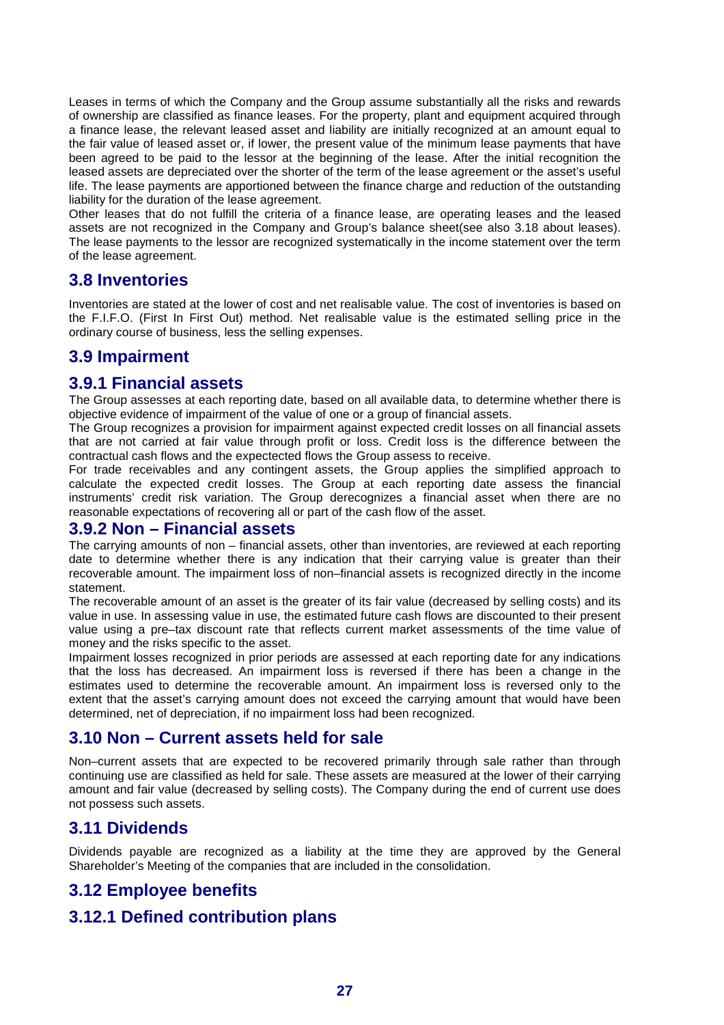Leases in terms of which the Company and the Group assume substantially all the risks and rewards of ownership are classified as finance leases. For the property, plant and equipment acquired through a finance lease, the relevant leased asset and liability are initially recognized at an amount equal to the fair value of leased asset or, if lower, the present value of the minimum lease payments that have been agreed to be paid to the lessor at the beginning of the lease. After the initial recognition the leased assets are depreciated over the shorter of the term of the lease agreement or the asset's useful life. The lease payments are apportioned between the finance charge and reduction of the outstanding liability for the duration of the lease agreement.

Other leases that do not fulfill the criteria of a finance lease, are operating leases and the leased assets are not recognized in the Company and Group's balance sheet(see also 3.18 about leases). The lease payments to the lessor are recognized systematically in the income statement over the term of the lease agreement.

# **3.8 Inventories**

Inventories are stated at the lower of cost and net realisable value. The cost of inventories is based on the F.I.F.O. (First In First Out) method. Net realisable value is the estimated selling price in the ordinary course of business, less the selling expenses.

# **3.9 Impairment**

# **3.9.1 Financial assets**

The Group assesses at each reporting date, based on all available data, to determine whether there is objective evidence of impairment of the value of one or a group of financial assets.

The Group recognizes a provision for impairment against expected credit losses on all financial assets that are not carried at fair value through profit or loss. Credit loss is the difference between the contractual cash flows and the expectected flows the Group assess to receive.

For trade receivables and any contingent assets, the Group applies the simplified approach to calculate the expected credit losses. The Group at each reporting date assess the financial instruments' credit risk variation. The Group derecognizes a financial asset when there are no reasonable expectations of recovering all or part of the cash flow of the asset.

#### **3.9.2 Non – Financial assets**

The carrying amounts of non – financial assets, other than inventories, are reviewed at each reporting date to determine whether there is any indication that their carrying value is greater than their recoverable amount. The impairment loss of non–financial assets is recognized directly in the income statement.

The recoverable amount of an asset is the greater of its fair value (decreased by selling costs) and its value in use. In assessing value in use, the estimated future cash flows are discounted to their present value using a pre–tax discount rate that reflects current market assessments of the time value of money and the risks specific to the asset.

Impairment losses recognized in prior periods are assessed at each reporting date for any indications that the loss has decreased. An impairment loss is reversed if there has been a change in the estimates used to determine the recoverable amount. An impairment loss is reversed only to the extent that the asset's carrying amount does not exceed the carrying amount that would have been determined, net of depreciation, if no impairment loss had been recognized.

# **3.10 Non – Current assets held for sale**

Non–current assets that are expected to be recovered primarily through sale rather than through continuing use are classified as held for sale. These assets are measured at the lower of their carrying amount and fair value (decreased by selling costs). The Company during the end of current use does not possess such assets.

# **3.11 Dividends**

Dividends payable are recognized as a liability at the time they are approved by the General Shareholder's Meeting of the companies that are included in the consolidation.

# **3.12 Employee benefits**

# **3.12.1 Defined contribution plans**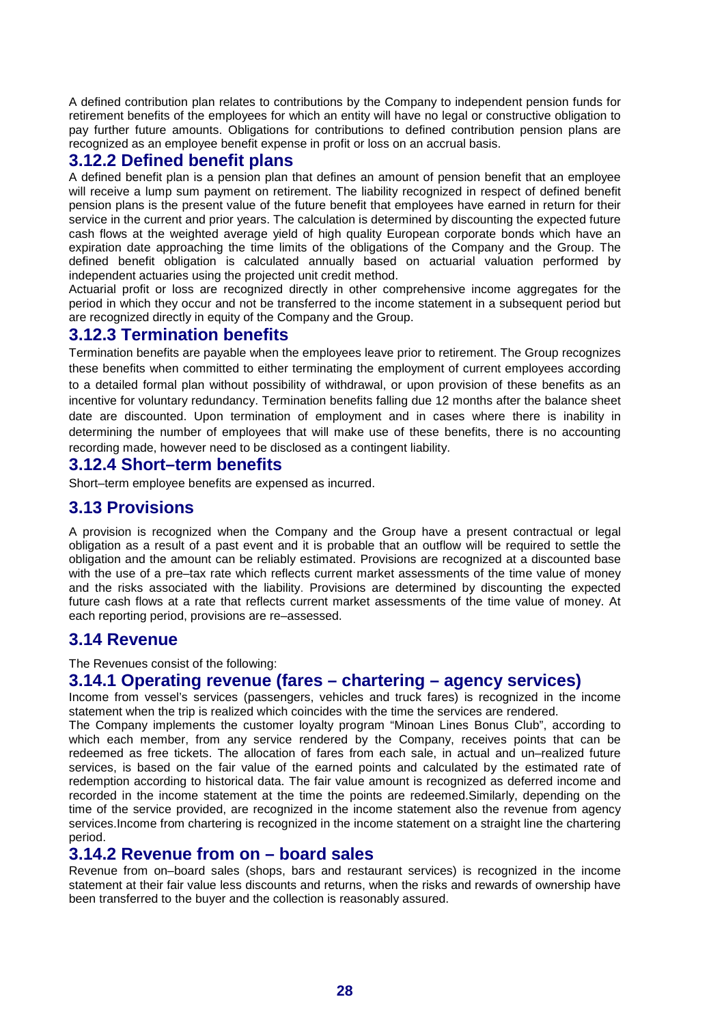A defined contribution plan relates to contributions by the Company to independent pension funds for retirement benefits of the employees for which an entity will have no legal or constructive obligation to pay further future amounts. Obligations for contributions to defined contribution pension plans are recognized as an employee benefit expense in profit or loss on an accrual basis.

### **3.12.2 Defined benefit plans**

A defined benefit plan is a pension plan that defines an amount of pension benefit that an employee will receive a lump sum payment on retirement. The liability recognized in respect of defined benefit pension plans is the present value of the future benefit that employees have earned in return for their service in the current and prior years. The calculation is determined by discounting the expected future cash flows at the weighted average yield of high quality European corporate bonds which have an expiration date approaching the time limits of the obligations of the Company and the Group. The defined benefit obligation is calculated annually based on actuarial valuation performed by independent actuaries using the projected unit credit method.

Actuarial profit or loss are recognized directly in other comprehensive income aggregates for the period in which they occur and not be transferred to the income statement in a subsequent period but are recognized directly in equity of the Company and the Group.

### **3.12.3 Termination benefits**

Termination benefits are payable when the employees leave prior to retirement. The Group recognizes these benefits when committed to either terminating the employment of current employees according to a detailed formal plan without possibility of withdrawal, or upon provision of these benefits as an incentive for voluntary redundancy. Termination benefits falling due 12 months after the balance sheet date are discounted. Upon termination of employment and in cases where there is inability in determining the number of employees that will make use of these benefits, there is no accounting recording made, however need to be disclosed as a contingent liability.

#### **3.12.4 Short–term benefits**

Short–term employee benefits are expensed as incurred.

### **3.13 Provisions**

A provision is recognized when the Company and the Group have a present contractual or legal obligation as a result of a past event and it is probable that an outflow will be required to settle the obligation and the amount can be reliably estimated. Provisions are recognized at a discounted base with the use of a pre–tax rate which reflects current market assessments of the time value of money and the risks associated with the liability. Provisions are determined by discounting the expected future cash flows at a rate that reflects current market assessments of the time value of money. At each reporting period, provisions are re–assessed.

#### **3.14 Revenue**

The Revenues consist of the following:

#### **3.14.1 Operating revenue (fares – chartering – agency services)**

Income from vessel's services (passengers, vehicles and truck fares) is recognized in the income statement when the trip is realized which coincides with the time the services are rendered.

The Company implements the customer loyalty program "Minoan Lines Bonus Club", according to which each member, from any service rendered by the Company, receives points that can be redeemed as free tickets. The allocation of fares from each sale, in actual and un–realized future services, is based on the fair value of the earned points and calculated by the estimated rate of redemption according to historical data. The fair value amount is recognized as deferred income and recorded in the income statement at the time the points are redeemed.Similarly, depending on the time of the service provided, are recognized in the income statement also the revenue from agency services.Income from chartering is recognized in the income statement on a straight line the chartering period.

#### **3.14.2 Revenue from on – board sales**

Revenue from on–board sales (shops, bars and restaurant services) is recognized in the income statement at their fair value less discounts and returns, when the risks and rewards of ownership have been transferred to the buyer and the collection is reasonably assured.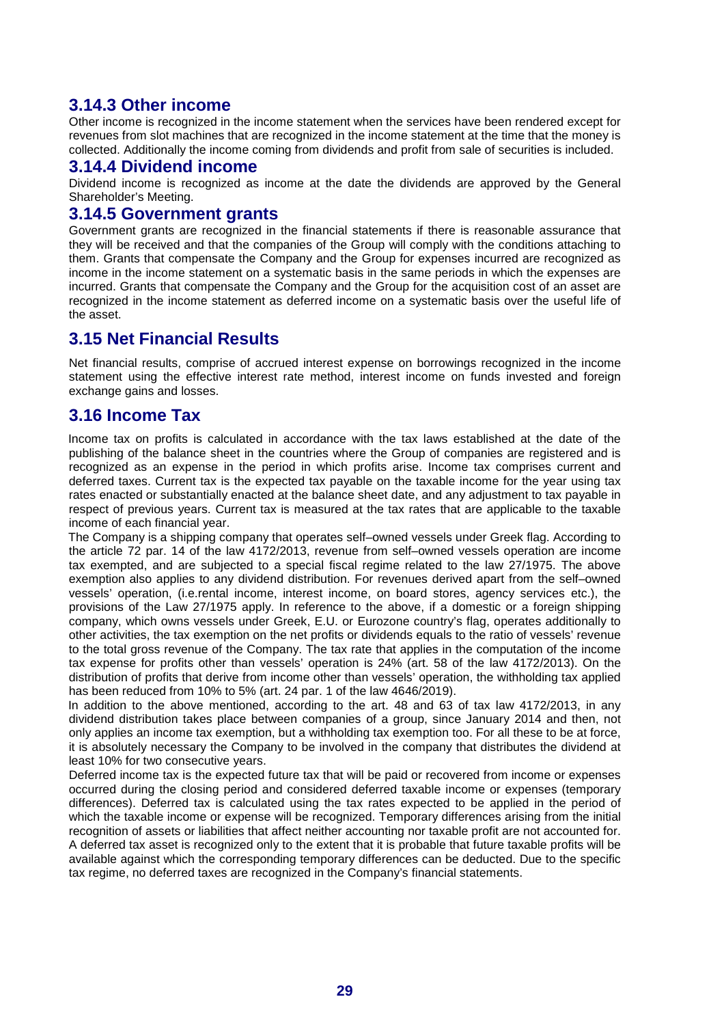# **3.14.3 Other income**

Other income is recognized in the income statement when the services have been rendered except for revenues from slot machines that are recognized in the income statement at the time that the money is collected. Additionally the income coming from dividends and profit from sale of securities is included.

#### **3.14.4 Dividend income**

Dividend income is recognized as income at the date the dividends are approved by the General Shareholder's Meeting.

#### **3.14.5 Government grants**

Government grants are recognized in the financial statements if there is reasonable assurance that they will be received and that the companies of the Group will comply with the conditions attaching to them. Grants that compensate the Company and the Group for expenses incurred are recognized as income in the income statement on a systematic basis in the same periods in which the expenses are incurred. Grants that compensate the Company and the Group for the acquisition cost of an asset are recognized in the income statement as deferred income on a systematic basis over the useful life of the asset.

### **3.15 Net Financial Results**

Net financial results, comprise of accrued interest expense on borrowings recognized in the income statement using the effective interest rate method, interest income on funds invested and foreign exchange gains and losses.

### **3.16 Income Tax**

Income tax on profits is calculated in accordance with the tax laws established at the date of the publishing of the balance sheet in the countries where the Group of companies are registered and is recognized as an expense in the period in which profits arise. Income tax comprises current and deferred taxes. Current tax is the expected tax payable on the taxable income for the year using tax rates enacted or substantially enacted at the balance sheet date, and any adjustment to tax payable in respect of previous years. Current tax is measured at the tax rates that are applicable to the taxable income of each financial year.

The Company is a shipping company that operates self–owned vessels under Greek flag. According to the article 72 par. 14 of the law 4172/2013, revenue from self–owned vessels operation are income tax exempted, and are subjected to a special fiscal regime related to the law 27/1975. The above exemption also applies to any dividend distribution. For revenues derived apart from the self–owned vessels' operation, (i.e.rental income, interest income, on board stores, agency services etc.), the provisions of the Law 27/1975 apply. In reference to the above, if a domestic or a foreign shipping company, which owns vessels under Greek, E.U. or Eurozone country's flag, operates additionally to other activities, the tax exemption on the net profits or dividends equals to the ratio of vessels' revenue to the total gross revenue of the Company. The tax rate that applies in the computation of the income tax expense for profits other than vessels' operation is 24% (art. 58 of the law 4172/2013). On the distribution of profits that derive from income other than vessels' operation, the withholding tax applied has been reduced from 10% to 5% (art. 24 par. 1 of the law 4646/2019).

In addition to the above mentioned, according to the art. 48 and 63 of tax law 4172/2013, in any dividend distribution takes place between companies of a group, since January 2014 and then, not only applies an income tax exemption, but a withholding tax exemption too. For all these to be at force, it is absolutely necessary the Company to be involved in the company that distributes the dividend at least 10% for two consecutive years.

Deferred income tax is the expected future tax that will be paid or recovered from income or expenses occurred during the closing period and considered deferred taxable income or expenses (temporary differences). Deferred tax is calculated using the tax rates expected to be applied in the period of which the taxable income or expense will be recognized. Temporary differences arising from the initial recognition of assets or liabilities that affect neither accounting nor taxable profit are not accounted for. A deferred tax asset is recognized only to the extent that it is probable that future taxable profits will be available against which the corresponding temporary differences can be deducted. Due to the specific tax regime, no deferred taxes are recognized in the Company's financial statements.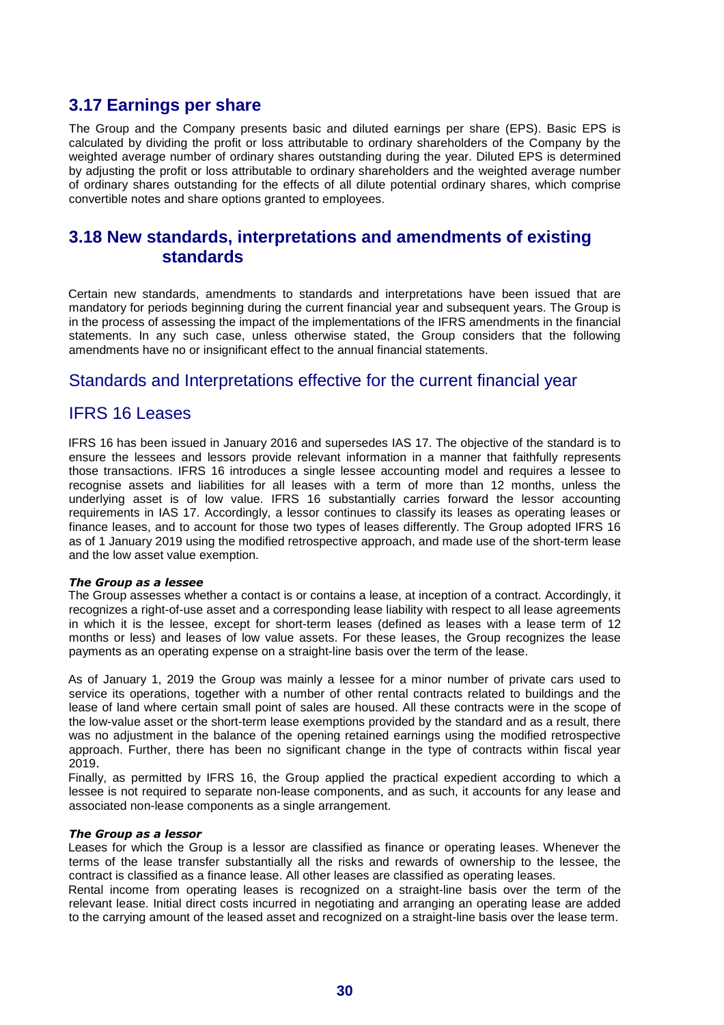# **3.17 Earnings per share**

The Group and the Company presents basic and diluted earnings per share (EPS). Basic EPS is calculated by dividing the profit or loss attributable to ordinary shareholders of the Company by the weighted average number of ordinary shares outstanding during the year. Diluted EPS is determined by adjusting the profit or loss attributable to ordinary shareholders and the weighted average number of ordinary shares outstanding for the effects of all dilute potential ordinary shares, which comprise convertible notes and share options granted to employees.

# **3.18 New standards, interpretations and amendments of existing standards**

Certain new standards, amendments to standards and interpretations have been issued that are mandatory for periods beginning during the current financial year and subsequent years. The Group is in the process of assessing the impact of the implementations of the IFRS amendments in the financial statements. In any such case, unless otherwise stated, the Group considers that the following amendments have no or insignificant effect to the annual financial statements.

### Standards and Interpretations effective for the current financial year

### IFRS 16 Leases

IFRS 16 has been issued in January 2016 and supersedes IAS 17. The objective of the standard is to ensure the lessees and lessors provide relevant information in a manner that faithfully represents those transactions. IFRS 16 introduces a single lessee accounting model and requires a lessee to recognise assets and liabilities for all leases with a term of more than 12 months, unless the underlying asset is of low value. IFRS 16 substantially carries forward the lessor accounting requirements in IAS 17. Accordingly, a lessor continues to classify its leases as operating leases or finance leases, and to account for those two types of leases differently. The Group adopted IFRS 16 as of 1 January 2019 using the modified retrospective approach, and made use of the short-term lease and the low asset value exemption.

#### *The Group as a lessee*

The Group assesses whether a contact is or contains a lease, at inception of a contract. Accordingly, it recognizes a right-of-use asset and a corresponding lease liability with respect to all lease agreements in which it is the lessee, except for short-term leases (defined as leases with a lease term of 12 months or less) and leases of low value assets. For these leases, the Group recognizes the lease payments as an operating expense on a straight-line basis over the term of the lease.

As of January 1, 2019 the Group was mainly a lessee for a minor number of private cars used to service its operations, together with a number of other rental contracts related to buildings and the lease of land where certain small point of sales are housed. All these contracts were in the scope of the low-value asset or the short-term lease exemptions provided by the standard and as a result, there was no adjustment in the balance of the opening retained earnings using the modified retrospective approach. Further, there has been no significant change in the type of contracts within fiscal year 2019.

Finally, as permitted by IFRS 16, the Group applied the practical expedient according to which a lessee is not required to separate non-lease components, and as such, it accounts for any lease and associated non-lease components as a single arrangement.

#### *The Group as a lessor*

Leases for which the Group is a lessor are classified as finance or operating leases. Whenever the terms of the lease transfer substantially all the risks and rewards of ownership to the lessee, the contract is classified as a finance lease. All other leases are classified as operating leases.

Rental income from operating leases is recognized on a straight-line basis over the term of the relevant lease. Initial direct costs incurred in negotiating and arranging an operating lease are added to the carrying amount of the leased asset and recognized on a straight-line basis over the lease term.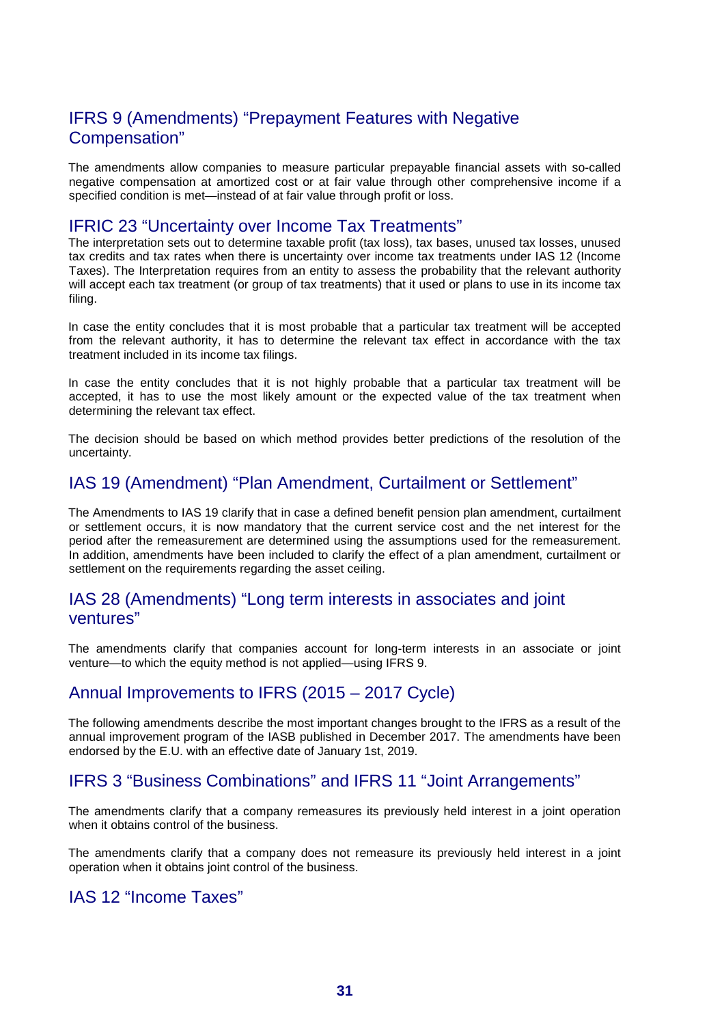# IFRS 9 (Amendments) "Prepayment Features with Negative Compensation"

The amendments allow companies to measure particular prepayable financial assets with so-called negative compensation at amortized cost or at fair value through other comprehensive income if a specified condition is met—instead of at fair value through profit or loss.

#### IFRIC 23 "Uncertainty over Income Tax Treatments"

The interpretation sets out to determine taxable profit (tax loss), tax bases, unused tax losses, unused tax credits and tax rates when there is uncertainty over income tax treatments under IAS 12 (Income Taxes). The Interpretation requires from an entity to assess the probability that the relevant authority will accept each tax treatment (or group of tax treatments) that it used or plans to use in its income tax filing.

In case the entity concludes that it is most probable that a particular tax treatment will be accepted from the relevant authority, it has to determine the relevant tax effect in accordance with the tax treatment included in its income tax filings.

In case the entity concludes that it is not highly probable that a particular tax treatment will be accepted, it has to use the most likely amount or the expected value of the tax treatment when determining the relevant tax effect.

The decision should be based on which method provides better predictions of the resolution of the uncertainty.

# IAS 19 (Amendment) "Plan Amendment, Curtailment or Settlement"

The Amendments to IAS 19 clarify that in case a defined benefit pension plan amendment, curtailment or settlement occurs, it is now mandatory that the current service cost and the net interest for the period after the remeasurement are determined using the assumptions used for the remeasurement. In addition, amendments have been included to clarify the effect of a plan amendment, curtailment or settlement on the requirements regarding the asset ceiling.

### IAS 28 (Amendments) "Long term interests in associates and joint ventures"

The amendments clarify that companies account for long-term interests in an associate or joint venture—to which the equity method is not applied—using IFRS 9.

#### Annual Improvements to IFRS (2015 – 2017 Cycle)

The following amendments describe the most important changes brought to the IFRS as a result of the annual improvement program of the IASB published in December 2017. The amendments have been endorsed by the E.U. with an effective date of January 1st, 2019.

### IFRS 3 "Business Combinations" and IFRS 11 "Joint Arrangements"

The amendments clarify that a company remeasures its previously held interest in a joint operation when it obtains control of the business.

The amendments clarify that a company does not remeasure its previously held interest in a joint operation when it obtains joint control of the business.

### IAS 12 "Income Taxes"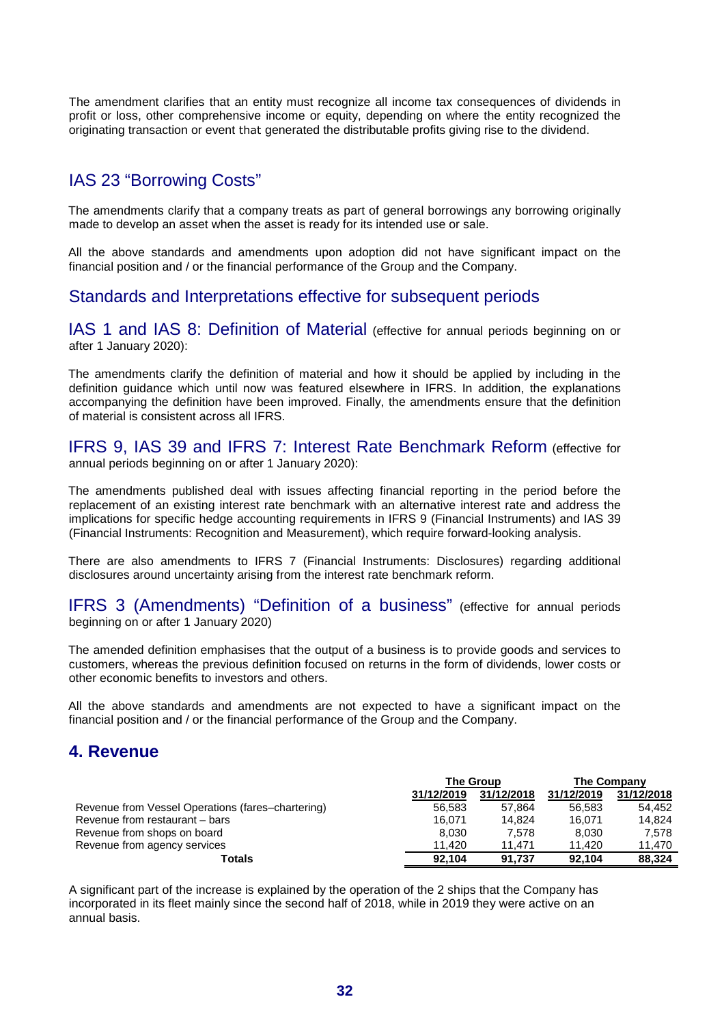The amendment clarifies that an entity must recognize all income tax consequences of dividends in profit or loss, other comprehensive income or equity, depending on where the entity recognized the originating transaction or event that generated the distributable profits giving rise to the dividend.

# IAS 23 "Borrowing Costs"

The amendments clarify that a company treats as part of general borrowings any borrowing originally made to develop an asset when the asset is ready for its intended use or sale.

All the above standards and amendments upon adoption did not have significant impact on the financial position and / or the financial performance of the Group and the Company.

### Standards and Interpretations effective for subsequent periods

IAS 1 and IAS 8: Definition of Material (effective for annual periods beginning on or after 1 January 2020):

The amendments clarify the definition of material and how it should be applied by including in the definition guidance which until now was featured elsewhere in IFRS. In addition, the explanations accompanying the definition have been improved. Finally, the amendments ensure that the definition of material is consistent across all IFRS.

IFRS 9, IAS 39 and IFRS 7: Interest Rate Benchmark Reform (effective for annual periods beginning on or after 1 January 2020):

The amendments published deal with issues affecting financial reporting in the period before the replacement of an existing interest rate benchmark with an alternative interest rate and address the implications for specific hedge accounting requirements in IFRS 9 (Financial Instruments) and IAS 39 (Financial Instruments: Recognition and Measurement), which require forward-looking analysis.

There are also amendments to IFRS 7 (Financial Instruments: Disclosures) regarding additional disclosures around uncertainty arising from the interest rate benchmark reform.

IFRS 3 (Amendments) "Definition of a business" (effective for annual periods beginning on or after 1 January 2020)

The amended definition emphasises that the output of a business is to provide goods and services to customers, whereas the previous definition focused on returns in the form of dividends, lower costs or other economic benefits to investors and others.

All the above standards and amendments are not expected to have a significant impact on the financial position and / or the financial performance of the Group and the Company.

# **4. Revenue**

|                                                   | <b>The Group</b> |            |            | <b>The Company</b> |
|---------------------------------------------------|------------------|------------|------------|--------------------|
|                                                   | 31/12/2019       | 31/12/2018 | 31/12/2019 | 31/12/2018         |
| Revenue from Vessel Operations (fares-chartering) | 56.583           | 57.864     | 56.583     | 54.452             |
| Revenue from restaurant – bars                    | 16.071           | 14.824     | 16.071     | 14.824             |
| Revenue from shops on board                       | 8.030            | 7.578      | 8.030      | 7.578              |
| Revenue from agency services                      | 11.420           | 11.471     | 11.420     | 11.470             |
| Totals                                            | 92.104           | 91.737     | 92.104     | 88.324             |

A significant part of the increase is explained by the operation of the 2 ships that the Company has incorporated in its fleet mainly since the second half of 2018, while in 2019 they were active on an annual basis.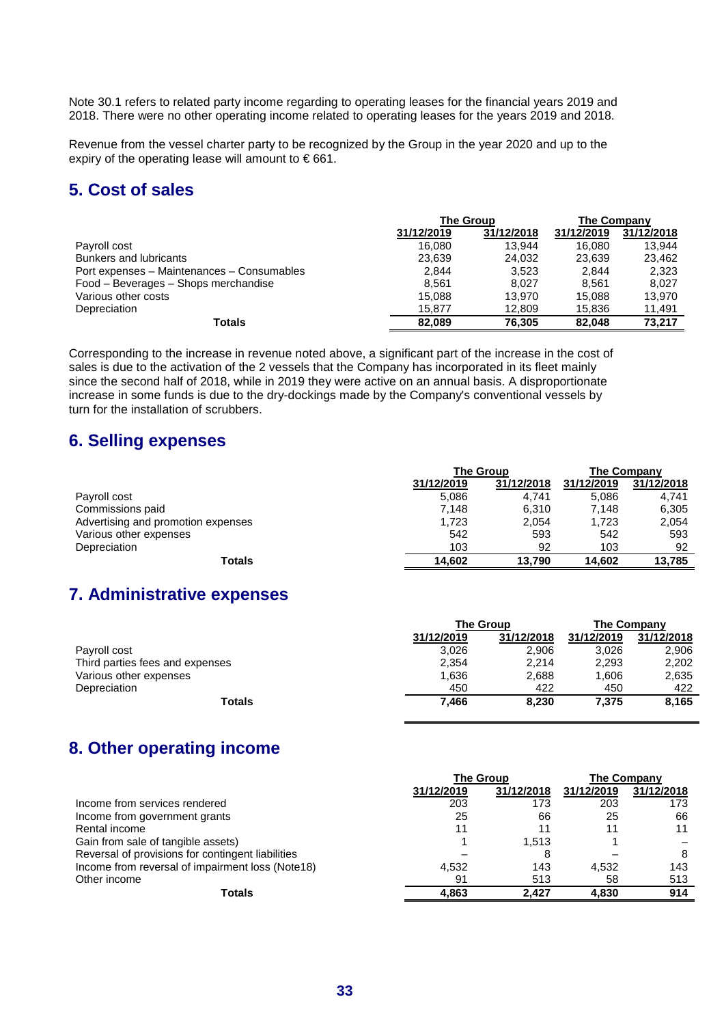Note 30.1 refers to related party income regarding to operating leases for the financial years 2019 and 2018. There were no other operating income related to operating leases for the years 2019 and 2018.

Revenue from the vessel charter party to be recognized by the Group in the year 2020 and up to the expiry of the operating lease will amount to  $\epsilon$  661.

# **5. Cost of sales**

|                                            | <b>The Group</b> |            | <b>The Company</b> |            |  |
|--------------------------------------------|------------------|------------|--------------------|------------|--|
|                                            | 31/12/2019       | 31/12/2018 | 31/12/2019         | 31/12/2018 |  |
| Payroll cost                               | 16.080           | 13.944     | 16.080             | 13.944     |  |
| <b>Bunkers and lubricants</b>              | 23.639           | 24.032     | 23.639             | 23.462     |  |
| Port expenses - Maintenances - Consumables | 2.844            | 3.523      | 2,844              | 2,323      |  |
| Food - Beverages - Shops merchandise       | 8.561            | 8.027      | 8.561              | 8.027      |  |
| Various other costs                        | 15.088           | 13.970     | 15.088             | 13.970     |  |
| Depreciation                               | 15.877           | 12,809     | 15,836             | 11,491     |  |
| Totals                                     | 82.089           | 76.305     | 82.048             | 73.217     |  |

Corresponding to the increase in revenue noted above, a significant part of the increase in the cost of sales is due to the activation of the 2 vessels that the Company has incorporated in its fleet mainly since the second half of 2018, while in 2019 they were active on an annual basis. A disproportionate increase in some funds is due to the dry-dockings made by the Company's conventional vessels by turn for the installation of scrubbers.

# **6. Selling expenses**

| <b>The Group</b> |            |            | The Company |  |  |
|------------------|------------|------------|-------------|--|--|
| 31/12/2019       | 31/12/2018 | 31/12/2019 | 31/12/2018  |  |  |
| 5,086            | 4.741      | 5.086      | 4.741       |  |  |
| 7.148            | 6,310      | 7.148      | 6,305       |  |  |
| 1.723            | 2,054      | 1.723      | 2,054       |  |  |
| 542              | 593        | 542        | 593         |  |  |
| 103              | 92         | 103        | 92          |  |  |
| 14.602           | 13.790     | 14.602     | 13,785      |  |  |
|                  |            |            |             |  |  |

# **7. Administrative expenses**

|                                 | <b>The Group</b> |            |            | The Company |  |  |
|---------------------------------|------------------|------------|------------|-------------|--|--|
|                                 | 31/12/2019       | 31/12/2018 | 31/12/2019 | 31/12/2018  |  |  |
| Payroll cost                    | 3,026            | 2,906      | 3,026      | 2,906       |  |  |
| Third parties fees and expenses | 2,354            | 2.214      | 2,293      | 2,202       |  |  |
| Various other expenses          | 1,636            | 2,688      | 1,606      | 2,635       |  |  |
| Depreciation                    | 450              | 422        | 450        | 422         |  |  |
| Totals                          | 7.466            | 8,230      | 7,375      | 8,165       |  |  |

# **8. Other operating income**

|                                                   | <b>The Group</b> | The Company |            |            |
|---------------------------------------------------|------------------|-------------|------------|------------|
|                                                   | 31/12/2019       | 31/12/2018  | 31/12/2019 | 31/12/2018 |
| Income from services rendered                     | 203              | 173         | 203        | 173        |
| Income from government grants                     | 25               | 66          | 25         | 66         |
| Rental income                                     |                  |             |            |            |
| Gain from sale of tangible assets)                |                  | 1.513       |            |            |
| Reversal of provisions for contingent liabilities |                  | 8           |            | 8          |
| Income from reversal of impairment loss (Note18)  | 4.532            | 143         | 4.532      | 143        |
| Other income                                      | 91               | 513         | 58         | 513        |
| Totals                                            | 4.863            | 2.427       | 4.830      | 914        |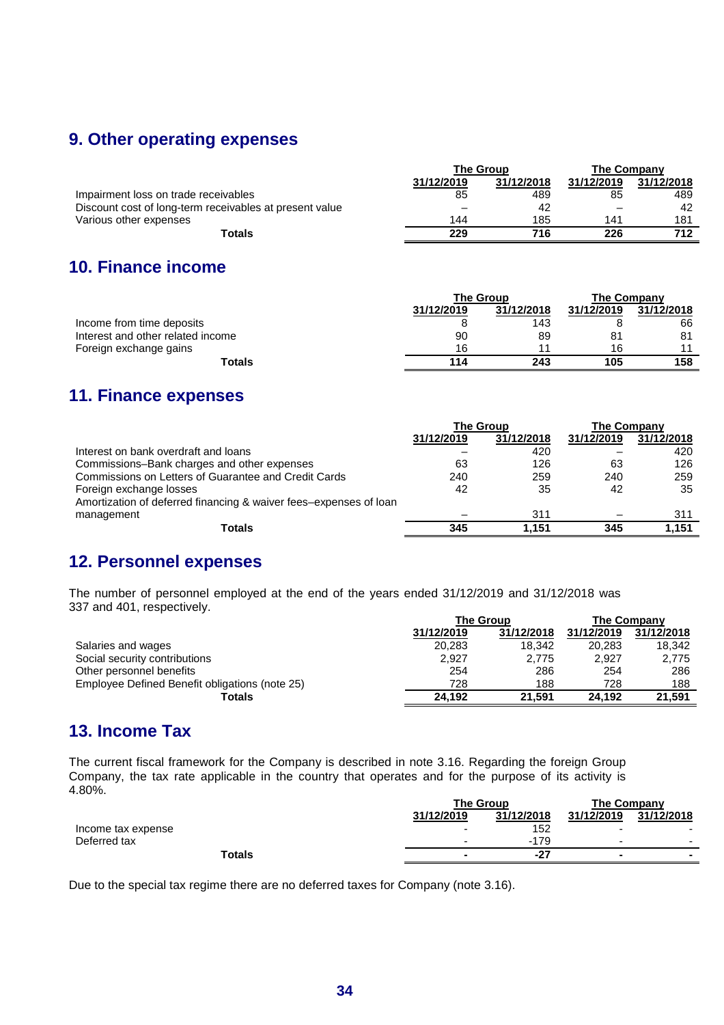# **9. Other operating expenses**

|                                                         | <b>The Group</b> |            | <b>The Company</b> |            |  |
|---------------------------------------------------------|------------------|------------|--------------------|------------|--|
|                                                         | 31/12/2019       | 31/12/2018 | 31/12/2019         | 31/12/2018 |  |
| Impairment loss on trade receivables                    | 85               | 489        | 85                 | 489        |  |
| Discount cost of long-term receivables at present value | _                | 42         |                    | 42         |  |
| Various other expenses                                  | 144              | 185        | 141                | 181        |  |
| Totals                                                  | 229              | 716        | 226                | 712        |  |

# **10. Finance income**

|                                   | <b>The Group</b> |            | The Company |            |  |
|-----------------------------------|------------------|------------|-------------|------------|--|
|                                   | 31/12/2019       | 31/12/2018 | 31/12/2019  | 31/12/2018 |  |
| Income from time deposits         |                  | 143        |             | 66         |  |
| Interest and other related income | 90               | 89         | 81          | 81         |  |
| Foreign exchange gains            | 16               | 11         | 16          | 44         |  |
| Totals                            | 114              | 243        | 105         | 158        |  |

# **11. Finance expenses**

|                                                                   | <b>The Group</b> |            | <b>The Company</b> |            |
|-------------------------------------------------------------------|------------------|------------|--------------------|------------|
|                                                                   | 31/12/2019       | 31/12/2018 | 31/12/2019         | 31/12/2018 |
| Interest on bank overdraft and loans                              |                  | 420        |                    | 420        |
| Commissions-Bank charges and other expenses                       | 63               | 126        | 63                 | 126        |
| Commissions on Letters of Guarantee and Credit Cards              | 240              | 259        | 240                | 259        |
| Foreign exchange losses                                           | 42               | 35         | 42                 | 35         |
| Amortization of deferred financing & waiver fees-expenses of loan |                  |            |                    |            |
| management                                                        |                  | 311        |                    | 311        |
| <b>Totals</b>                                                     | 345              | 1.151      | 345                | 1,151      |

# **12. Personnel expenses**

The number of personnel employed at the end of the years ended 31/12/2019 and 31/12/2018 was 337 and 401, respectively.

|                                                | <b>The Group</b> | The Company |            |            |
|------------------------------------------------|------------------|-------------|------------|------------|
|                                                | 31/12/2019       | 31/12/2018  | 31/12/2019 | 31/12/2018 |
| Salaries and wages                             | 20.283           | 18.342      | 20.283     | 18,342     |
| Social security contributions                  | 2.927            | 2.775       | 2.927      | 2.775      |
| Other personnel benefits                       | 254              | 286         | 254        | 286        |
| Employee Defined Benefit obligations (note 25) | 728              | 188         | 728        | 188        |
| Totals                                         | 24.192           | 21.591      | 24.192     | 21,591     |

# **13. Income Tax**

The current fiscal framework for the Company is described in note 3.16. Regarding the foreign Group Company, the tax rate applicable in the country that operates and for the purpose of its activity is 4.80%.

|                    | <b>The Group</b> |            | The Company |                          |  |
|--------------------|------------------|------------|-------------|--------------------------|--|
|                    | 31/12/2019       | 31/12/2018 | 31/12/2019  | 31/12/2018               |  |
| Income tax expense |                  | 152        | -           |                          |  |
| Deferred tax       |                  | $-179$     | -           | $\overline{\phantom{a}}$ |  |
| Totals             |                  | $-27$      |             |                          |  |

Due to the special tax regime there are no deferred taxes for Company (note 3.16).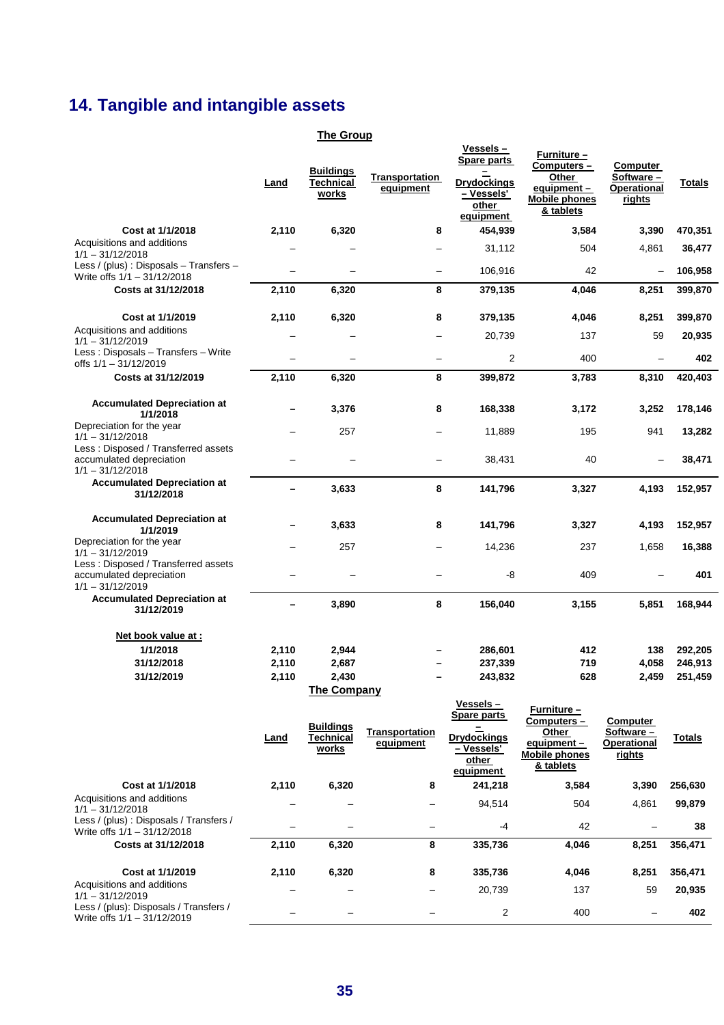# **14. Tangible and intangible assets**

### **The Group**

|                                                                                               | Land           | <b>Buildings</b><br><b>Technical</b><br>works | Transportation<br>equipment | Vessels -<br>Spare parts<br><b>Drydockings</b><br>- Vessels'<br>other<br>equipment         | <b>Furniture –</b><br>Computers-<br>Other<br>equipment-<br><b>Mobile phones</b><br>& tablets | Computer<br>Software -<br>Operational<br>rights | Totals             |
|-----------------------------------------------------------------------------------------------|----------------|-----------------------------------------------|-----------------------------|--------------------------------------------------------------------------------------------|----------------------------------------------------------------------------------------------|-------------------------------------------------|--------------------|
| Cost at 1/1/2018                                                                              | 2,110          | 6,320                                         | 8                           | 454,939                                                                                    | 3,584                                                                                        | 3,390                                           | 470,351            |
| Acquisitions and additions<br>$1/1 - 31/12/2018$                                              |                |                                               |                             | 31,112                                                                                     | 504                                                                                          | 4,861                                           | 36,477             |
| Less / (plus) : Disposals - Transfers -<br>Write offs 1/1 - 31/12/2018                        | L.             |                                               | $\overline{\phantom{0}}$    | 106,916                                                                                    | 42                                                                                           | -                                               | 106,958            |
| Costs at 31/12/2018                                                                           | 2,110          | 6,320                                         | 8                           | 379,135                                                                                    | 4,046                                                                                        | 8,251                                           | 399,870            |
| Cost at 1/1/2019<br>Acquisitions and additions                                                | 2,110          | 6,320                                         | 8                           | 379,135                                                                                    | 4,046                                                                                        | 8,251                                           | 399,870            |
| $1/1 - 31/12/2019$<br>Less: Disposals - Transfers - Write                                     |                |                                               |                             | 20,739                                                                                     | 137                                                                                          | 59                                              | 20,935             |
| offs $1/1 - 31/12/2019$                                                                       | -              |                                               | $\overline{\phantom{0}}$    | 2                                                                                          | 400                                                                                          | -                                               | 402                |
| Costs at 31/12/2019                                                                           | 2,110          | 6,320                                         | 8                           | 399,872                                                                                    | 3,783                                                                                        | 8,310                                           | 420,403            |
| <b>Accumulated Depreciation at</b><br>1/1/2018                                                |                | 3,376                                         | 8                           | 168,338                                                                                    | 3,172                                                                                        | 3,252                                           | 178,146            |
| Depreciation for the year<br>$1/1 - 31/12/2018$                                               |                | 257                                           |                             | 11,889                                                                                     | 195                                                                                          | 941                                             | 13,282             |
| Less: Disposed / Transferred assets<br>accumulated depreciation<br>$1/1 - 31/12/2018$         |                |                                               |                             | 38,431                                                                                     | 40                                                                                           |                                                 | 38,471             |
| <b>Accumulated Depreciation at</b><br>31/12/2018                                              |                | 3,633                                         | 8                           | 141,796                                                                                    | 3,327                                                                                        | 4,193                                           | 152,957            |
| <b>Accumulated Depreciation at</b><br>1/1/2019                                                |                | 3,633                                         | 8                           | 141,796                                                                                    | 3,327                                                                                        | 4,193                                           | 152,957            |
| Depreciation for the year<br>$1/1 - 31/12/2019$                                               |                | 257                                           |                             | 14,236                                                                                     | 237                                                                                          | 1,658                                           | 16,388             |
| Less: Disposed / Transferred assets<br>accumulated depreciation<br>$1/1 - 31/12/2019$         |                |                                               |                             | -8                                                                                         | 409                                                                                          |                                                 | 401                |
| <b>Accumulated Depreciation at</b><br>31/12/2019                                              | —              | 3,890                                         | 8                           | 156,040                                                                                    | 3,155                                                                                        | 5,851                                           | 168,944            |
| Net book value at :                                                                           |                |                                               |                             |                                                                                            |                                                                                              |                                                 |                    |
| 1/1/2018<br>31/12/2018                                                                        | 2,110<br>2,110 | 2,944<br>2,687                                |                             | 286,601<br>237,339                                                                         | 412<br>719                                                                                   | 138<br>4,058                                    | 292,205<br>246,913 |
| 31/12/2019                                                                                    | 2,110          | 2,430                                         |                             | 243,832                                                                                    | 628                                                                                          | 2,459                                           | 251,459            |
|                                                                                               |                | <b>The Company</b>                            |                             |                                                                                            |                                                                                              |                                                 |                    |
|                                                                                               | <u>Land</u>    | <b>Buildings</b><br>Technical<br>works        | Transportation<br>equipment | <u>Vessels –</u><br><b>Spare parts</b><br>$=$<br><b>Drydockings</b><br>- Vessels'<br>other | Furniture -<br>Computers-<br>Other<br>equipment -<br><b>Mobile phones</b><br>& tablets       | Computer<br>Software-<br>Operational<br>rights  | <b>Totals</b>      |
| Cost at 1/1/2018                                                                              | 2,110          | 6,320                                         | 8                           | equipment<br>241,218                                                                       | 3,584                                                                                        | 3,390                                           | 256,630            |
| Acquisitions and additions                                                                    |                |                                               |                             | 94,514                                                                                     | 504                                                                                          | 4,861                                           | 99,879             |
| $1/1 - 31/12/2018$<br>Less / (plus): Disposals / Transfers /<br>Write offs $1/1 - 31/12/2018$ |                |                                               |                             | -4                                                                                         | 42                                                                                           |                                                 | 38                 |
| Costs at 31/12/2018                                                                           | 2,110          | 6,320                                         | 8                           | 335,736                                                                                    | 4,046                                                                                        | 8,251                                           | 356,471            |
| Cost at 1/1/2019                                                                              | 2,110          | 6,320                                         | 8                           | 335,736                                                                                    | 4,046                                                                                        | 8,251                                           | 356,471            |
| Acquisitions and additions<br>$1/1 - 31/12/2019$                                              |                |                                               |                             | 20,739                                                                                     | 137                                                                                          | 59                                              | 20,935             |
| Less / (plus): Disposals / Transfers /<br>Write offs 1/1 - 31/12/2019                         |                |                                               |                             | 2                                                                                          | 400                                                                                          |                                                 | 402                |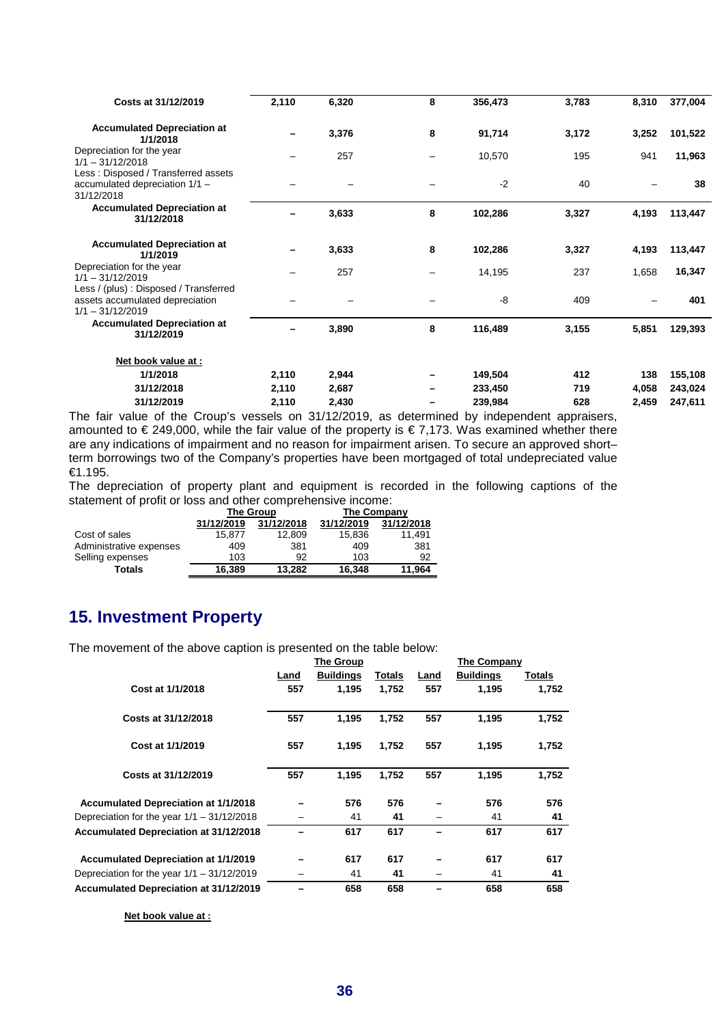| Costs at 31/12/2019                                                                             | 2,110 | 6,320 | 8               | 356,473 | 3,783 | 8,310 | 377,004 |
|-------------------------------------------------------------------------------------------------|-------|-------|-----------------|---------|-------|-------|---------|
| <b>Accumulated Depreciation at</b><br>1/1/2018                                                  |       | 3,376 | 8               | 91,714  | 3,172 | 3,252 | 101,522 |
| Depreciation for the year<br>$1/1 - 31/12/2018$                                                 |       | 257   | $\qquad \qquad$ | 10,570  | 195   | 941   | 11,963  |
| Less: Disposed / Transferred assets<br>accumulated depreciation 1/1 -<br>31/12/2018             |       |       |                 | $-2$    | 40    |       | 38      |
| <b>Accumulated Depreciation at</b><br>31/12/2018                                                |       | 3,633 | 8               | 102,286 | 3,327 | 4,193 | 113,447 |
| <b>Accumulated Depreciation at</b><br>1/1/2019                                                  |       | 3,633 | 8               | 102,286 | 3,327 | 4,193 | 113,447 |
| Depreciation for the year<br>$1/1 - 31/12/2019$                                                 |       | 257   |                 | 14,195  | 237   | 1,658 | 16,347  |
| Less / (plus) : Disposed / Transferred<br>assets accumulated depreciation<br>$1/1 - 31/12/2019$ |       |       |                 | -8      | 409   |       | 401     |
| <b>Accumulated Depreciation at</b><br>31/12/2019                                                |       | 3,890 | 8               | 116,489 | 3,155 | 5,851 | 129,393 |
| Net book value at :                                                                             |       |       |                 |         |       |       |         |
| 1/1/2018                                                                                        | 2,110 | 2,944 | -               | 149,504 | 412   | 138   | 155,108 |
| 31/12/2018                                                                                      | 2,110 | 2,687 |                 | 233,450 | 719   | 4,058 | 243,024 |
| 31/12/2019                                                                                      | 2,110 | 2,430 |                 | 239,984 | 628   | 2,459 | 247,611 |

The fair value of the Croup's vessels on 31/12/2019, as determined by independent appraisers, amounted to € 249,000, while the fair value of the property is € 7,173. Was examined whether there are any indications of impairment and no reason for impairment arisen. To secure an approved short– term borrowings two of the Company's properties have been mortgaged of total undepreciated value €1.195.

The depreciation of property plant and equipment is recorded in the following captions of the statement of profit or loss and other comprehensive income:

|                         | The Group  |            | The Company |            |  |
|-------------------------|------------|------------|-------------|------------|--|
|                         | 31/12/2019 | 31/12/2018 | 31/12/2019  | 31/12/2018 |  |
| Cost of sales           | 15.877     | 12.809     | 15,836      | 11.491     |  |
| Administrative expenses | 409        | 381        | 409         | 381        |  |
| Selling expenses        | 103        | 92         | 103         | 92         |  |
| Totals                  | 16.389     | 13.282     | 16.348      | 11.964     |  |

# **15. Investment Property**

The movement of the above caption is presented on the table below:

|                                              | The Group |                  |               |      | The Company      |        |  |
|----------------------------------------------|-----------|------------------|---------------|------|------------------|--------|--|
|                                              | Land      | <b>Buildings</b> | <b>Totals</b> | Land | <b>Buildings</b> | Totals |  |
| Cost at 1/1/2018                             | 557       | 1,195            | 1.752         | 557  | 1,195            | 1,752  |  |
| Costs at 31/12/2018                          | 557       | 1,195            | 1,752         | 557  | 1,195            | 1,752  |  |
| Cost at 1/1/2019                             | 557       | 1,195            | 1,752         | 557  | 1,195            | 1,752  |  |
| Costs at 31/12/2019                          | 557       | 1,195            | 1,752         | 557  | 1,195            | 1,752  |  |
| <b>Accumulated Depreciation at 1/1/2018</b>  |           | 576              | 576           |      | 576              | 576    |  |
| Depreciation for the year $1/1 - 31/12/2018$ |           | 41               | 41            |      | 41               | 41     |  |
| Accumulated Depreciation at 31/12/2018       |           | 617              | 617           |      | 617              | 617    |  |
| <b>Accumulated Depreciation at 1/1/2019</b>  |           | 617              | 617           |      | 617              | 617    |  |
| Depreciation for the year $1/1 - 31/12/2019$ |           | 41               | 41            |      | 41               | 41     |  |
| Accumulated Depreciation at 31/12/2019       |           | 658              | 658           |      | 658              | 658    |  |

**Net book value at :**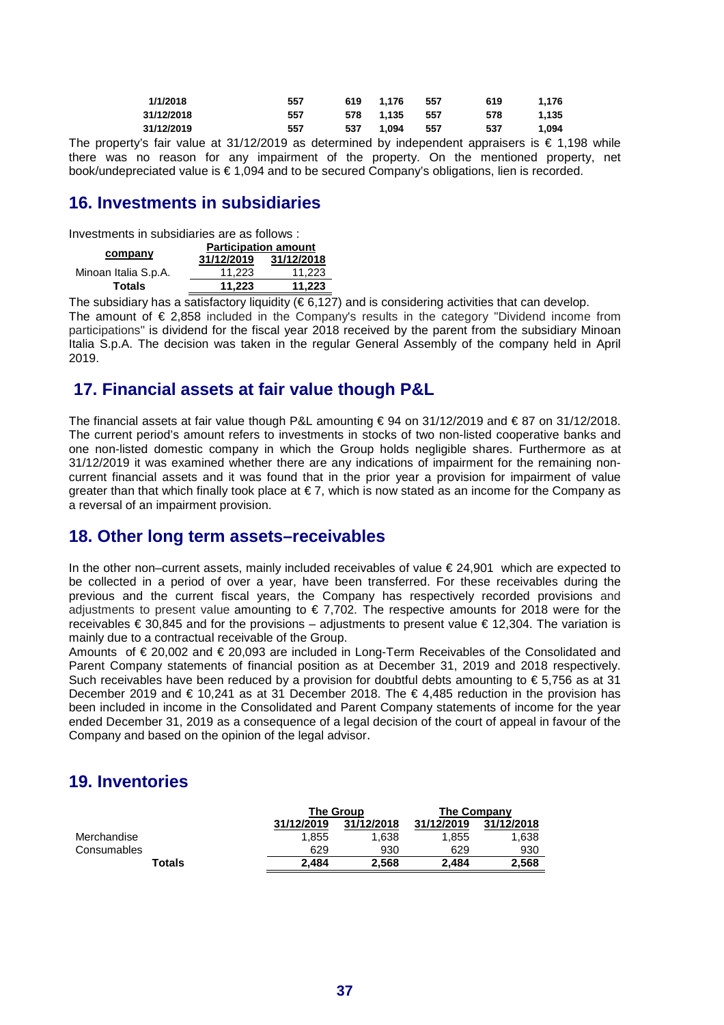| 1/1/2018   | 557 | 619 | 1.176 | 557   | 619 | 1.176 |
|------------|-----|-----|-------|-------|-----|-------|
| 31/12/2018 | 557 | 578 | 1.135 | - 557 | 578 | 1.135 |
| 31/12/2019 | 557 | 537 | 1.094 | 557   | 537 | 1.094 |

The property's fair value at 31/12/2019 as determined by independent appraisers is  $\epsilon$  1.198 while there was no reason for any impairment of the property. On the mentioned property, net book/undepreciated value is € 1,094 and to be secured Company's obligations, lien is recorded.

# **16. Investments in subsidiaries**

Investments in subsidiaries are as follows :

|                      | <b>Participation amount</b> |            |  |  |
|----------------------|-----------------------------|------------|--|--|
| company              | 31/12/2019                  | 31/12/2018 |  |  |
| Minoan Italia S.p.A. | 11.223                      | 11.223     |  |  |
| Totals               | 11.223                      | 11,223     |  |  |

The subsidiary has a satisfactory liquidity ( $\epsilon$  6,127) and is considering activities that can develop. The amount of € 2,858 included in the Company's results in the category "Dividend income from participations" is dividend for the fiscal year 2018 received by the parent from the subsidiary Minoan Italia S.p.A. The decision was taken in the regular General Assembly of the company held in April 2019.

# **17. Financial assets at fair value though P&L**

The financial assets at fair value though P&L amounting  $\epsilon$  94 on 31/12/2019 and  $\epsilon$  87 on 31/12/2018. The current period's amount refers to investments in stocks of two non-listed cooperative banks and one non-listed domestic company in which the Group holds negligible shares. Furthermore as at 31/12/2019 it was examined whether there are any indications of impairment for the remaining noncurrent financial assets and it was found that in the prior year a provision for impairment of value greater than that which finally took place at  $\epsilon$  7, which is now stated as an income for the Company as a reversal of an impairment provision.

### **18. Other long term assets–receivables**

In the other non–current assets, mainly included receivables of value € 24,901 which are expected to be collected in a period of over a year, have been transferred. For these receivables during the previous and the current fiscal years, the Company has respectively recorded provisions and adjustments to present value amounting to  $\epsilon$  7,702. The respective amounts for 2018 were for the receivables € 30,845 and for the provisions – adjustments to present value € 12,304. The variation is mainly due to a contractual receivable of the Group.

Amounts of € 20,002 and € 20,093 are included in Long-Term Receivables of the Consolidated and Parent Company statements of financial position as at December 31, 2019 and 2018 respectively. Such receivables have been reduced by a provision for doubtful debts amounting to  $\epsilon$  5,756 as at 31 December 2019 and € 10,241 as at 31 December 2018. The  $€$  4,485 reduction in the provision has been included in income in the Consolidated and Parent Company statements of income for the year ended December 31, 2019 as a consequence of a legal decision of the court of appeal in favour of the Company and based on the opinion of the legal advisor.

# **19. Inventories**

|             | <b>The Group</b> |            | The Company |            |
|-------------|------------------|------------|-------------|------------|
|             | 31/12/2019       | 31/12/2018 | 31/12/2019  | 31/12/2018 |
| Merchandise | 1.855            | 1,638      | 1.855       | 1,638      |
| Consumables | 629              | 930        | 629         | 930        |
| Totals      | 2.484            | 2,568      | 2.484       | 2,568      |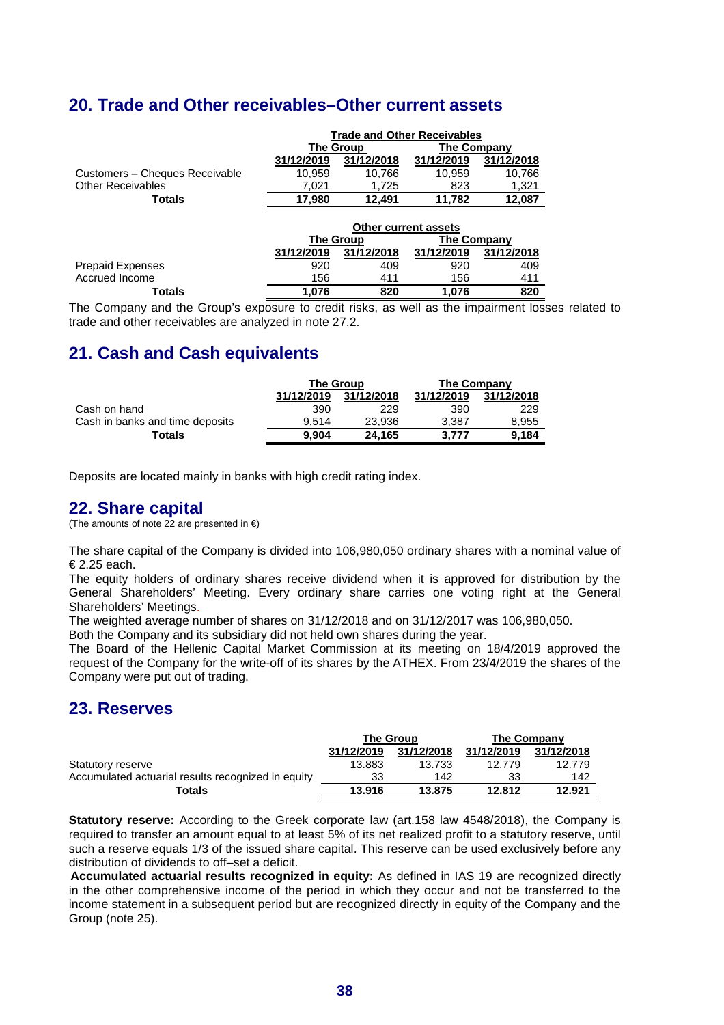# **20. Trade and Other receivables–Other current assets**

|                                | <b>Trade and Other Receivables</b> |            |             |            |  |
|--------------------------------|------------------------------------|------------|-------------|------------|--|
|                                | The Group                          |            | The Company |            |  |
|                                | 31/12/2019                         | 31/12/2018 | 31/12/2019  | 31/12/2018 |  |
| Customers - Cheques Receivable | 10.959                             | 10.766     | 10.959      | 10,766     |  |
| <b>Other Receivables</b>       | 7.021                              | 1.725      | 823         | 1.321      |  |
| Totals                         | 17.980                             | 12.491     | 11.782      | 12.087     |  |

|                         | Other current assets |                  |             |            |  |
|-------------------------|----------------------|------------------|-------------|------------|--|
|                         |                      | <b>The Group</b> | The Company |            |  |
|                         | 31/12/2019           | 31/12/2018       | 31/12/2019  | 31/12/2018 |  |
| <b>Prepaid Expenses</b> | 920                  | 409              | 920         | 409        |  |
| Accrued Income          | 156                  | 411              | 156         | 411        |  |
| Totals                  | 1.076                | 820              | 1.076       | 820        |  |

The Company and the Group's exposure to credit risks, as well as the impairment losses related to trade and other receivables are analyzed in note 27.2.

# **21. Cash and Cash equivalents**

|                                 | <b>The Group</b> |            | The Company |            |
|---------------------------------|------------------|------------|-------------|------------|
|                                 | 31/12/2019       | 31/12/2018 | 31/12/2019  | 31/12/2018 |
| Cash on hand                    | 390              | 229        | 390         | 229        |
| Cash in banks and time deposits | 9.514            | 23.936     | 3.387       | 8.955      |
| <b>Totals</b>                   | 9.904            | 24.165     | 3.777       | 9.184      |

Deposits are located mainly in banks with high credit rating index.

### **22. Share capital**

(The amounts of note 22 are presented in  $\epsilon$ )

The share capital of the Company is divided into 106,980,050 ordinary shares with a nominal value of € 2.25 each.

The equity holders of ordinary shares receive dividend when it is approved for distribution by the General Shareholders' Meeting. Every ordinary share carries one voting right at the General Shareholders' Meetings.

The weighted average number of shares on 31/12/2018 and on 31/12/2017 was 106,980,050.

Both the Company and its subsidiary did not held own shares during the year.

The Board of the Hellenic Capital Market Commission at its meeting on 18/4/2019 approved the request of the Company for the write-off of its shares by the ATHEX. From 23/4/2019 the shares of the Company were put out of trading.

# **23. Reserves**

|                                                    | <b>The Group</b> |            |            | The Company |
|----------------------------------------------------|------------------|------------|------------|-------------|
|                                                    | 31/12/2019       | 31/12/2018 | 31/12/2019 | 31/12/2018  |
| Statutory reserve                                  | 13.883           | 13.733     | 12.779     | 12.779      |
| Accumulated actuarial results recognized in equity | 33               | 142        | 33         | 142         |
| Totals                                             | 13.916           | 13.875     | 12.812     | 12.921      |

**Statutory reserve:** According to the Greek corporate law (art.158 law 4548/2018), the Company is required to transfer an amount equal to at least 5% of its net realized profit to a statutory reserve, until such a reserve equals 1/3 of the issued share capital. This reserve can be used exclusively before any distribution of dividends to off–set a deficit.

**Accumulated actuarial results recognized in equity:** As defined in IAS 19 are recognized directly in the other comprehensive income of the period in which they occur and not be transferred to the income statement in a subsequent period but are recognized directly in equity of the Company and the Group (note 25).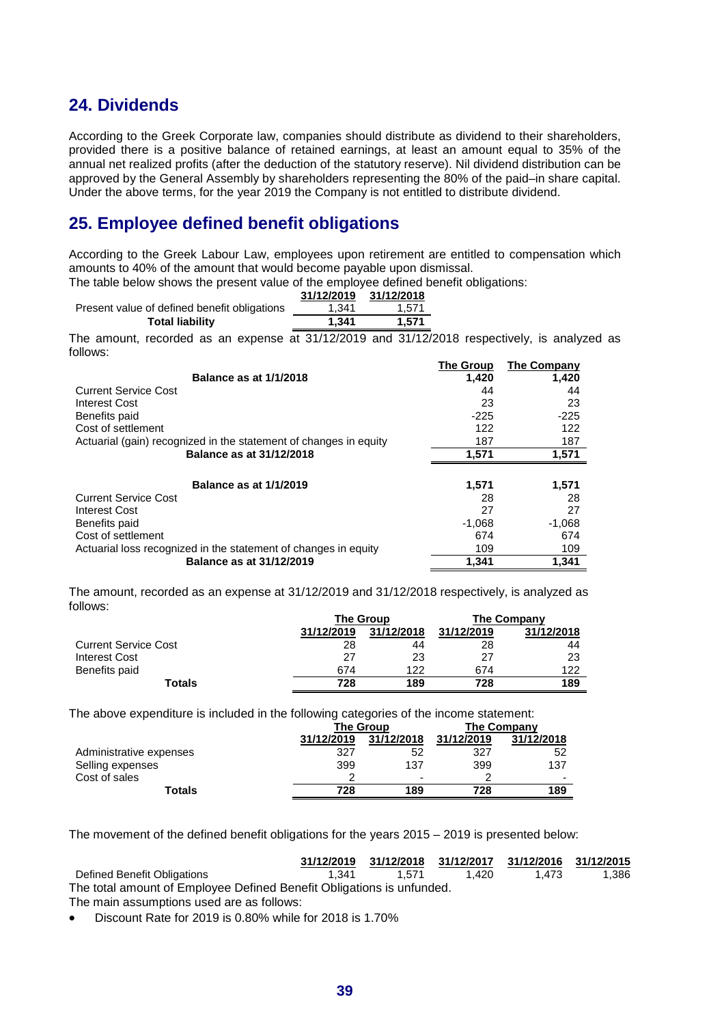# **24. Dividends**

According to the Greek Corporate law, companies should distribute as dividend to their shareholders, provided there is a positive balance of retained earnings, at least an amount equal to 35% of the annual net realized profits (after the deduction of the statutory reserve). Nil dividend distribution can be approved by the General Assembly by shareholders representing the 80% of the paid–in share capital. Under the above terms, for the year 2019 the Company is not entitled to distribute dividend.

# **25. Employee defined benefit obligations**

According to the Greek Labour Law, employees upon retirement are entitled to compensation which amounts to 40% of the amount that would become payable upon dismissal.

The table below shows the present value of the employee defined benefit obligations:

|                                              | 31/12/2019 | 31/12/2018 |
|----------------------------------------------|------------|------------|
| Present value of defined benefit obligations | 1.341      | 1.571      |
| <b>Total liability</b>                       | 1.341      | 1.571      |

The amount, recorded as an expense at 31/12/2019 and 31/12/2018 respectively, is analyzed as follows:

|                                                                   | <b>The Group</b> | <b>The Company</b> |
|-------------------------------------------------------------------|------------------|--------------------|
| <b>Balance as at 1/1/2018</b>                                     | 1.420            | 1,420              |
| <b>Current Service Cost</b>                                       | 44               | 44                 |
| <b>Interest Cost</b>                                              | 23               | 23                 |
| Benefits paid                                                     | $-225$           | $-225$             |
| Cost of settlement                                                | 122              | 122                |
| Actuarial (gain) recognized in the statement of changes in equity | 187              | 187                |
| Balance as at 31/12/2018                                          | 1.571            | 1,571              |
|                                                                   |                  |                    |
| <b>Balance as at 1/1/2019</b>                                     | 1,571            | 1,571              |
| <b>Current Service Cost</b>                                       | 28               | 28                 |
| Interest Cost                                                     | 27               | 27                 |
| Benefits paid                                                     | $-1,068$         | $-1,068$           |
| Cost of settlement                                                | 674              | 674                |
| Actuarial loss recognized in the statement of changes in equity   | 109              | 109                |
| Balance as at 31/12/2019                                          | 1.341            | 1.341              |

The amount, recorded as an expense at 31/12/2019 and 31/12/2018 respectively, is analyzed as follows:

|                             |            | <b>The Group</b> | The Company |            |  |
|-----------------------------|------------|------------------|-------------|------------|--|
|                             | 31/12/2019 | 31/12/2018       | 31/12/2019  | 31/12/2018 |  |
| <b>Current Service Cost</b> | 28         | 44               | 28          | 44         |  |
| <b>Interest Cost</b>        | 27         | 23               | 27          | 23         |  |
| Benefits paid               | 674        | 122              | 674         | 122        |  |
| Totals                      | 728        | 189              | 728         | 189        |  |

The above expenditure is included in the following categories of the income statement:

|                         |            | <b>The Group</b> | The Company |            |  |
|-------------------------|------------|------------------|-------------|------------|--|
|                         | 31/12/2019 | 31/12/2018       | 31/12/2019  | 31/12/2018 |  |
| Administrative expenses | 327        | 52               | 327         | 52         |  |
| Selling expenses        | 399        | 137              | 399         | 137        |  |
| Cost of sales           |            | -                |             | ۰          |  |
| Totals                  | 728        | 189              | 728         | 189        |  |
|                         |            |                  |             |            |  |

The movement of the defined benefit obligations for the years 2015 – 2019 is presented below:

|                                                                       | 31/12/2019 |       | 31/12/2018 31/12/2017 31/12/2016 31/12/2015 |       |       |
|-----------------------------------------------------------------------|------------|-------|---------------------------------------------|-------|-------|
| Defined Benefit Obligations                                           | 1.341      | 1.571 | 1.420                                       | 1.473 | 1.386 |
| The total amount of Employee Defined Benefit Obligations is unfunded. |            |       |                                             |       |       |
| The main assumptions used are as follows:                             |            |       |                                             |       |       |

• Discount Rate for 2019 is 0.80% while for 2018 is 1.70%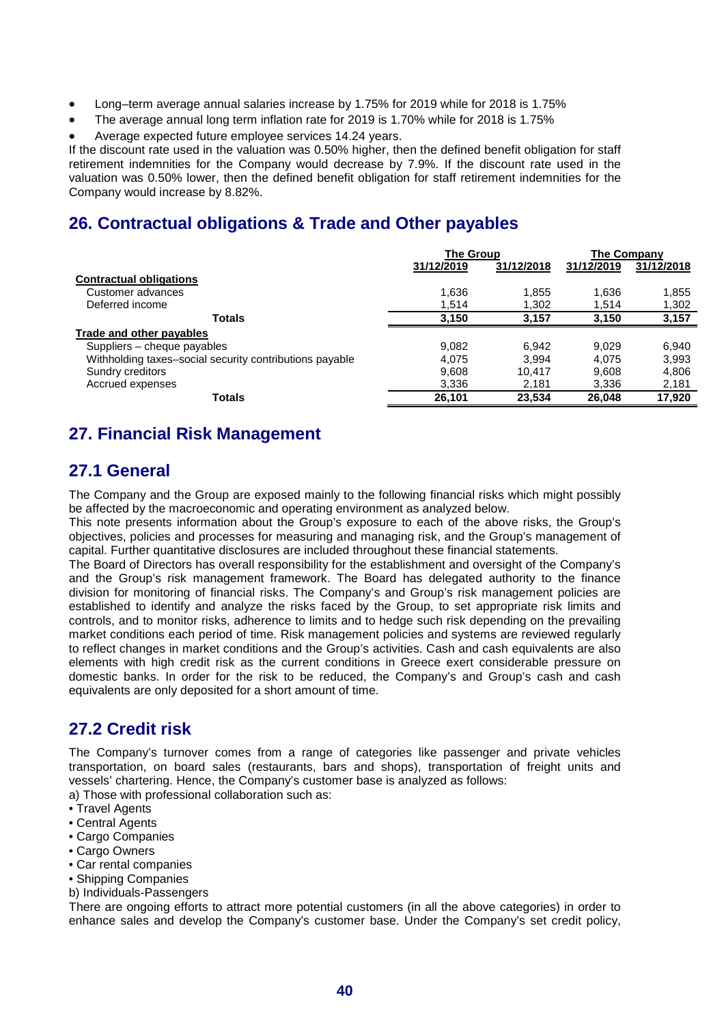- Long–term average annual salaries increase by 1.75% for 2019 while for 2018 is 1.75%
- The average annual long term inflation rate for 2019 is 1.70% while for 2018 is 1.75%
- Average expected future employee services 14.24 years.

If the discount rate used in the valuation was 0.50% higher, then the defined benefit obligation for staff retirement indemnities for the Company would decrease by 7.9%. If the discount rate used in the valuation was 0.50% lower, then the defined benefit obligation for staff retirement indemnities for the Company would increase by 8.82%.

# **26. Contractual obligations & Trade and Other payables**

|                                                         | <b>The Group</b> |            | The Company |            |
|---------------------------------------------------------|------------------|------------|-------------|------------|
|                                                         | 31/12/2019       | 31/12/2018 | 31/12/2019  | 31/12/2018 |
| <b>Contractual obligations</b>                          |                  |            |             |            |
| Customer advances                                       | 1,636            | 1,855      | 1,636       | 1,855      |
| Deferred income                                         | 1,514            | 1,302      | 1,514       | 1,302      |
| <b>Totals</b>                                           | 3,150            | 3,157      | 3,150       | 3,157      |
| <b>Trade and other payables</b>                         |                  |            |             |            |
| Suppliers - cheque payables                             | 9,082            | 6.942      | 9.029       | 6.940      |
| Withholding taxes-social security contributions payable | 4.075            | 3.994      | 4.075       | 3.993      |
| Sundry creditors                                        | 9,608            | 10.417     | 9.608       | 4,806      |
| Accrued expenses                                        | 3,336            | 2,181      | 3,336       | 2,181      |
| <b>Totals</b>                                           | 26,101           | 23,534     | 26.048      | 17,920     |

# **27. Financial Risk Management**

# **27.1 General**

The Company and the Group are exposed mainly to the following financial risks which might possibly be affected by the macroeconomic and operating environment as analyzed below.

This note presents information about the Group's exposure to each of the above risks, the Group's objectives, policies and processes for measuring and managing risk, and the Group's management of capital. Further quantitative disclosures are included throughout these financial statements.

The Board of Directors has overall responsibility for the establishment and oversight of the Company's and the Group's risk management framework. The Board has delegated authority to the finance division for monitoring of financial risks. The Company's and Group's risk management policies are established to identify and analyze the risks faced by the Group, to set appropriate risk limits and controls, and to monitor risks, adherence to limits and to hedge such risk depending on the prevailing market conditions each period of time. Risk management policies and systems are reviewed regularly to reflect changes in market conditions and the Group's activities. Cash and cash equivalents are also elements with high credit risk as the current conditions in Greece exert considerable pressure on domestic banks. In order for the risk to be reduced, the Company's and Group's cash and cash equivalents are only deposited for a short amount of time.

# **27.2 Credit risk**

The Company's turnover comes from a range of categories like passenger and private vehicles transportation, on board sales (restaurants, bars and shops), transportation of freight units and vessels' chartering. Hence, the Company's customer base is analyzed as follows:

a) Those with professional collaboration such as:

- Travel Agents
- Central Agents
- Cargo Companies
- Cargo Owners
- Car rental companies
- Shipping Companies
- b) Individuals-Passengers

There are ongoing efforts to attract more potential customers (in all the above categories) in order to enhance sales and develop the Company's customer base. Under the Company's set credit policy,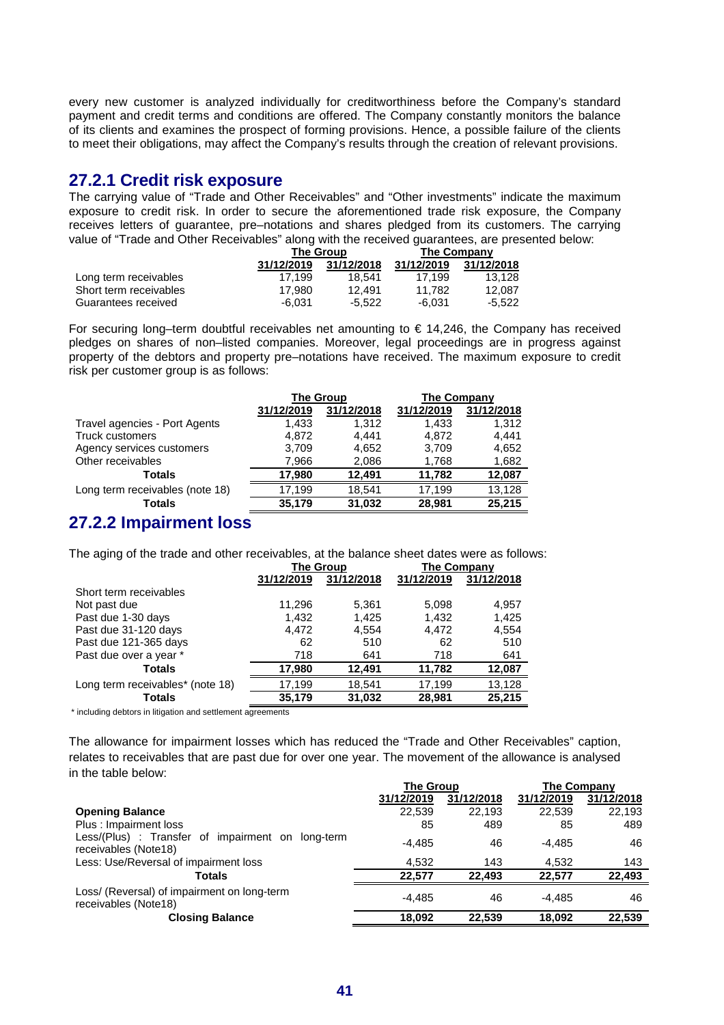every new customer is analyzed individually for creditworthiness before the Company's standard payment and credit terms and conditions are offered. The Company constantly monitors the balance of its clients and examines the prospect of forming provisions. Hence, a possible failure of the clients to meet their obligations, may affect the Company's results through the creation of relevant provisions.

### **27.2.1 Credit risk exposure**

The carrying value of "Trade and Other Receivables" and "Other investments" indicate the maximum exposure to credit risk. In order to secure the aforementioned trade risk exposure, the Company receives letters of guarantee, pre–notations and shares pledged from its customers. The carrying value of "Trade and Other Receivables" along with the received guarantees, are presented below:

|                        |            | <b>The Group</b> | <b>The Company</b> |            |  |
|------------------------|------------|------------------|--------------------|------------|--|
|                        | 31/12/2019 | 31/12/2018       | 31/12/2019         | 31/12/2018 |  |
| Long term receivables  | 17.199     | 18.541           | 17.199             | 13.128     |  |
| Short term receivables | 17.980     | 12.491           | 11.782             | 12.087     |  |
| Guarantees received    | $-6.031$   | -5.522           | -6.031             | -5.522     |  |

For securing long–term doubtful receivables net amounting to  $\epsilon$  14,246, the Company has received pledges on shares of non–listed companies. Moreover, legal proceedings are in progress against property of the debtors and property pre–notations have received. The maximum exposure to credit risk per customer group is as follows:

|                                 |            | <b>The Group</b> | The Company |            |  |
|---------------------------------|------------|------------------|-------------|------------|--|
|                                 | 31/12/2019 | 31/12/2018       | 31/12/2019  | 31/12/2018 |  |
| Travel agencies - Port Agents   | 1.433      | 1.312            | 1.433       | 1.312      |  |
| <b>Truck customers</b>          | 4.872      | 4.441            | 4.872       | 4.441      |  |
| Agency services customers       | 3,709      | 4.652            | 3,709       | 4,652      |  |
| Other receivables               | 7,966      | 2,086            | 1,768       | 1,682      |  |
| <b>Totals</b>                   | 17.980     | 12.491           | 11.782      | 12,087     |  |
| Long term receivables (note 18) | 17,199     | 18.541           | 17,199      | 13,128     |  |
| <b>Totals</b>                   | 35,179     | 31,032           | 28,981      | 25,215     |  |

### **27.2.2 Impairment loss**

The aging of the trade and other receivables, at the balance sheet dates were as follows:

|                                  |            | <b>The Group</b> | <b>The Company</b> |            |
|----------------------------------|------------|------------------|--------------------|------------|
|                                  | 31/12/2019 | 31/12/2018       | 31/12/2019         | 31/12/2018 |
| Short term receivables           |            |                  |                    |            |
| Not past due                     | 11,296     | 5,361            | 5,098              | 4,957      |
| Past due 1-30 days               | 1.432      | 1,425            | 1,432              | 1,425      |
| Past due 31-120 days             | 4.472      | 4,554            | 4.472              | 4,554      |
| Past due 121-365 days            | 62         | 510              | 62                 | 510        |
| Past due over a year *           | 718        | 641              | 718                | 641        |
| <b>Totals</b>                    | 17,980     | 12.491           | 11.782             | 12,087     |
| Long term receivables* (note 18) | 17,199     | 18,541           | 17,199             | 13,128     |
| <b>Totals</b>                    | 35,179     | 31,032           | 28,981             | 25,215     |

\* including debtors in litigation and settlement agreements

The allowance for impairment losses which has reduced the "Trade and Other Receivables" caption, relates to receivables that are past due for over one year. The movement of the allowance is analysed in the table below:

|                                                                           | <b>The Group</b> |            | <b>The Company</b> |            |
|---------------------------------------------------------------------------|------------------|------------|--------------------|------------|
|                                                                           | 31/12/2019       | 31/12/2018 | 31/12/2019         | 31/12/2018 |
| <b>Opening Balance</b>                                                    | 22,539           | 22,193     | 22.539             | 22,193     |
| Plus: Impairment loss                                                     | 85               | 489        | 85                 | 489        |
| Less/(Plus) : Transfer of impairment on long-term<br>receivables (Note18) | $-4.485$         | 46         | $-4.485$           | 46         |
| Less: Use/Reversal of impairment loss                                     | 4.532            | 143        | 4.532              | 143        |
| Totals                                                                    | 22.577           | 22.493     | 22.577             | 22,493     |
| Loss/ (Reversal) of impairment on long-term<br>receivables (Note18)       | -4.485           | 46         | $-4.485$           | 46         |
| <b>Closing Balance</b>                                                    | 18.092           | 22.539     | 18.092             | 22.539     |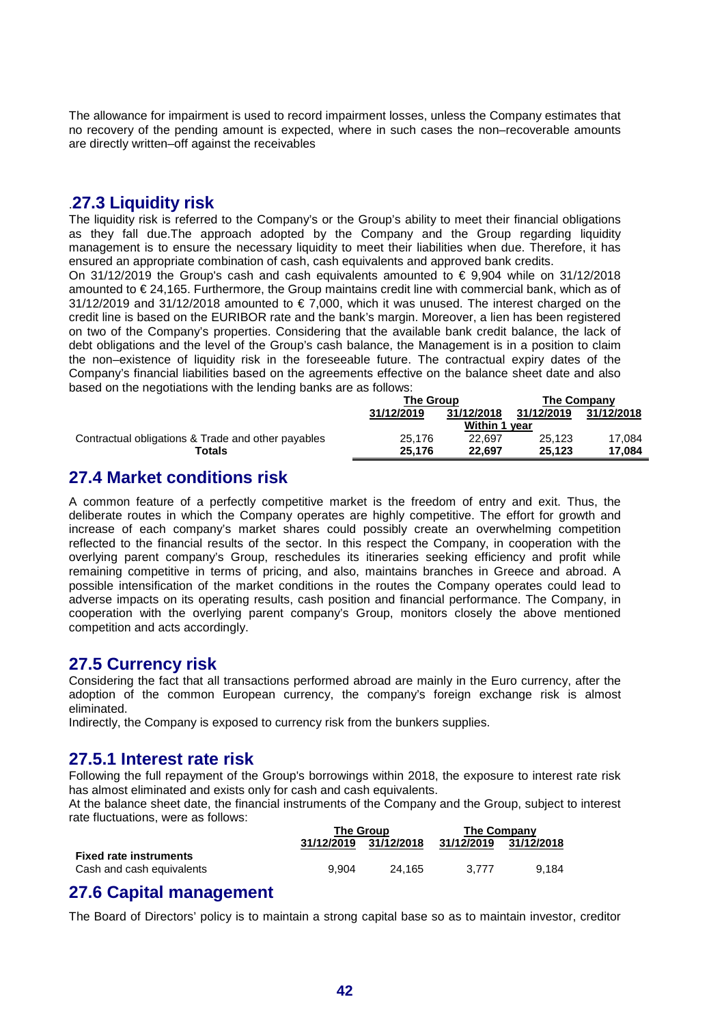The allowance for impairment is used to record impairment losses, unless the Company estimates that no recovery of the pending amount is expected, where in such cases the non–recoverable amounts are directly written–off against the receivables

## .**27.3 Liquidity risk**

The liquidity risk is referred to the Company's or the Group's ability to meet their financial obligations as they fall due.The approach adopted by the Company and the Group regarding liquidity management is to ensure the necessary liquidity to meet their liabilities when due. Therefore, it has ensured an appropriate combination of cash, cash equivalents and approved bank credits.

On 31/12/2019 the Group's cash and cash equivalents amounted to  $\epsilon$  9.904 while on 31/12/2018 amounted to  $\epsilon$  24,165. Furthermore, the Group maintains credit line with commercial bank, which as of  $31/12/2019$  and  $31/12/2018$  amounted to  $\in 7,000$ , which it was unused. The interest charged on the credit line is based on the EURIBOR rate and the bank's margin. Moreover, a lien has been registered on two of the Company's properties. Considering that the available bank credit balance, the lack of debt obligations and the level of the Group's cash balance, the Management is in a position to claim the non–existence of liquidity risk in the foreseeable future. The contractual expiry dates of the Company's financial liabilities based on the agreements effective on the balance sheet date and also based on the negotiations with the lending banks are as follows:

|                                                    | The Group  |                      | <b>The Company</b> |            |  |
|----------------------------------------------------|------------|----------------------|--------------------|------------|--|
|                                                    | 31/12/2019 | 31/12/2018           | 31/12/2019         | 31/12/2018 |  |
|                                                    |            | <b>Within 1 year</b> |                    |            |  |
| Contractual obligations & Trade and other payables | 25.176     | 22.697               | 25.123             | 17.084     |  |
| Totals                                             | 25.176     | 22.697               | 25.123             | 17.084     |  |

# **27.4 Market conditions risk**

A common feature of a perfectly competitive market is the freedom of entry and exit. Thus, the deliberate routes in which the Company operates are highly competitive. The effort for growth and increase of each company's market shares could possibly create an overwhelming competition reflected to the financial results of the sector. In this respect the Company, in cooperation with the overlying parent company's Group, reschedules its itineraries seeking efficiency and profit while remaining competitive in terms of pricing, and also, maintains branches in Greece and abroad. A possible intensification of the market conditions in the routes the Company operates could lead to adverse impacts on its operating results, cash position and financial performance. The Company, in cooperation with the overlying parent company's Group, monitors closely the above mentioned competition and acts accordingly.

#### **27.5 Currency risk**

Considering the fact that all transactions performed abroad are mainly in the Euro currency, after the adoption of the common European currency, the company's foreign exchange risk is almost eliminated.

Indirectly, the Company is exposed to currency risk from the bunkers supplies.

### **27.5.1 Interest rate risk**

Following the full repayment of the Group's borrowings within 2018, the exposure to interest rate risk has almost eliminated and exists only for cash and cash equivalents.

At the balance sheet date, the financial instruments of the Company and the Group, subject to interest rate fluctuations, were as follows:

|                               |            | <b>The Group</b> | <b>The Company</b> |            |  |
|-------------------------------|------------|------------------|--------------------|------------|--|
|                               | 31/12/2019 | 31/12/2018       | 31/12/2019         | 31/12/2018 |  |
| <b>Fixed rate instruments</b> |            |                  |                    |            |  |
| Cash and cash equivalents     | 9.904      | 24.165           | 3.777              | 9.184      |  |

### **27.6 Capital management**

The Board of Directors' policy is to maintain a strong capital base so as to maintain investor, creditor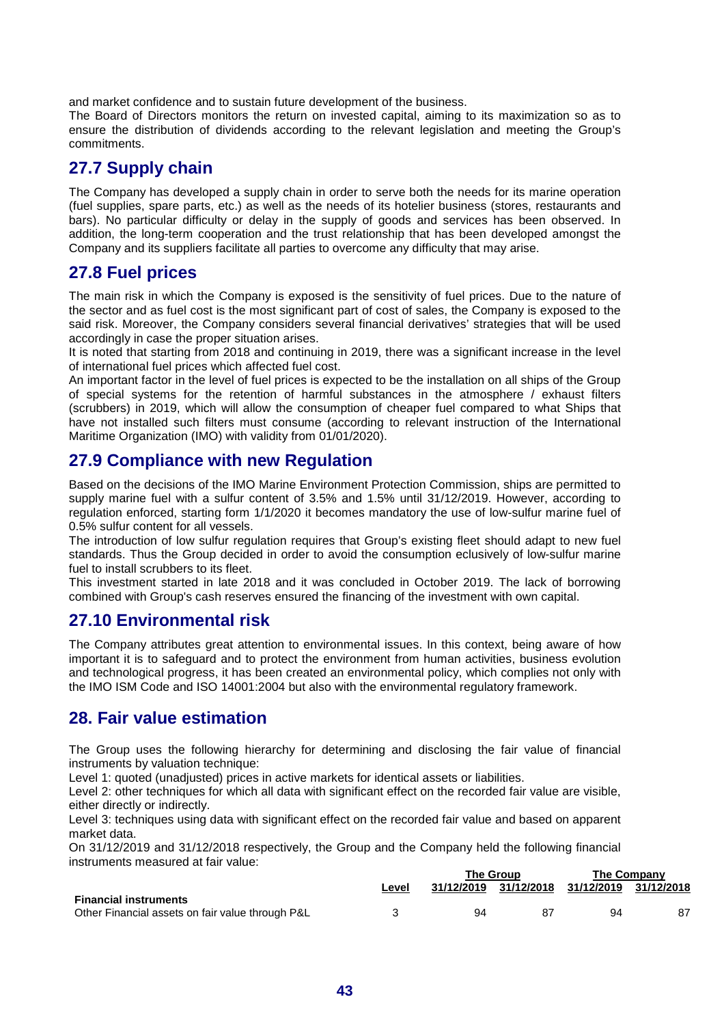and market confidence and to sustain future development of the business.

The Board of Directors monitors the return on invested capital, aiming to its maximization so as to ensure the distribution of dividends according to the relevant legislation and meeting the Group's commitments.

# **27.7 Supply chain**

The Company has developed a supply chain in order to serve both the needs for its marine operation (fuel supplies, spare parts, etc.) as well as the needs of its hotelier business (stores, restaurants and bars). No particular difficulty or delay in the supply of goods and services has been observed. In addition, the long-term cooperation and the trust relationship that has been developed amongst the Company and its suppliers facilitate all parties to overcome any difficulty that may arise.

# **27.8 Fuel prices**

The main risk in which the Company is exposed is the sensitivity of fuel prices. Due to the nature of the sector and as fuel cost is the most significant part of cost of sales, the Company is exposed to the said risk. Moreover, the Company considers several financial derivatives' strategies that will be used accordingly in case the proper situation arises.

It is noted that starting from 2018 and continuing in 2019, there was a significant increase in the level of international fuel prices which affected fuel cost.

An important factor in the level of fuel prices is expected to be the installation on all ships of the Group of special systems for the retention of harmful substances in the atmosphere / exhaust filters (scrubbers) in 2019, which will allow the consumption of cheaper fuel compared to what Ships that have not installed such filters must consume (according to relevant instruction of the International Maritime Organization (IMO) with validity from 01/01/2020).

### **27.9 Compliance with new Regulation**

Based on the decisions of the IMO Marine Environment Protection Commission, ships are permitted to supply marine fuel with a sulfur content of 3.5% and 1.5% until 31/12/2019. However, according to regulation enforced, starting form 1/1/2020 it becomes mandatory the use of low-sulfur marine fuel of 0.5% sulfur content for all vessels.

The introduction of low sulfur regulation requires that Group's existing fleet should adapt to new fuel standards. Thus the Group decided in order to avoid the consumption eclusively of low-sulfur marine fuel to install scrubbers to its fleet.

This investment started in late 2018 and it was concluded in October 2019. The lack of borrowing combined with Group's cash reserves ensured the financing of the investment with own capital.

# **27.10 Environmental risk**

The Company attributes great attention to environmental issues. In this context, being aware of how important it is to safeguard and to protect the environment from human activities, business evolution and technological progress, it has been created an environmental policy, which complies not only with the IMO ISM Code and ISO 14001:2004 but also with the environmental regulatory framework.

### **28. Fair value estimation**

The Group uses the following hierarchy for determining and disclosing the fair value of financial instruments by valuation technique:

Level 1: quoted (unadjusted) prices in active markets for identical assets or liabilities.

Level 2: other techniques for which all data with significant effect on the recorded fair value are visible, either directly or indirectly.

Level 3: techniques using data with significant effect on the recorded fair value and based on apparent market data.

On 31/12/2019 and 31/12/2018 respectively, the Group and the Company held the following financial instruments measured at fair value:

|                                                  |       | The Group |                       | The Company           |    |
|--------------------------------------------------|-------|-----------|-----------------------|-----------------------|----|
|                                                  | Level |           | 31/12/2019 31/12/2018 | 31/12/2019 31/12/2018 |    |
| <b>Financial instruments</b>                     |       |           |                       |                       |    |
| Other Financial assets on fair value through P&L |       | 94        |                       | 94                    | 87 |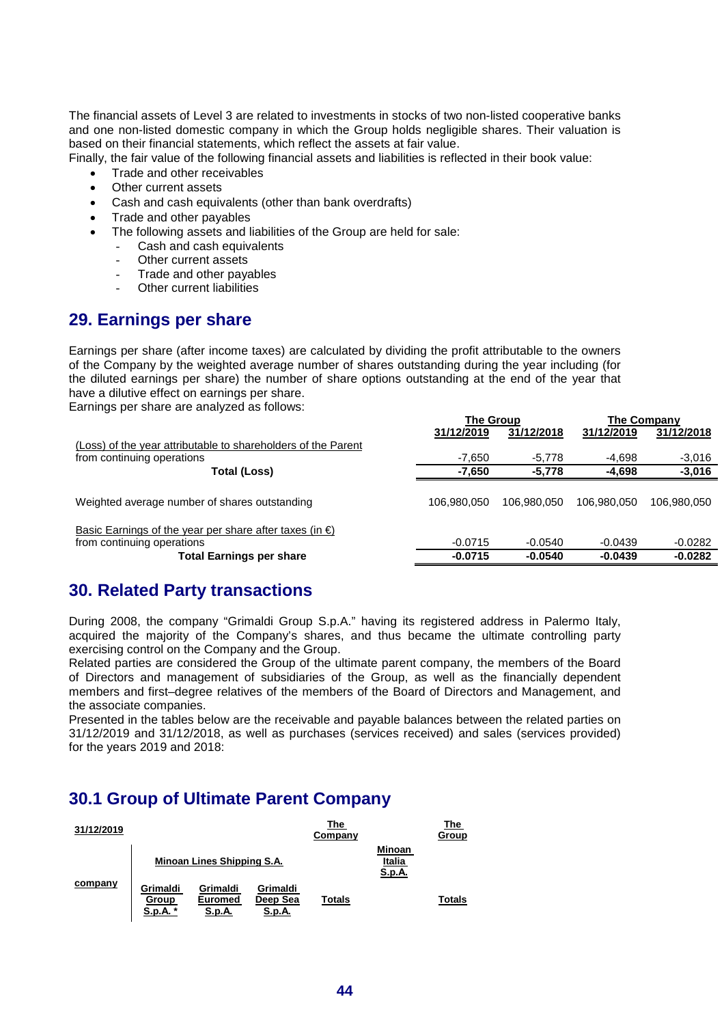The financial assets of Level 3 are related to investments in stocks of two non-listed cooperative banks and one non-listed domestic company in which the Group holds negligible shares. Their valuation is based on their financial statements, which reflect the assets at fair value.

Finally, the fair value of the following financial assets and liabilities is reflected in their book value:

- Trade and other receivables
- Other current assets
- Cash and cash equivalents (other than bank overdrafts)
- Trade and other payables
- The following assets and liabilities of the Group are held for sale:
	- Cash and cash equivalents
		- Other current assets
		- Trade and other payables
		- Other current liabilities

# **29. Earnings per share**

Earnings per share (after income taxes) are calculated by dividing the profit attributable to the owners of the Company by the weighted average number of shares outstanding during the year including (for the diluted earnings per share) the number of share options outstanding at the end of the year that have a dilutive effect on earnings per share.

Earnings per share are analyzed as follows:

|                                                                                                 | <b>THE ORD</b> |             | $\overline{\phantom{a}}$ |             |
|-------------------------------------------------------------------------------------------------|----------------|-------------|--------------------------|-------------|
|                                                                                                 | 31/12/2019     | 31/12/2018  | 31/12/2019               | 31/12/2018  |
| (Loss) of the year attributable to shareholders of the Parent                                   |                |             |                          |             |
| from continuing operations                                                                      | -7.650         | -5.778      | $-4,698$                 | $-3,016$    |
| <b>Total (Loss)</b>                                                                             | $-7,650$       | $-5,778$    | $-4,698$                 | $-3,016$    |
| Weighted average number of shares outstanding                                                   | 106.980.050    | 106.980.050 | 106.980.050              | 106,980,050 |
| Basic Earnings of the year per share after taxes (in $\epsilon$ )<br>from continuing operations | $-0.0715$      | $-0.0540$   | $-0.0439$                | $-0.0282$   |
| <b>Total Earnings per share</b>                                                                 | $-0.0715$      | $-0.0540$   | $-0.0439$                | $-0.0282$   |

**The Group The Company**

# **30. Related Party transactions**

During 2008, the company "Grimaldi Group S.p.A." having its registered address in Palermo Italy, acquired the majority of the Company's shares, and thus became the ultimate controlling party exercising control on the Company and the Group.

Related parties are considered the Group of the ultimate parent company, the members of the Board of Directors and management of subsidiaries of the Group, as well as the financially dependent members and first–degree relatives of the members of the Board of Directors and Management, and the associate companies.

Presented in the tables below are the receivable and payable balances between the related parties on 31/12/2019 and 31/12/2018, as well as purchases (services received) and sales (services provided) for the years 2019 and 2018:

# **30.1 Group of Ultimate Parent Company**

| 31/12/2019 |                               |                                             |                                       | The<br>Company |                                   | The<br>Group  |
|------------|-------------------------------|---------------------------------------------|---------------------------------------|----------------|-----------------------------------|---------------|
|            |                               | Minoan Lines Shipping S.A.                  |                                       |                | <b>Minoan</b><br>Italia<br>S.p.A. |               |
| company    | Grimaldi<br>Group<br>S.p.A. * | Grimaldi<br><b>Euromed</b><br><b>S.p.A.</b> | Grimaldi<br>Deep Sea<br><u>S.p.A.</u> | <b>Totals</b>  |                                   | <b>Totals</b> |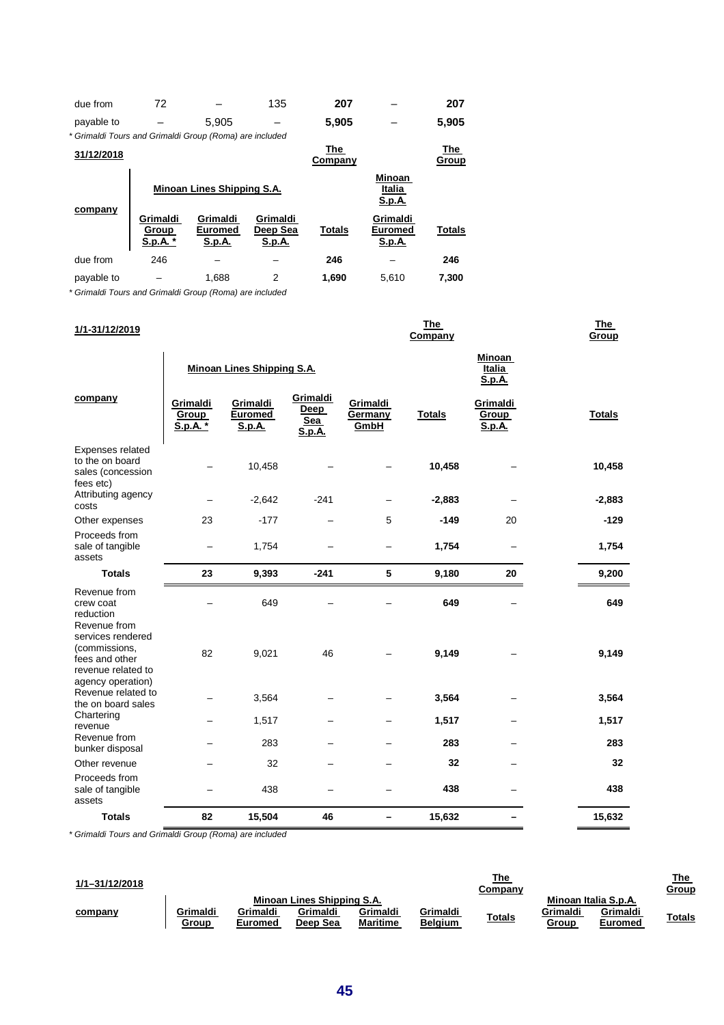| due from                                                | 72                            |                                      | 135                            | 207            |                                             | 207           |
|---------------------------------------------------------|-------------------------------|--------------------------------------|--------------------------------|----------------|---------------------------------------------|---------------|
| payable to                                              |                               | 5.905                                |                                | 5.905          |                                             | 5,905         |
| * Grimaldi Tours and Grimaldi Group (Roma) are included |                               |                                      |                                |                |                                             |               |
| 31/12/2018                                              |                               |                                      |                                | The<br>Company |                                             | The<br>Group  |
|                                                         |                               | Minoan Lines Shipping S.A.           |                                |                | <b>Minoan</b><br>Italia<br><u>S.p.A.</u>    |               |
| company                                                 | Grimaldi<br>Group<br>S.p.A. * | Grimaldi<br>Euromed<br><u>S.p.A.</u> | Grimaldi<br>Deep Sea<br>S.p.A. | <b>Totals</b>  | Grimaldi<br><b>Euromed</b><br><u>S.p.A.</u> | <b>Totals</b> |
| due from                                                | 246                           |                                      |                                | 246            |                                             | 246           |
| payable to                                              |                               | 1.688                                | 2                              | 1,690          | 5.610                                       | 7,300         |

\* Grimaldi Tours and Grimaldi Group (Roma) are included

| 1/1-31/12/2019                                                                                  |                               |                                      |                                   |                             | <b>The</b><br>Company |                                    | <b>The</b><br>Group |
|-------------------------------------------------------------------------------------------------|-------------------------------|--------------------------------------|-----------------------------------|-----------------------------|-----------------------|------------------------------------|---------------------|
|                                                                                                 |                               | Minoan Lines Shipping S.A.           |                                   |                             |                       | Minoan<br>Italia<br><u>S.p.A.</u>  |                     |
| company                                                                                         | Grimaldi<br>Group<br>S.p.A. * | Grimaldi<br><b>Euromed</b><br>S.p.A. | Grimaldi<br>Deep<br>Sea<br>S.p.A. | Grimaldi<br>Germany<br>GmbH | <b>Totals</b>         | Grimaldi<br><b>Group</b><br>S.p.A. | <b>Totals</b>       |
| Expenses related<br>to the on board<br>sales (concession<br>fees etc)                           |                               | 10,458                               |                                   |                             | 10,458                |                                    | 10,458              |
| Attributing agency<br>costs                                                                     |                               | $-2,642$                             | $-241$                            |                             | $-2,883$              |                                    | $-2,883$            |
| Other expenses                                                                                  | 23                            | $-177$                               |                                   | 5                           | $-149$                | 20                                 | $-129$              |
| Proceeds from<br>sale of tangible<br>assets                                                     |                               | 1,754                                |                                   |                             | 1,754                 |                                    | 1,754               |
| <b>Totals</b>                                                                                   | 23                            | 9,393                                | $-241$                            | 5                           | 9,180                 | 20                                 | 9,200               |
| Revenue from<br>crew coat<br>reduction<br>Revenue from                                          |                               | 649                                  |                                   |                             | 649                   |                                    | 649                 |
| services rendered<br>(commissions,<br>fees and other<br>revenue related to<br>agency operation) | 82                            | 9,021                                | 46                                |                             | 9,149                 |                                    | 9,149               |
| Revenue related to<br>the on board sales                                                        |                               | 3,564                                |                                   |                             | 3,564                 |                                    | 3,564               |
| Chartering<br>revenue                                                                           |                               | 1,517                                |                                   |                             | 1,517                 |                                    | 1,517               |
| Revenue from<br>bunker disposal                                                                 |                               | 283                                  |                                   |                             | 283                   |                                    | 283                 |
| Other revenue                                                                                   |                               | 32                                   |                                   |                             | 32                    |                                    | 32                  |
| Proceeds from<br>sale of tangible<br>assets                                                     |                               | 438                                  |                                   |                             | 438                   |                                    | 438                 |
| <b>Totals</b>                                                                                   | 82                            | 15,504                               | 46                                |                             | 15,632                |                                    | 15,632              |

\* Grimaldi Tours and Grimaldi Group (Roma) are included

| 1/1-31/12/2018 |                   |                     |                                                    |                             |                            | <u>The</u><br>Company |                   |                                             | <u>The</u><br><b>Group</b> |
|----------------|-------------------|---------------------|----------------------------------------------------|-----------------------------|----------------------------|-----------------------|-------------------|---------------------------------------------|----------------------------|
| company        | Grimaldi<br>Group | Grimaldi<br>Euromed | Minoan Lines Shipping S.A.<br>Grimaldi<br>Deep Sea | Grimaldi<br><b>Maritime</b> | Grimaldi<br><b>Belgium</b> | <b>Totals</b>         | Grimaldi<br>Group | Minoan Italia S.p.A.<br>Grimaldi<br>Euromed | <b>Totals</b>              |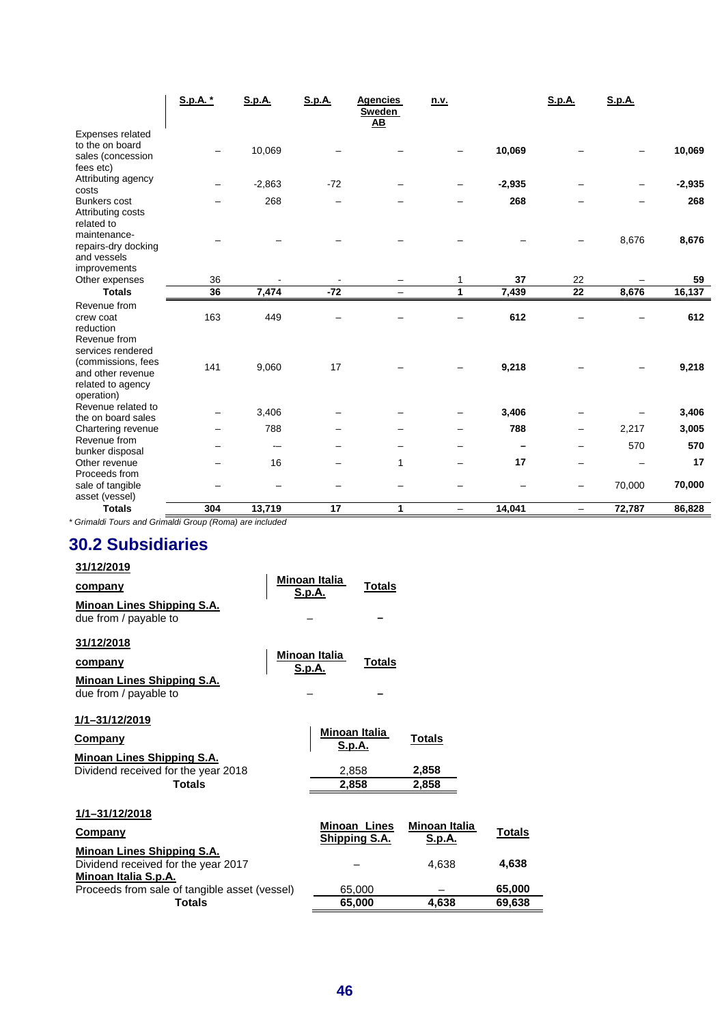|                                                                                                 | S.p.A. * | <b>S.p.A.</b> | <b>S.p.A.</b> | <b>Agencies</b><br>Sweden<br>$\overline{AB}$ | n.v.         |          | <b>S.p.A.</b>            | S.p.A. |          |
|-------------------------------------------------------------------------------------------------|----------|---------------|---------------|----------------------------------------------|--------------|----------|--------------------------|--------|----------|
| Expenses related<br>to the on board<br>sales (concession<br>fees etc)                           |          | 10,069        |               |                                              |              | 10,069   |                          |        | 10,069   |
| Attributing agency<br>costs                                                                     |          | $-2,863$      | $-72$         |                                              |              | $-2,935$ |                          |        | $-2,935$ |
| <b>Bunkers cost</b><br>Attributing costs<br>related to                                          |          | 268           |               |                                              |              | 268      |                          |        | 268      |
| maintenance-<br>repairs-dry docking<br>and vessels                                              |          |               |               |                                              |              |          |                          | 8,676  | 8,676    |
| improvements<br>Other expenses                                                                  | 36       |               |               |                                              |              | 37       | 22                       |        | 59       |
| <b>Totals</b>                                                                                   | 36       | 7,474         | $-72$         |                                              | $\mathbf{1}$ | 7,439    | $\overline{22}$          | 8,676  | 16,137   |
| Revenue from<br>crew coat<br>reduction<br>Revenue from                                          | 163      | 449           |               |                                              |              | 612      |                          |        | 612      |
| services rendered<br>(commissions, fees<br>and other revenue<br>related to agency<br>operation) | 141      | 9,060         | 17            |                                              |              | 9,218    |                          |        | 9,218    |
| Revenue related to<br>the on board sales                                                        |          | 3,406         |               |                                              |              | 3,406    |                          |        | 3,406    |
| Chartering revenue                                                                              |          | 788           |               |                                              |              | 788      |                          | 2,217  | 3,005    |
| Revenue from<br>bunker disposal                                                                 |          |               |               |                                              |              |          |                          | 570    | 570      |
| Other revenue                                                                                   |          | 16            |               | 1                                            |              | 17       | $\overline{\phantom{0}}$ |        | 17       |
| Proceeds from<br>sale of tangible<br>asset (vessel)                                             |          |               |               |                                              |              |          | -                        | 70,000 | 70,000   |
| <b>Totals</b><br>.                                                                              | 304      | 13,719        | 17            | 1                                            |              | 14,041   |                          | 72,787 | 86,828   |

\* Grimaldi Tours and Grimaldi Group (Roma) are included

# **30.2 Subsidiaries**

| 31/12/2019 |  |  |  |
|------------|--|--|--|
|            |  |  |  |

| company                                                                                                                | <b>Minoan Italia</b><br>S.p.A. |                                           | Totals                               |                                         |                  |
|------------------------------------------------------------------------------------------------------------------------|--------------------------------|-------------------------------------------|--------------------------------------|-----------------------------------------|------------------|
| Minoan Lines Shipping S.A.<br>due from / payable to                                                                    |                                |                                           |                                      |                                         |                  |
| 31/12/2018<br><b>company</b><br><b>Minoan Lines Shipping S.A.</b><br>due from / payable to                             | Minoan Italia<br><b>S.p.A.</b> |                                           | <b>Totals</b>                        |                                         |                  |
| 1/1-31/12/2019<br>Company<br><b>Minoan Lines Shipping S.A.</b><br>Dividend received for the year 2018<br><b>Totals</b> |                                | Minoan Italia<br>S.p.A.<br>2,858<br>2,858 |                                      | <b>Totals</b><br>2,858<br>2,858         |                  |
| 1/1-31/12/2018<br>Company<br><b>Minoan Lines Shipping S.A.</b><br>Dividend received for the year 2017                  |                                |                                           | <b>Minoan Lines</b><br>Shipping S.A. | Minoan Italia<br><u>S.p.A.</u><br>4,638 | Totals<br>4,638  |
| <u>Minoan Italia S.p.A.</u><br>Proceeds from sale of tangible asset (vessel)<br><b>Totals</b>                          |                                |                                           | 65,000<br>65,000                     | 4,638                                   | 65,000<br>69,638 |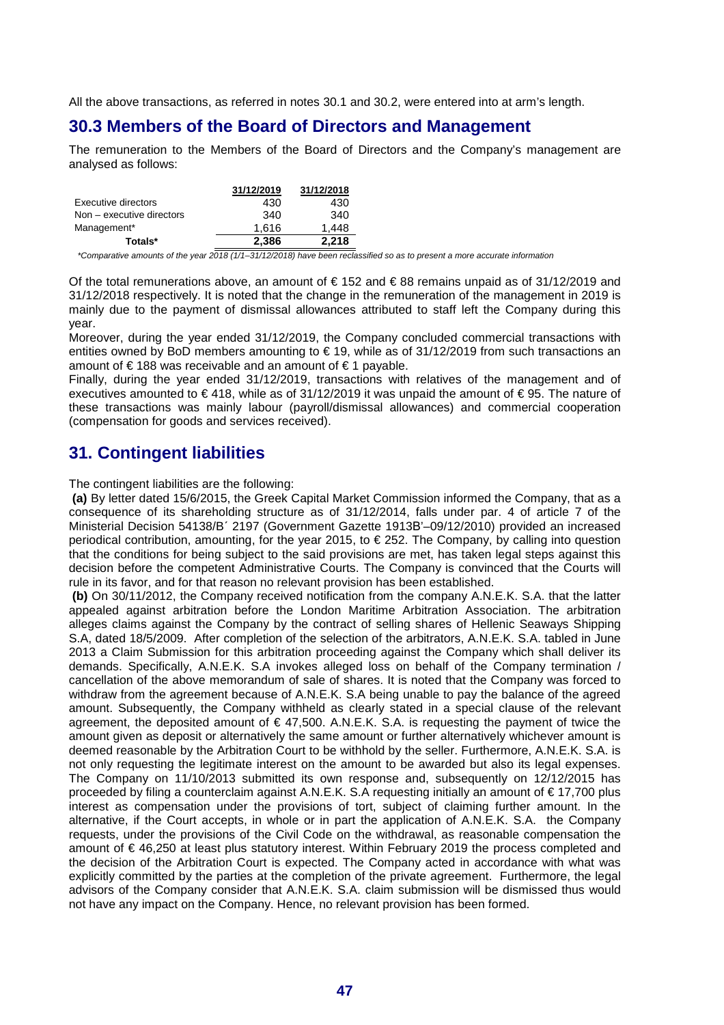All the above transactions, as referred in notes 30.1 and 30.2, were entered into at arm's length.

### **30.3 Members of the Board of Directors and Management**

The remuneration to the Members of the Board of Directors and the Company's management are analysed as follows:

|                           | 31/12/2019 | 31/12/2018 |
|---------------------------|------------|------------|
| Executive directors       | 430        | 430        |
| Non – executive directors | 340        | 340        |
| Management*               | 1.616      | 1.448      |
| Totals*                   | 2.386      | 2,218      |

\*Comparative amounts of the year 2018 (1/1–31/12/2018) have been reclassified so as to present a more accurate information

Of the total remunerations above, an amount of  $\epsilon$  152 and  $\epsilon$  88 remains unpaid as of 31/12/2019 and 31/12/2018 respectively. It is noted that the change in the remuneration of the management in 2019 is mainly due to the payment of dismissal allowances attributed to staff left the Company during this year.

Moreover, during the year ended 31/12/2019, the Company concluded commercial transactions with entities owned by BoD members amounting to  $\in$  19, while as of 31/12/2019 from such transactions an amount of € 188 was receivable and an amount of € 1 payable.

Finally, during the year ended 31/12/2019, transactions with relatives of the management and of executives amounted to € 418, while as of 31/12/2019 it was unpaid the amount of € 95. The nature of these transactions was mainly labour (payroll/dismissal allowances) and commercial cooperation (compensation for goods and services received).

# **31. Contingent liabilities**

The contingent liabilities are the following:

 **(a)** By letter dated 15/6/2015, the Greek Capital Market Commission informed the Company, that as a consequence of its shareholding structure as of 31/12/2014, falls under par. 4 of article 7 of the Ministerial Decision 54138/B΄ 2197 (Government Gazette 1913Β'–09/12/2010) provided an increased periodical contribution, amounting, for the year 2015, to € 252. The Company, by calling into question that the conditions for being subject to the said provisions are met, has taken legal steps against this decision before the competent Administrative Courts. The Company is convinced that the Courts will rule in its favor, and for that reason no relevant provision has been established.

 **(b)** On 30/11/2012, the Company received notification from the company A.N.E.K. S.A. that the latter appealed against arbitration before the London Maritime Arbitration Association. The arbitration alleges claims against the Company by the contract of selling shares of Hellenic Seaways Shipping S.A, dated 18/5/2009. After completion of the selection of the arbitrators, A.N.E.K. S.A. tabled in June 2013 a Claim Submission for this arbitration proceeding against the Company which shall deliver its demands. Specifically, A.N.E.K. S.A invokes alleged loss on behalf of the Company termination / cancellation of the above memorandum of sale of shares. It is noted that the Company was forced to withdraw from the agreement because of A.N.E.K. S.A being unable to pay the balance of the agreed amount. Subsequently, the Company withheld as clearly stated in a special clause of the relevant agreement, the deposited amount of  $\epsilon$  47,500. A.N.E.K. S.A. is requesting the payment of twice the amount given as deposit or alternatively the same amount or further alternatively whichever amount is deemed reasonable by the Arbitration Court to be withhold by the seller. Furthermore, A.N.E.K. S.A. is not only requesting the legitimate interest on the amount to be awarded but also its legal expenses. The Company on 11/10/2013 submitted its own response and, subsequently on 12/12/2015 has proceeded by filing a counterclaim against A.N.E.K. S.A requesting initially an amount of € 17,700 plus interest as compensation under the provisions of tort, subject of claiming further amount. In the alternative, if the Court accepts, in whole or in part the application of A.N.E.K. S.A. the Company requests, under the provisions of the Civil Code on the withdrawal, as reasonable compensation the amount of € 46,250 at least plus statutory interest. Within February 2019 the process completed and the decision of the Arbitration Court is expected. The Company acted in accordance with what was explicitly committed by the parties at the completion of the private agreement. Furthermore, the legal advisors of the Company consider that A.N.E.K. S.A. claim submission will be dismissed thus would not have any impact on the Company. Hence, no relevant provision has been formed.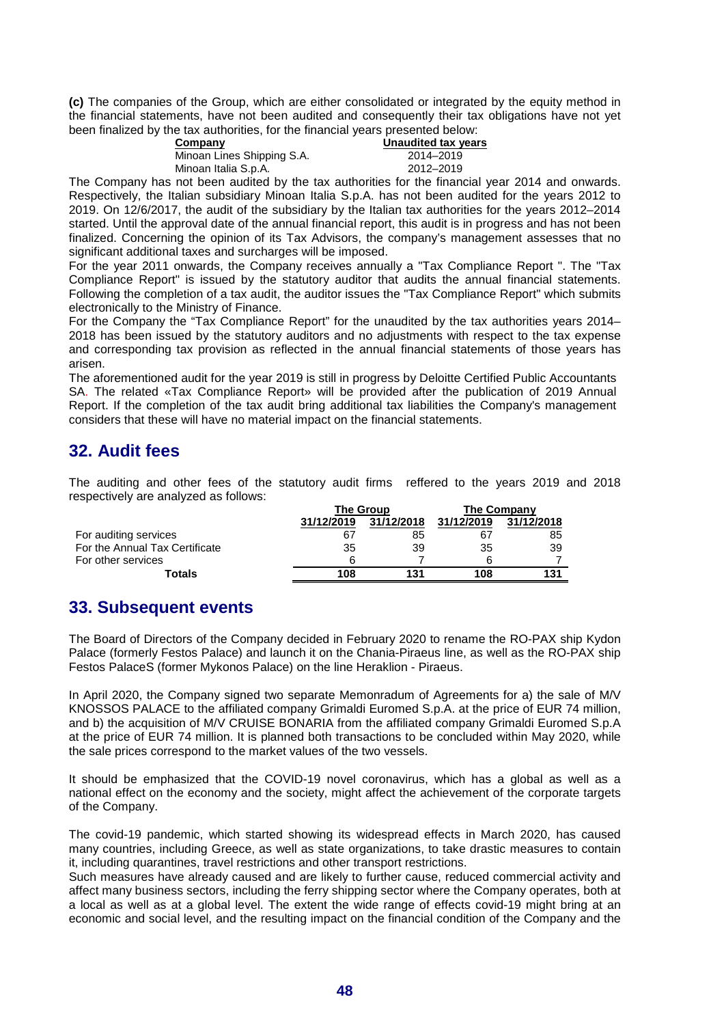**(c)** The companies of the Group, which are either consolidated or integrated by the equity method in the financial statements, have not been audited and consequently their tax obligations have not yet been finalized by the tax authorities, for the financial years presented below:

| Unaudited tax vears |
|---------------------|
| 2014–2019           |
| 2012-2019           |
|                     |

The Company has not been audited by the tax authorities for the financial year 2014 and onwards. Respectively, the Italian subsidiary Minoan Italia S.p.A. has not been audited for the years 2012 to 2019. On 12/6/2017, the audit of the subsidiary by the Italian tax authorities for the years 2012–2014 started. Until the approval date of the annual financial report, this audit is in progress and has not been finalized. Concerning the opinion of its Tax Advisors, the company's management assesses that no significant additional taxes and surcharges will be imposed.

For the year 2011 onwards, the Company receives annually a "Tax Compliance Report ". The "Tax Compliance Report" is issued by the statutory auditor that audits the annual financial statements. Following the completion of a tax audit, the auditor issues the "Tax Compliance Report" which submits electronically to the Ministry of Finance.

For the Company the "Tax Compliance Report" for the unaudited by the tax authorities years 2014– 2018 has been issued by the statutory auditors and no adjustments with respect to the tax expense and corresponding tax provision as reflected in the annual financial statements of those years has arisen.

The aforementioned audit for the year 2019 is still in progress by Deloitte Certified Public Accountants SA. The related «Tax Compliance Report» will be provided after the publication of 2019 Annual Report. If the completion of the tax audit bring additional tax liabilities the Company's management considers that these will have no material impact on the financial statements.

# **32. Audit fees**

The auditing and other fees of the statutory audit firms reffered to the years 2019 and 2018 respectively are analyzed as follows:

|                                |            | <b>The Group</b> | <b>The Company</b> |            |  |
|--------------------------------|------------|------------------|--------------------|------------|--|
|                                | 31/12/2019 | 31/12/2018       | 31/12/2019         | 31/12/2018 |  |
| For auditing services          | 67         | 85               | 67                 | 85         |  |
| For the Annual Tax Certificate | 35         | 39               | 35                 | 39         |  |
| For other services             | 6          |                  | ี                  |            |  |
| Totals                         | 108        | 131              | 108                | 131        |  |

# **33. Subsequent events**

The Board of Directors of the Company decided in February 2020 to rename the RO-PAX ship Kydon Palace (formerly Festos Palace) and launch it on the Chania-Piraeus line, as well as the RO-PAX ship Festos PalaceS (former Mykonos Palace) on the line Heraklion - Piraeus.

In April 2020, the Company signed two separate Memonradum of Agreements for a) the sale of M/V KNOSSOS PALACE to the affiliated company Grimaldi Euromed S.p.A. at the price of EUR 74 million, and b) the acquisition of M/V CRUISE BONARIA from the affiliated company Grimaldi Euromed S.p.A at the price of EUR 74 million. It is planned both transactions to be concluded within May 2020, while the sale prices correspond to the market values of the two vessels.

It should be emphasized that the COVID-19 novel coronavirus, which has a global as well as a national effect on the economy and the society, might affect the achievement of the corporate targets of the Company.

The covid-19 pandemic, which started showing its widespread effects in March 2020, has caused many countries, including Greece, as well as state organizations, to take drastic measures to contain it, including quarantines, travel restrictions and other transport restrictions.

Such measures have already caused and are likely to further cause, reduced commercial activity and affect many business sectors, including the ferry shipping sector where the Company operates, both at a local as well as at a global level. The extent the wide range of effects covid-19 might bring at an economic and social level, and the resulting impact on the financial condition of the Company and the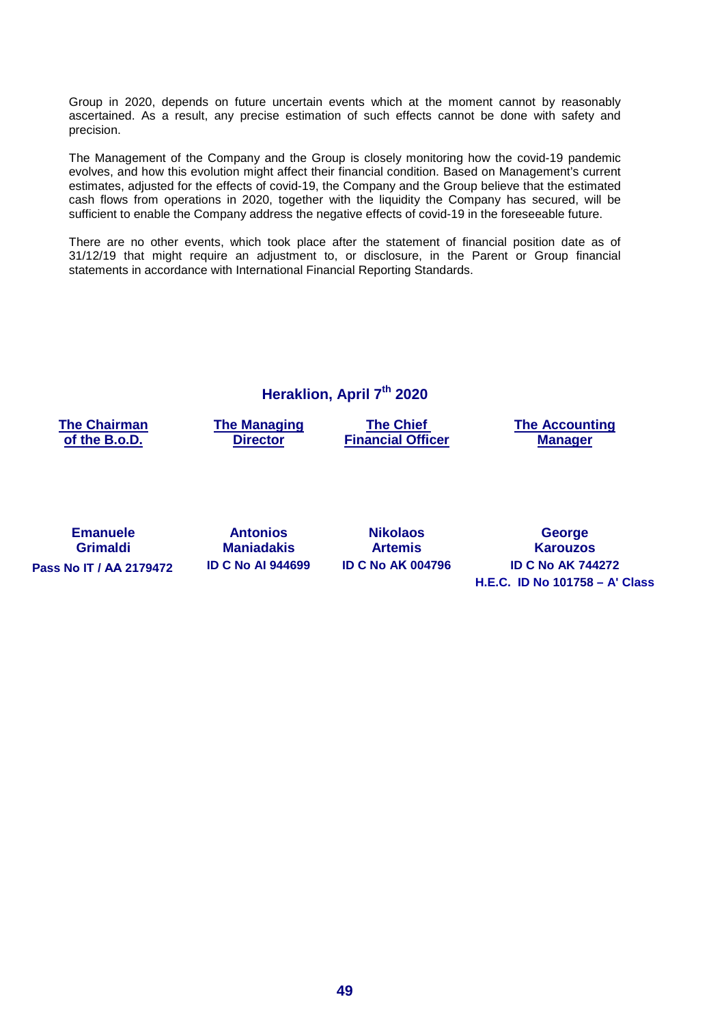Group in 2020, depends on future uncertain events which at the moment cannot by reasonably ascertained. As a result, any precise estimation of such effects cannot be done with safety and precision.

The Management of the Company and the Group is closely monitoring how the covid-19 pandemic evolves, and how this evolution might affect their financial condition. Based on Management's current estimates, adjusted for the effects of covid-19, the Company and the Group believe that the estimated cash flows from operations in 2020, together with the liquidity the Company has secured, will be sufficient to enable the Company address the negative effects of covid-19 in the foreseeable future.

There are no other events, which took place after the statement of financial position date as of 31/12/19 that might require an adjustment to, or disclosure, in the Parent or Group financial statements in accordance with International Financial Reporting Standards.

**Heraklion, April 7th 2020** 

**The Chairman of the B.o.D.** 

**The Managing Director** 

**The Chief Financial Officer**  **The Accounting Manager** 

**Emanuele Grimaldi Pass Nο IT / ΑΑ 2179472 ID C No AI 944699 ID C No AΚ 004796 ID C No AK 744272** 

**Antonios Maniadakis** **Nikolaos Artemis**

**George Karouzos H.E.C. ID No 101758 – A' Class**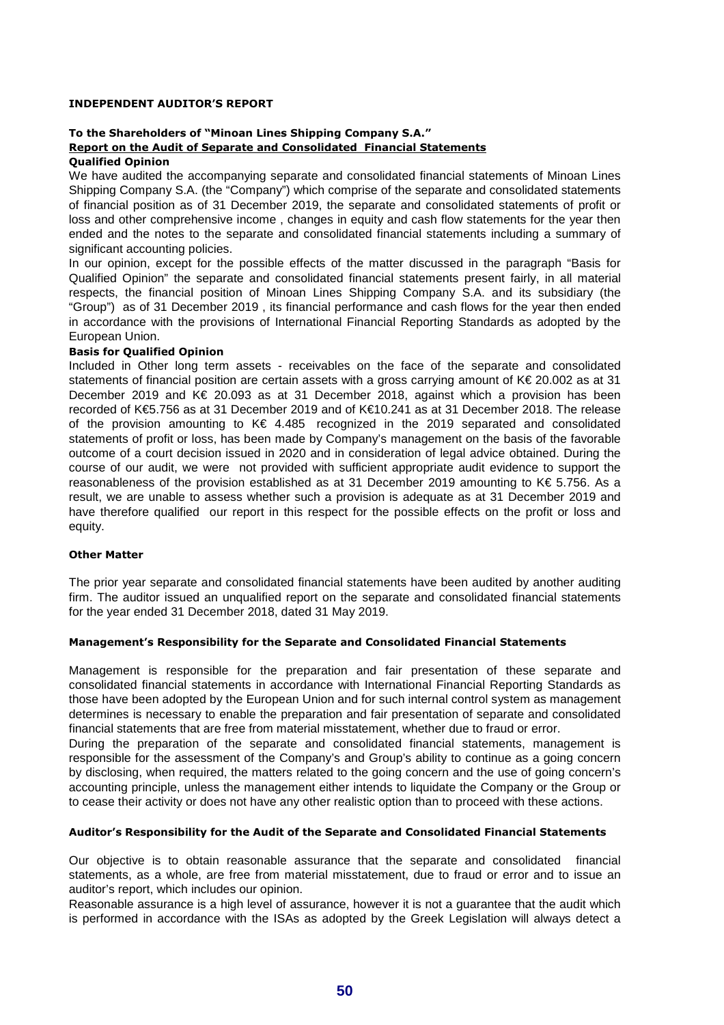#### **INDEPENDENT AUDITOR'S REPORT**

#### **To the Shareholders of "Minoan Lines Shipping Company S.A." Report on the Audit of Separate and Consolidated Financial Statements Qualified Opinion**

We have audited the accompanying separate and consolidated financial statements of Minoan Lines Shipping Company S.A. (the "Company") which comprise of the separate and consolidated statements of financial position as of 31 December 2019, the separate and consolidated statements of profit or loss and other comprehensive income , changes in equity and cash flow statements for the year then ended and the notes to the separate and consolidated financial statements including a summary of significant accounting policies.

In our opinion, except for the possible effects of the matter discussed in the paragraph "Basis for Qualified Opinion" the separate and consolidated financial statements present fairly, in all material respects, the financial position of Minoan Lines Shipping Company S.A. and its subsidiary (the "Group") as of 31 December 2019 , its financial performance and cash flows for the year then ended in accordance with the provisions of International Financial Reporting Standards as adopted by the European Union.

#### **Basis for Qualified Opinion**

Included in Other long term assets - receivables on the face of the separate and consolidated statements of financial position are certain assets with a gross carrying amount of K€ 20.002 as at 31 December 2019 and K€ 20.093 as at 31 December 2018, against which a provision has been recorded of K€5.756 as at 31 December 2019 and of K€10.241 as at 31 December 2018. The release of the provision amounting to  $K \in 4.485$  recognized in the 2019 separated and consolidated statements of profit or loss, has been made by Company's management on the basis of the favorable outcome of a court decision issued in 2020 and in consideration of legal advice obtained. During the course of our audit, we were not provided with sufficient appropriate audit evidence to support the reasonableness of the provision established as at 31 December 2019 amounting to K€ 5.756. As a result, we are unable to assess whether such a provision is adequate as at 31 December 2019 and have therefore qualified our report in this respect for the possible effects on the profit or loss and equity.

#### **Other Matter**

The prior year separate and consolidated financial statements have been audited by another auditing firm. The auditor issued an unqualified report on the separate and consolidated financial statements for the year ended 31 December 2018, dated 31 May 2019.

#### **Management's Responsibility for the Separate and Consolidated Financial Statements**

Management is responsible for the preparation and fair presentation of these separate and consolidated financial statements in accordance with International Financial Reporting Standards as those have been adopted by the European Union and for such internal control system as management determines is necessary to enable the preparation and fair presentation of separate and consolidated financial statements that are free from material misstatement, whether due to fraud or error.

During the preparation of the separate and consolidated financial statements, management is responsible for the assessment of the Company's and Group's ability to continue as a going concern by disclosing, when required, the matters related to the going concern and the use of going concern's accounting principle, unless the management either intends to liquidate the Company or the Group or to cease their activity or does not have any other realistic option than to proceed with these actions.

#### **Auditor's Responsibility for the Audit of the Separate and Consolidated Financial Statements**

Our objective is to obtain reasonable assurance that the separate and consolidated financial statements, as a whole, are free from material misstatement, due to fraud or error and to issue an auditor's report, which includes our opinion.

Reasonable assurance is a high level of assurance, however it is not a guarantee that the audit which is performed in accordance with the ISAs as adopted by the Greek Legislation will always detect a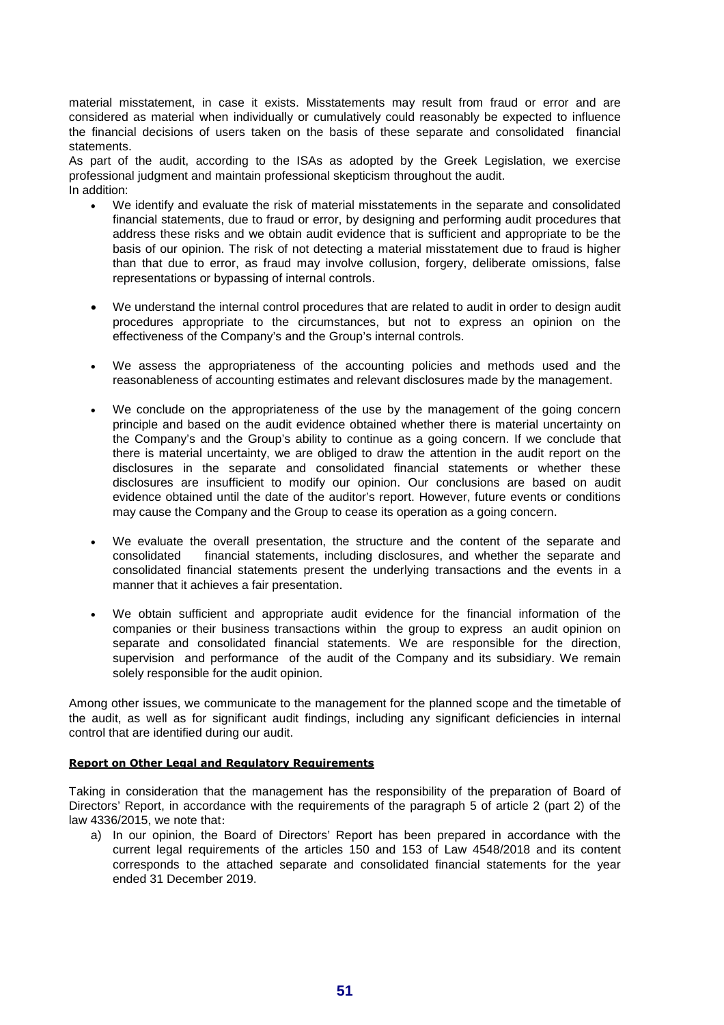material misstatement, in case it exists. Misstatements may result from fraud or error and are considered as material when individually or cumulatively could reasonably be expected to influence the financial decisions of users taken on the basis of these separate and consolidated financial statements.

As part of the audit, according to the ISAs as adopted by the Greek Legislation, we exercise professional judgment and maintain professional skepticism throughout the audit. In addition:

- We identify and evaluate the risk of material misstatements in the separate and consolidated financial statements, due to fraud or error, by designing and performing audit procedures that address these risks and we obtain audit evidence that is sufficient and appropriate to be the basis of our opinion. The risk of not detecting a material misstatement due to fraud is higher than that due to error, as fraud may involve collusion, forgery, deliberate omissions, false representations or bypassing of internal controls.
- We understand the internal control procedures that are related to audit in order to design audit procedures appropriate to the circumstances, but not to express an opinion on the effectiveness of the Company's and the Group's internal controls.
- We assess the appropriateness of the accounting policies and methods used and the reasonableness of accounting estimates and relevant disclosures made by the management.
- We conclude on the appropriateness of the use by the management of the going concern principle and based on the audit evidence obtained whether there is material uncertainty on the Company's and the Group's ability to continue as a going concern. If we conclude that there is material uncertainty, we are obliged to draw the attention in the audit report on the disclosures in the separate and consolidated financial statements or whether these disclosures are insufficient to modify our opinion. Our conclusions are based on audit evidence obtained until the date of the auditor's report. However, future events or conditions may cause the Company and the Group to cease its operation as a going concern.
- We evaluate the overall presentation, the structure and the content of the separate and consolidated financial statements, including disclosures, and whether the separate and financial statements, including disclosures, and whether the separate and consolidated financial statements present the underlying transactions and the events in a manner that it achieves a fair presentation.
- We obtain sufficient and appropriate audit evidence for the financial information of the companies or their business transactions within the group to express an audit opinion on separate and consolidated financial statements. We are responsible for the direction, supervision and performance of the audit of the Company and its subsidiary. We remain solely responsible for the audit opinion.

Among other issues, we communicate to the management for the planned scope and the timetable of the audit, as well as for significant audit findings, including any significant deficiencies in internal control that are identified during our audit.

#### **Report on Other Legal and Regulatory Requirements**

Taking in consideration that the management has the responsibility of the preparation of Board of Directors' Report, in accordance with the requirements of the paragraph 5 of article 2 (part 2) of the law 4336/2015, we note that:

a) In our opinion, the Board of Directors' Report has been prepared in accordance with the current legal requirements of the articles 150 and 153 of Law 4548/2018 and its content corresponds to the attached separate and consolidated financial statements for the year ended 31 December 2019.